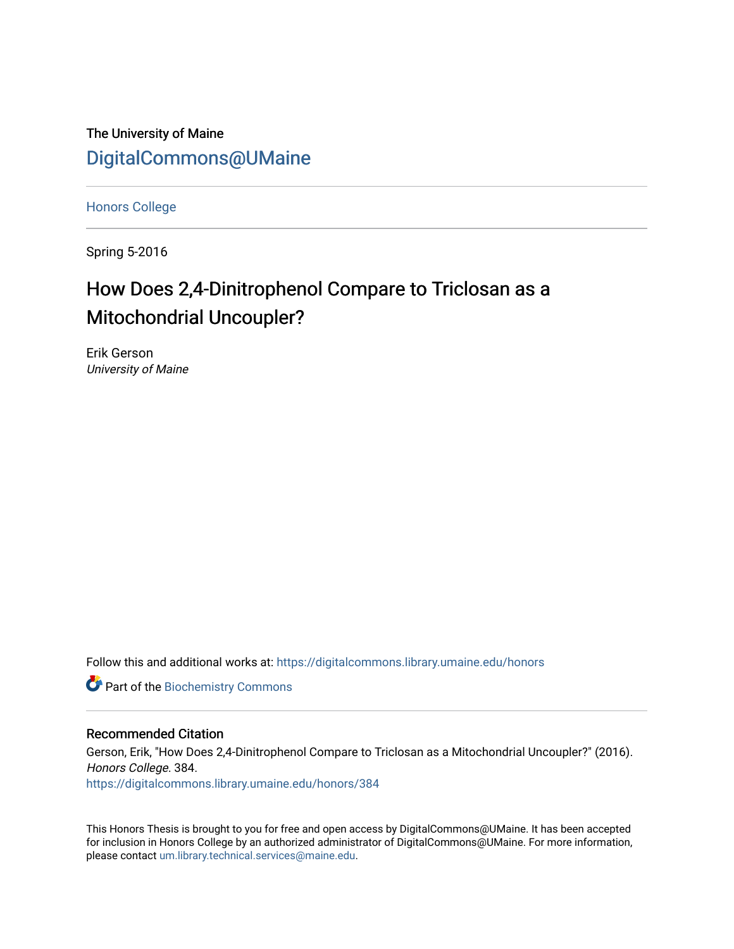The University of Maine [DigitalCommons@UMaine](https://digitalcommons.library.umaine.edu/)

[Honors College](https://digitalcommons.library.umaine.edu/honors)

Spring 5-2016

# How Does 2,4-Dinitrophenol Compare to Triclosan as a Mitochondrial Uncoupler?

Erik Gerson University of Maine

Follow this and additional works at: [https://digitalcommons.library.umaine.edu/honors](https://digitalcommons.library.umaine.edu/honors?utm_source=digitalcommons.library.umaine.edu%2Fhonors%2F384&utm_medium=PDF&utm_campaign=PDFCoverPages) 

**Part of the Biochemistry Commons** 

#### Recommended Citation

Gerson, Erik, "How Does 2,4-Dinitrophenol Compare to Triclosan as a Mitochondrial Uncoupler?" (2016). Honors College. 384. [https://digitalcommons.library.umaine.edu/honors/384](https://digitalcommons.library.umaine.edu/honors/384?utm_source=digitalcommons.library.umaine.edu%2Fhonors%2F384&utm_medium=PDF&utm_campaign=PDFCoverPages) 

This Honors Thesis is brought to you for free and open access by DigitalCommons@UMaine. It has been accepted for inclusion in Honors College by an authorized administrator of DigitalCommons@UMaine. For more information, please contact [um.library.technical.services@maine.edu.](mailto:um.library.technical.services@maine.edu)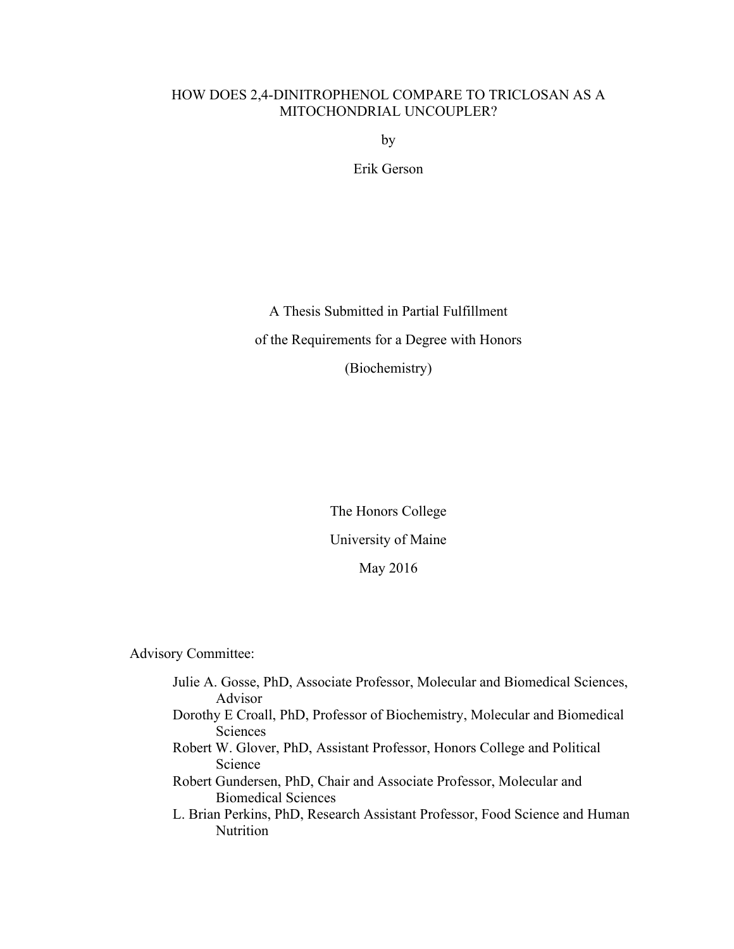#### HOW DOES 2,4-DINITROPHENOL COMPARE TO TRICLOSAN AS A MITOCHONDRIAL UNCOUPLER?

by

Erik Gerson

A Thesis Submitted in Partial Fulfillment of the Requirements for a Degree with Honors (Biochemistry)

> The Honors College University of Maine May 2016

Advisory Committee:

- Julie A. Gosse, PhD, Associate Professor, Molecular and Biomedical Sciences, Advisor Dorothy E Croall, PhD, Professor of Biochemistry, Molecular and Biomedical Sciences
- Robert W. Glover, PhD, Assistant Professor, Honors College and Political Science
- Robert Gundersen, PhD, Chair and Associate Professor, Molecular and Biomedical Sciences
- L. Brian Perkins, PhD, Research Assistant Professor, Food Science and Human Nutrition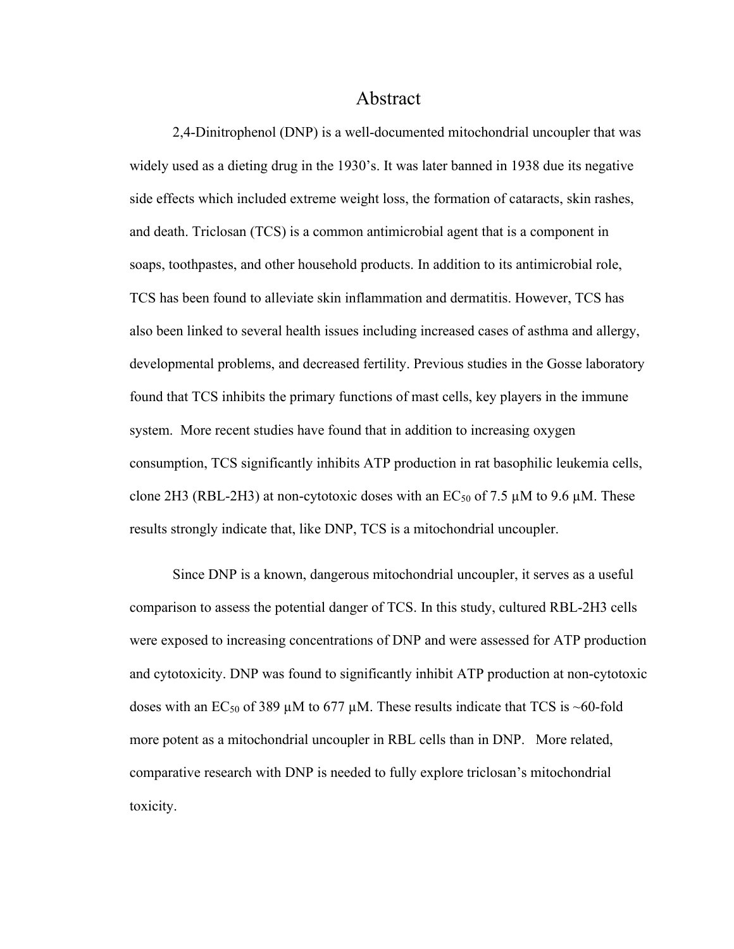#### Abstract

2,4-Dinitrophenol (DNP) is a well-documented mitochondrial uncoupler that was widely used as a dieting drug in the 1930's. It was later banned in 1938 due its negative side effects which included extreme weight loss, the formation of cataracts, skin rashes, and death. Triclosan (TCS) is a common antimicrobial agent that is a component in soaps, toothpastes, and other household products. In addition to its antimicrobial role, TCS has been found to alleviate skin inflammation and dermatitis. However, TCS has also been linked to several health issues including increased cases of asthma and allergy, developmental problems, and decreased fertility. Previous studies in the Gosse laboratory found that TCS inhibits the primary functions of mast cells, key players in the immune system. More recent studies have found that in addition to increasing oxygen consumption, TCS significantly inhibits ATP production in rat basophilic leukemia cells, clone 2H3 (RBL-2H3) at non-cytotoxic doses with an  $EC_{50}$  of 7.5  $\mu$ M to 9.6  $\mu$ M. These results strongly indicate that, like DNP, TCS is a mitochondrial uncoupler.

Since DNP is a known, dangerous mitochondrial uncoupler, it serves as a useful comparison to assess the potential danger of TCS. In this study, cultured RBL-2H3 cells were exposed to increasing concentrations of DNP and were assessed for ATP production and cytotoxicity. DNP was found to significantly inhibit ATP production at non-cytotoxic doses with an EC<sub>50</sub> of 389  $\mu$ M to 677  $\mu$ M. These results indicate that TCS is ~60-fold more potent as a mitochondrial uncoupler in RBL cells than in DNP. More related, comparative research with DNP is needed to fully explore triclosan's mitochondrial toxicity.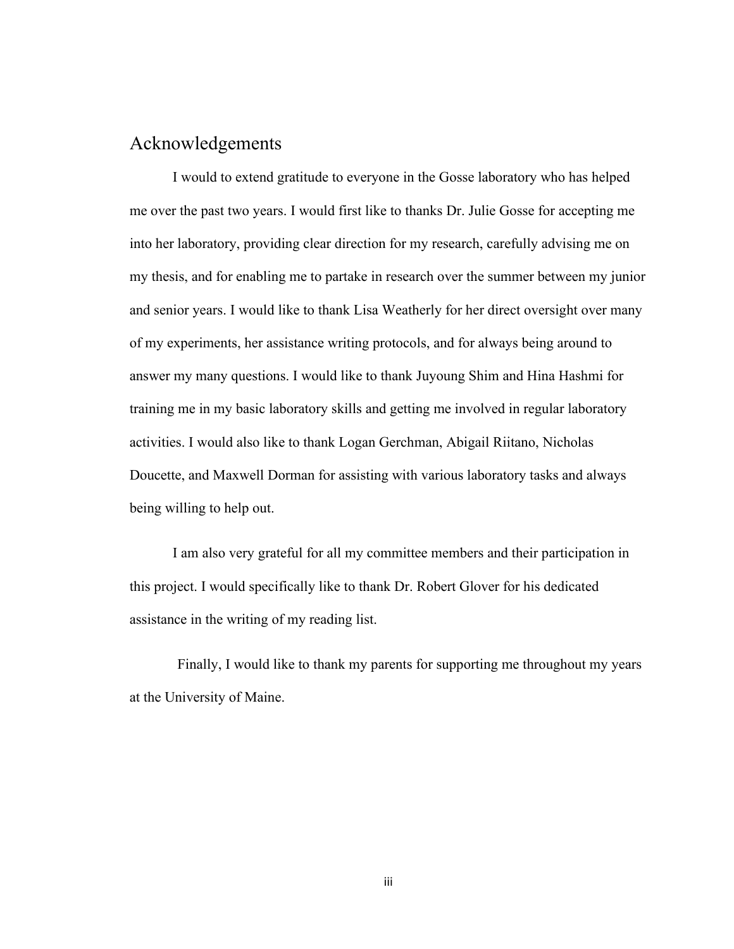## Acknowledgements

I would to extend gratitude to everyone in the Gosse laboratory who has helped me over the past two years. I would first like to thanks Dr. Julie Gosse for accepting me into her laboratory, providing clear direction for my research, carefully advising me on my thesis, and for enabling me to partake in research over the summer between my junior and senior years. I would like to thank Lisa Weatherly for her direct oversight over many of my experiments, her assistance writing protocols, and for always being around to answer my many questions. I would like to thank Juyoung Shim and Hina Hashmi for training me in my basic laboratory skills and getting me involved in regular laboratory activities. I would also like to thank Logan Gerchman, Abigail Riitano, Nicholas Doucette, and Maxwell Dorman for assisting with various laboratory tasks and always being willing to help out.

I am also very grateful for all my committee members and their participation in this project. I would specifically like to thank Dr. Robert Glover for his dedicated assistance in the writing of my reading list.

Finally, I would like to thank my parents for supporting me throughout my years at the University of Maine.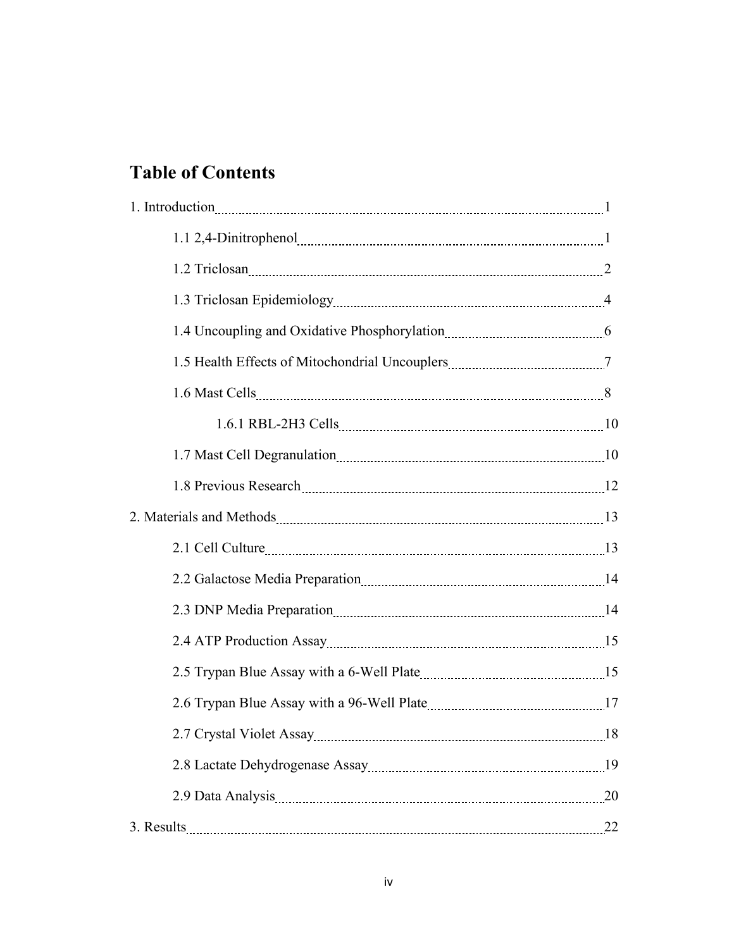# **Table of Contents**

| 1. Introduction 2000 magazine and 2000 magazine and 2000 magazine and 2000 magazine and 2000 magazine and 2000 magazine $\frac{1}{2}$ |    |
|---------------------------------------------------------------------------------------------------------------------------------------|----|
|                                                                                                                                       |    |
| 1.2 Triclosan 220 million 2012 12:00 million 2014                                                                                     |    |
|                                                                                                                                       |    |
| 1.4 Uncoupling and Oxidative Phosphorylation [11] [11] [12] Uncoupling and Oxidative Phosphorylation                                  |    |
|                                                                                                                                       |    |
|                                                                                                                                       |    |
|                                                                                                                                       |    |
|                                                                                                                                       |    |
|                                                                                                                                       |    |
|                                                                                                                                       |    |
| 2.1 Cell Culture 2.1 Cell Culture 2.1 Cell Culture 2.1 Cell Culture 2.1 Cell Culture 2.1 Cell Culture 2.1 3                           |    |
| 2.2 Galactose Media Preparation 2008 14                                                                                               |    |
| 2.3 DNP Media Preparation 2.0 minutes and 14                                                                                          |    |
|                                                                                                                                       |    |
|                                                                                                                                       |    |
|                                                                                                                                       |    |
| 2.7 Crystal Violet Assay 2.7 Crystal Violet Assay 2.7 Crystal Violet Assay 2.7 Crystal Violet Assay                                   |    |
|                                                                                                                                       |    |
|                                                                                                                                       | 20 |
| 3. Results 22                                                                                                                         |    |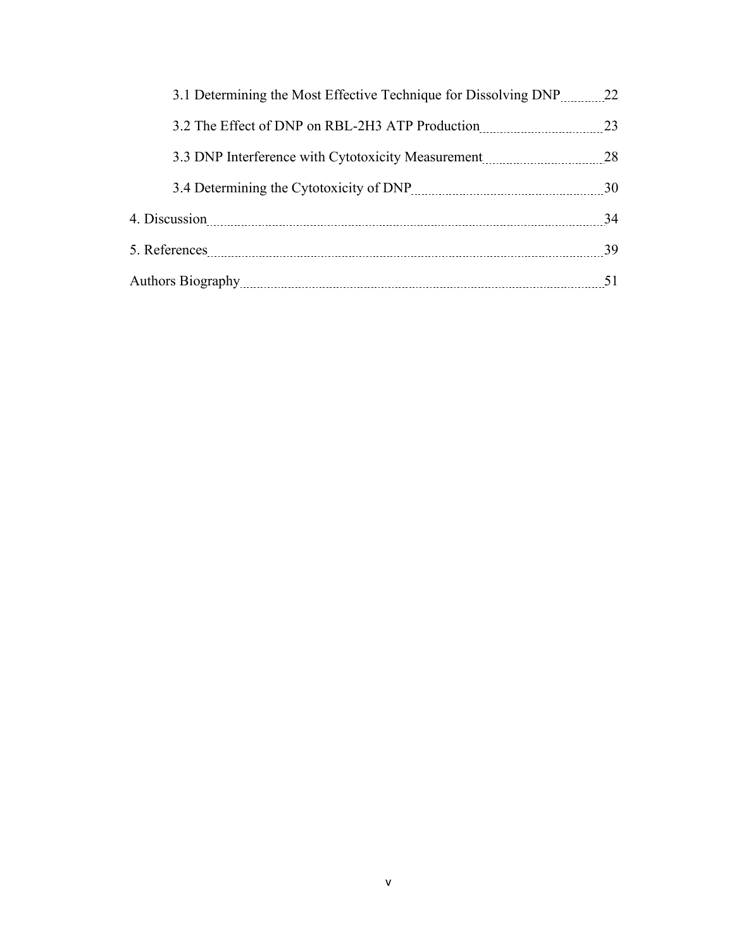| 3.1 Determining the Most Effective Technique for Dissolving DNP 22 |    |
|--------------------------------------------------------------------|----|
|                                                                    |    |
|                                                                    |    |
|                                                                    |    |
|                                                                    | 34 |
|                                                                    |    |
|                                                                    | 51 |
|                                                                    |    |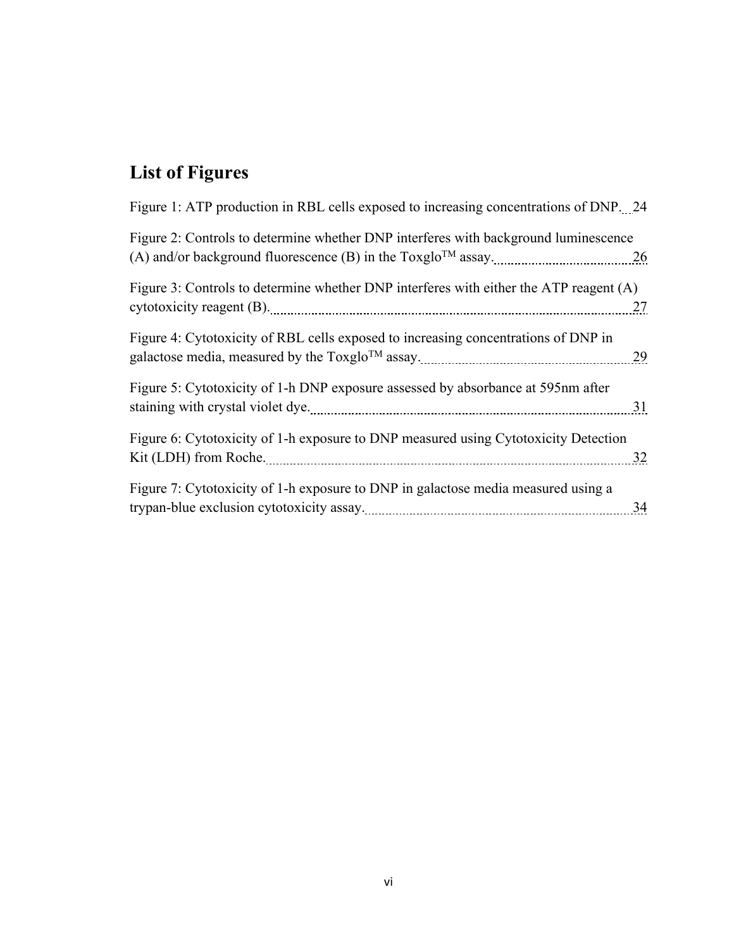# **List of Figures**

| Figure 1: ATP production in RBL cells exposed to increasing concentrations of DNP. 24  |    |
|----------------------------------------------------------------------------------------|----|
| Figure 2: Controls to determine whether DNP interferes with background luminescence    | 26 |
| Figure 3: Controls to determine whether DNP interferes with either the ATP reagent (A) | 27 |
| Figure 4: Cytotoxicity of RBL cells exposed to increasing concentrations of DNP in     | 29 |
| Figure 5: Cytotoxicity of 1-h DNP exposure assessed by absorbance at 595nm after       | 31 |
| Figure 6: Cytotoxicity of 1-h exposure to DNP measured using Cytotoxicity Detection    | 32 |
| Figure 7: Cytotoxicity of 1-h exposure to DNP in galactose media measured using a      | 34 |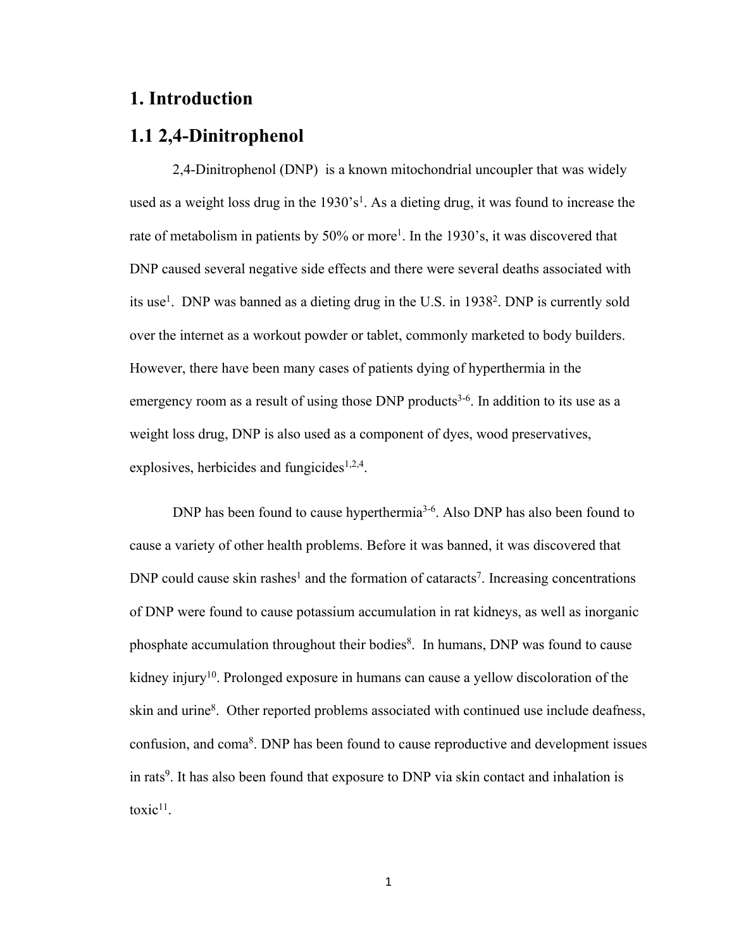## **1. Introduction**

## **1.1 2,4-Dinitrophenol**

2,4-Dinitrophenol (DNP) is a known mitochondrial uncoupler that was widely used as a weight loss drug in the  $1930 \text{ s}^1$ . As a dieting drug, it was found to increase the rate of metabolism in patients by 50% or more<sup>1</sup>. In the 1930's, it was discovered that DNP caused several negative side effects and there were several deaths associated with its use<sup>1</sup>. DNP was banned as a dieting drug in the U.S. in  $1938<sup>2</sup>$ . DNP is currently sold over the internet as a workout powder or tablet, commonly marketed to body builders. However, there have been many cases of patients dying of hyperthermia in the emergency room as a result of using those DNP products<sup>3-6</sup>. In addition to its use as a weight loss drug, DNP is also used as a component of dyes, wood preservatives, explosives, herbicides and fungicides<sup>1,2,4</sup>.

DNP has been found to cause hyperthermia<sup>3-6</sup>. Also DNP has also been found to cause a variety of other health problems. Before it was banned, it was discovered that DNP could cause skin rashes<sup>1</sup> and the formation of cataracts<sup>7</sup>. Increasing concentrations of DNP were found to cause potassium accumulation in rat kidneys, as well as inorganic phosphate accumulation throughout their bodies<sup>8</sup>. In humans, DNP was found to cause kidney injury<sup>10</sup>. Prolonged exposure in humans can cause a yellow discoloration of the skin and urine<sup>8</sup>. Other reported problems associated with continued use include deafness, confusion, and coma<sup>8</sup>. DNP has been found to cause reproductive and development issues in rats<sup>9</sup>. It has also been found that exposure to DNP via skin contact and inhalation is toxic $11$ .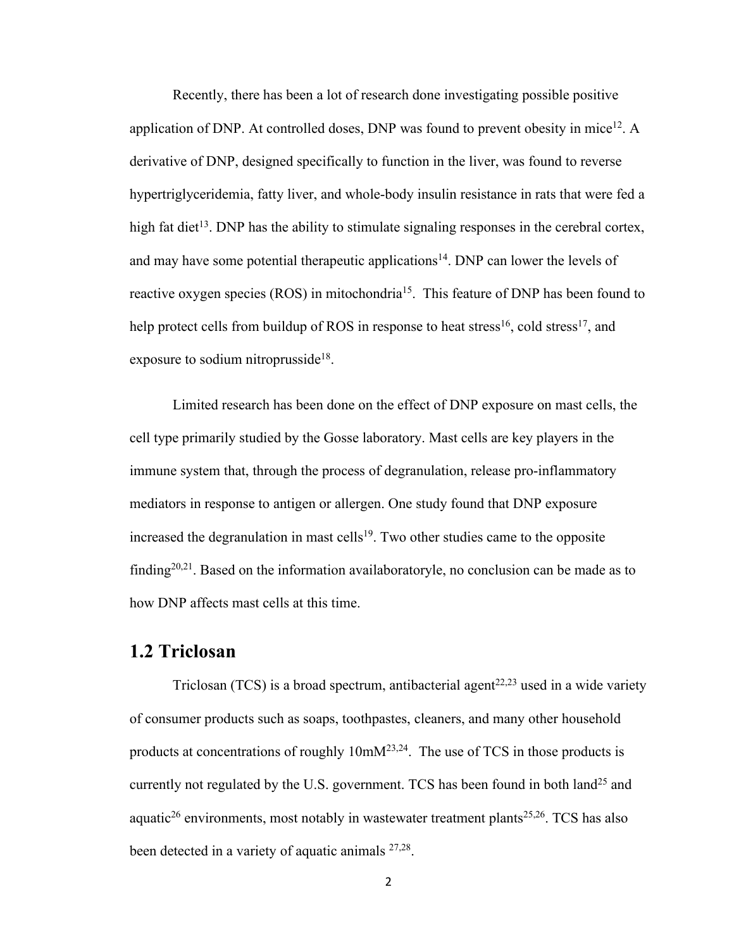Recently, there has been a lot of research done investigating possible positive application of DNP. At controlled doses, DNP was found to prevent obesity in mice<sup>12</sup>. A derivative of DNP, designed specifically to function in the liver, was found to reverse hypertriglyceridemia, fatty liver, and whole-body insulin resistance in rats that were fed a high fat diet<sup>13</sup>. DNP has the ability to stimulate signaling responses in the cerebral cortex, and may have some potential therapeutic applications<sup>14</sup>. DNP can lower the levels of reactive oxygen species (ROS) in mitochondria<sup>15</sup>. This feature of DNP has been found to help protect cells from buildup of ROS in response to heat stress<sup>16</sup>, cold stress<sup>17</sup>, and exposure to sodium nitroprusside<sup>18</sup>.

Limited research has been done on the effect of DNP exposure on mast cells, the cell type primarily studied by the Gosse laboratory. Mast cells are key players in the immune system that, through the process of degranulation, release pro-inflammatory mediators in response to antigen or allergen. One study found that DNP exposure increased the degranulation in mast cells<sup>19</sup>. Two other studies came to the opposite finding<sup>20,21</sup>. Based on the information availaboratoryle, no conclusion can be made as to how DNP affects mast cells at this time.

#### **1.2 Triclosan**

Triclosan (TCS) is a broad spectrum, antibacterial agent<sup>22,23</sup> used in a wide variety of consumer products such as soaps, toothpastes, cleaners, and many other household products at concentrations of roughly 10mM23,24. The use of TCS in those products is currently not regulated by the U.S. government. TCS has been found in both land<sup>25</sup> and aquatic<sup>26</sup> environments, most notably in wastewater treatment plants<sup>25,26</sup>. TCS has also been detected in a variety of aquatic animals <sup>27,28</sup>.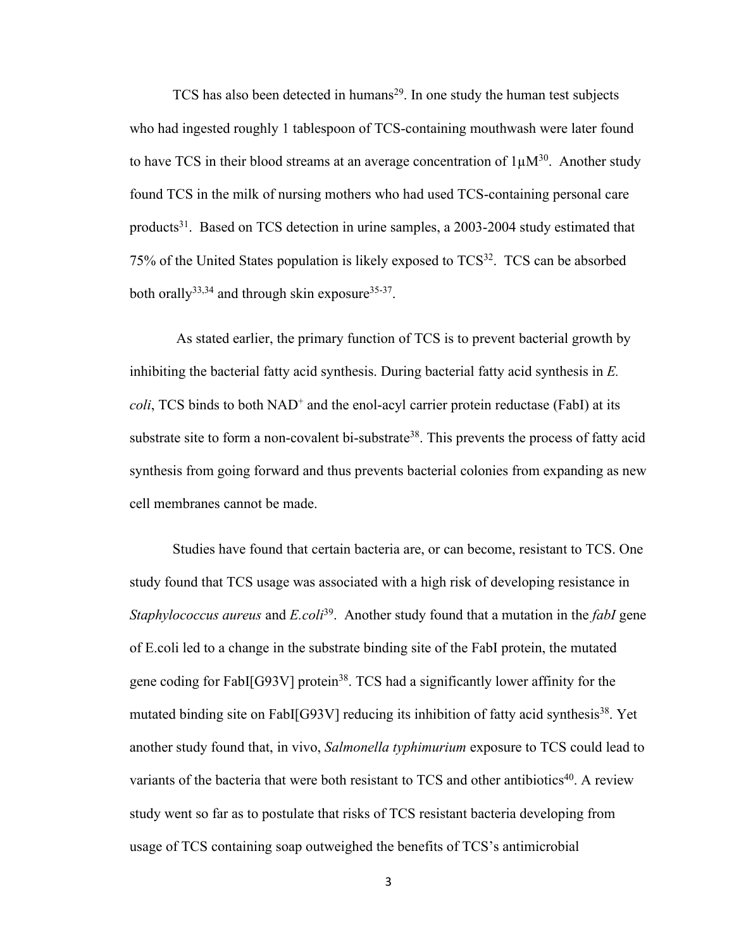TCS has also been detected in humans<sup>29</sup>. In one study the human test subjects who had ingested roughly 1 tablespoon of TCS-containing mouthwash were later found to have TCS in their blood streams at an average concentration of  $1\mu M^{30}$ . Another study found TCS in the milk of nursing mothers who had used TCS-containing personal care products<sup>31</sup>. Based on TCS detection in urine samples, a 2003-2004 study estimated that 75% of the United States population is likely exposed to TCS<sup>32</sup>. TCS can be absorbed both orally<sup>33,34</sup> and through skin exposure<sup>35-37</sup>.

As stated earlier, the primary function of TCS is to prevent bacterial growth by inhibiting the bacterial fatty acid synthesis. During bacterial fatty acid synthesis in *E. coli*, TCS binds to both NAD<sup>+</sup> and the enol-acyl carrier protein reductase (FabI) at its substrate site to form a non-covalent bi-substrate<sup>38</sup>. This prevents the process of fatty acid synthesis from going forward and thus prevents bacterial colonies from expanding as new cell membranes cannot be made.

Studies have found that certain bacteria are, or can become, resistant to TCS. One study found that TCS usage was associated with a high risk of developing resistance in *Staphylococcus aureus* and *E.coli*39. Another study found that a mutation in the *fabI* gene of E.coli led to a change in the substrate binding site of the FabI protein, the mutated gene coding for FabI[G93V] protein<sup>38</sup>. TCS had a significantly lower affinity for the mutated binding site on FabI[G93V] reducing its inhibition of fatty acid synthesis<sup>38</sup>. Yet another study found that, in vivo, *Salmonella typhimurium* exposure to TCS could lead to variants of the bacteria that were both resistant to TCS and other antibiotics<sup>40</sup>. A review study went so far as to postulate that risks of TCS resistant bacteria developing from usage of TCS containing soap outweighed the benefits of TCS's antimicrobial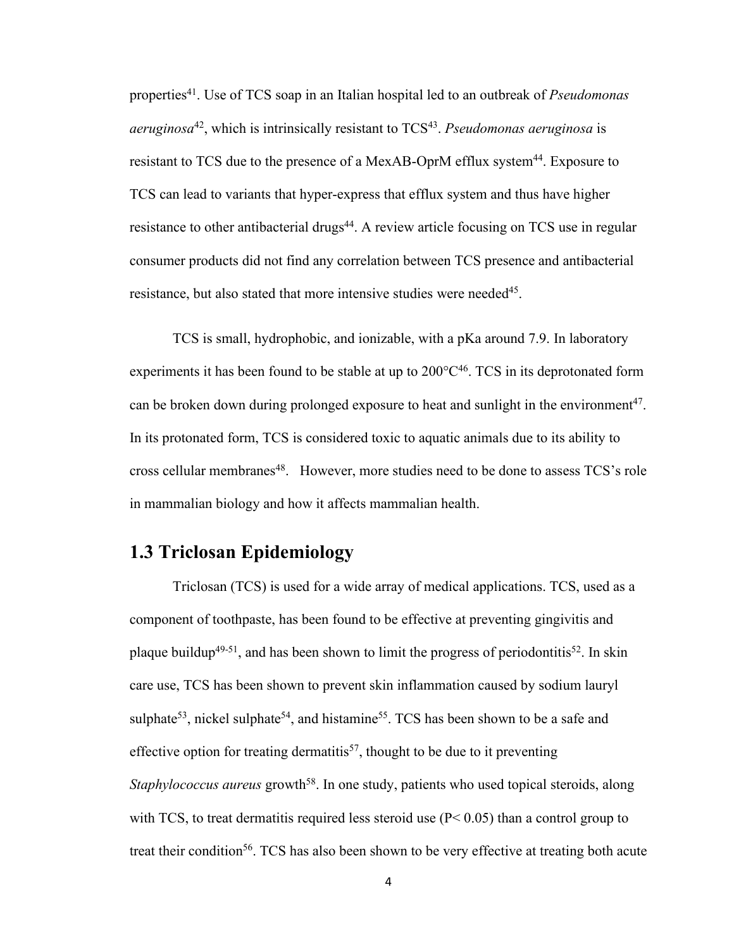properties41. Use of TCS soap in an Italian hospital led to an outbreak of *Pseudomonas aeruginosa*<sup>42</sup>, which is intrinsically resistant to TCS<sup>43</sup>. *Pseudomonas aeruginosa* is resistant to TCS due to the presence of a MexAB-OprM efflux system<sup>44</sup>. Exposure to TCS can lead to variants that hyper-express that efflux system and thus have higher resistance to other antibacterial drugs<sup>44</sup>. A review article focusing on TCS use in regular consumer products did not find any correlation between TCS presence and antibacterial resistance, but also stated that more intensive studies were needed<sup>45</sup>.

TCS is small, hydrophobic, and ionizable, with a pKa around 7.9. In laboratory experiments it has been found to be stable at up to  $200^{\circ}C^{46}$ . TCS in its deprotonated form can be broken down during prolonged exposure to heat and sunlight in the environment<sup>47</sup>. In its protonated form, TCS is considered toxic to aquatic animals due to its ability to cross cellular membranes<sup>48</sup>. However, more studies need to be done to assess TCS's role in mammalian biology and how it affects mammalian health.

## **1.3 Triclosan Epidemiology**

Triclosan (TCS) is used for a wide array of medical applications. TCS, used as a component of toothpaste, has been found to be effective at preventing gingivitis and plaque buildup<sup>49-51</sup>, and has been shown to limit the progress of periodontitis<sup>52</sup>. In skin care use, TCS has been shown to prevent skin inflammation caused by sodium lauryl sulphate<sup>53</sup>, nickel sulphate<sup>54</sup>, and histamine<sup>55</sup>. TCS has been shown to be a safe and effective option for treating dermatitis<sup>57</sup>, thought to be due to it preventing *Staphylococcus aureus* growth<sup>58</sup>. In one study, patients who used topical steroids, along with TCS, to treat dermatitis required less steroid use  $(P< 0.05)$  than a control group to treat their condition<sup>56</sup>. TCS has also been shown to be very effective at treating both acute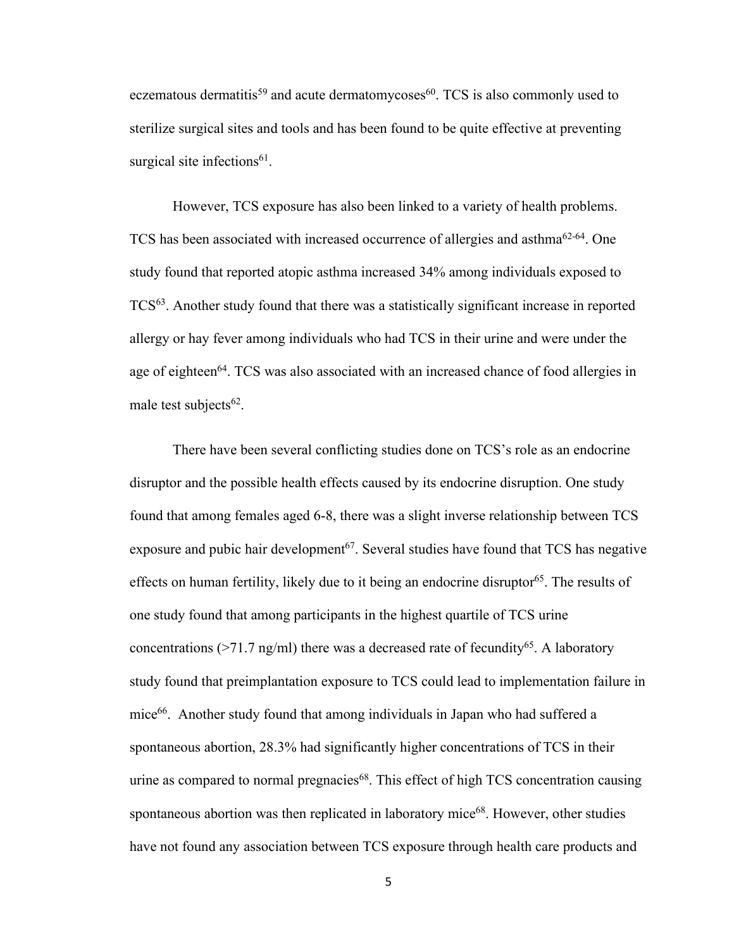eczematous dermatitis<sup>59</sup> and acute dermatomycoses<sup>60</sup>. TCS is also commonly used to sterilize surgical sites and tools and has been found to be quite effective at preventing surgical site infections<sup>61</sup>.

However, TCS exposure has also been linked to a variety of health problems. TCS has been associated with increased occurrence of allergies and asthma62-64. One study found that reported atopic asthma increased 34% among individuals exposed to TCS63. Another study found that there was a statistically significant increase in reported allergy or hay fever among individuals who had TCS in their urine and were under the age of eighteen<sup>64</sup>. TCS was also associated with an increased chance of food allergies in male test subjects $62$ .

There have been several conflicting studies done on TCS's role as an endocrine disruptor and the possible health effects caused by its endocrine disruption. One study found that among females aged 6-8, there was a slight inverse relationship between TCS exposure and pubic hair development<sup>67</sup>. Several studies have found that TCS has negative effects on human fertility, likely due to it being an endocrine disruptor<sup>65</sup>. The results of one study found that among participants in the highest quartile of TCS urine concentrations ( $>71.7$  ng/ml) there was a decreased rate of fecundity<sup>65</sup>. A laboratory study found that preimplantation exposure to TCS could lead to implementation failure in mice<sup>66</sup>. Another study found that among individuals in Japan who had suffered a spontaneous abortion, 28.3% had significantly higher concentrations of TCS in their urine as compared to normal pregnacies<sup>68</sup>. This effect of high TCS concentration causing spontaneous abortion was then replicated in laboratory mice<sup>68</sup>. However, other studies have not found any association between TCS exposure through health care products and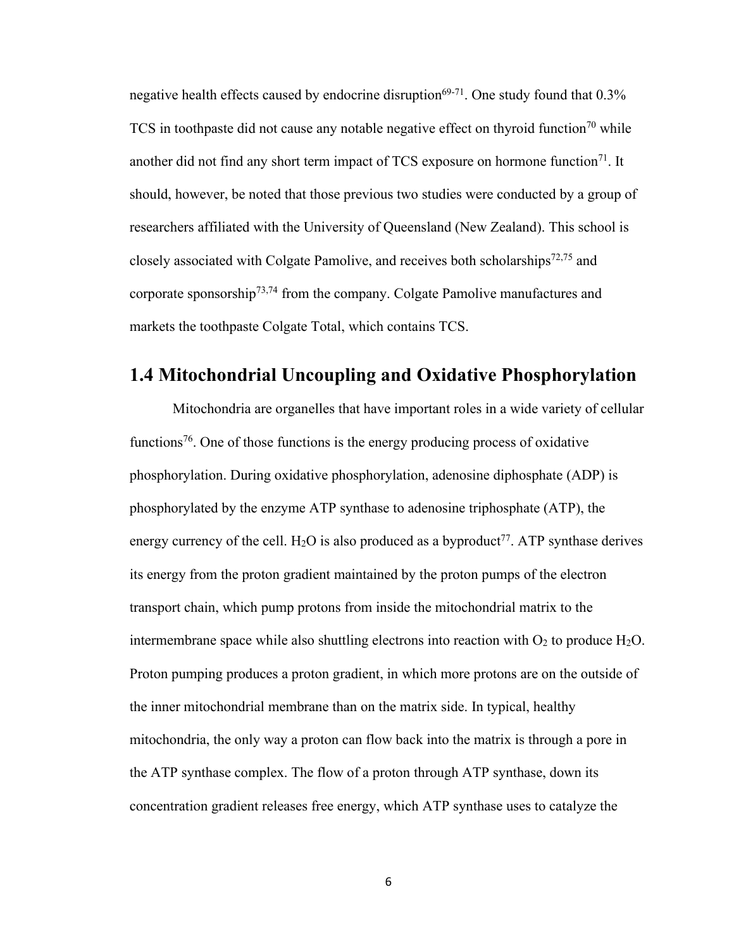negative health effects caused by endocrine disruption $69-71$ . One study found that 0.3% TCS in toothpaste did not cause any notable negative effect on thyroid function<sup>70</sup> while another did not find any short term impact of TCS exposure on hormone function<sup>71</sup>. It should, however, be noted that those previous two studies were conducted by a group of researchers affiliated with the University of Queensland (New Zealand). This school is closely associated with Colgate Pamolive, and receives both scholarships<sup>72,75</sup> and corporate sponsorship73,74 from the company. Colgate Pamolive manufactures and markets the toothpaste Colgate Total, which contains TCS.

## **1.4 Mitochondrial Uncoupling and Oxidative Phosphorylation**

Mitochondria are organelles that have important roles in a wide variety of cellular functions<sup>76</sup>. One of those functions is the energy producing process of oxidative phosphorylation. During oxidative phosphorylation, adenosine diphosphate (ADP) is phosphorylated by the enzyme ATP synthase to adenosine triphosphate (ATP), the energy currency of the cell.  $H_2O$  is also produced as a byproduct<sup>77</sup>. ATP synthase derives its energy from the proton gradient maintained by the proton pumps of the electron transport chain, which pump protons from inside the mitochondrial matrix to the intermembrane space while also shuttling electrons into reaction with  $O_2$  to produce  $H_2O$ . Proton pumping produces a proton gradient, in which more protons are on the outside of the inner mitochondrial membrane than on the matrix side. In typical, healthy mitochondria, the only way a proton can flow back into the matrix is through a pore in the ATP synthase complex. The flow of a proton through ATP synthase, down its concentration gradient releases free energy, which ATP synthase uses to catalyze the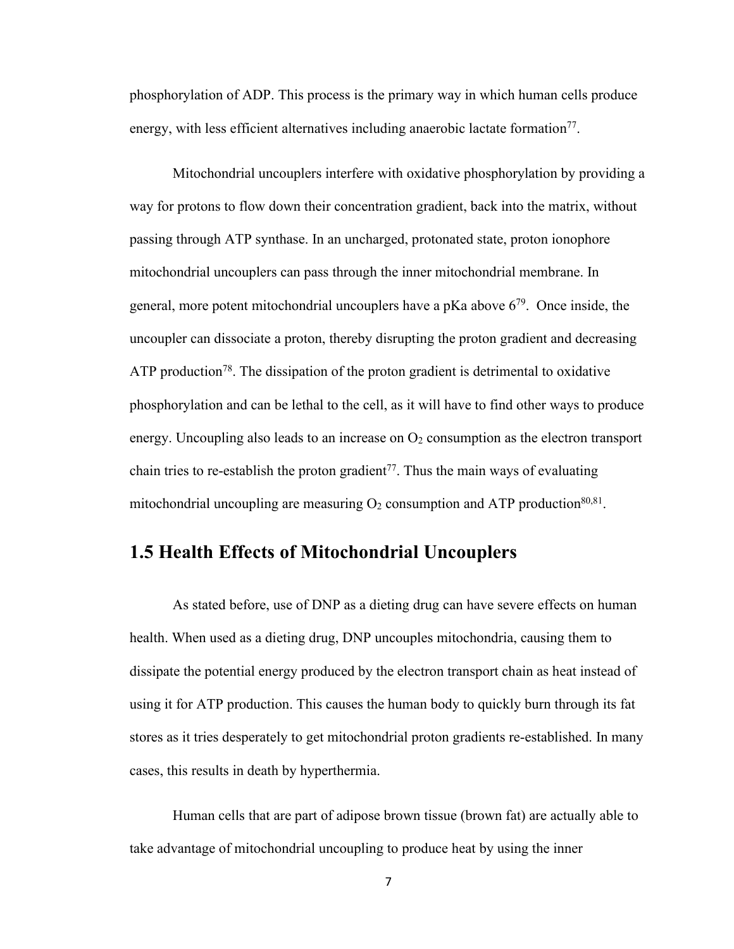phosphorylation of ADP. This process is the primary way in which human cells produce energy, with less efficient alternatives including anaerobic lactate formation<sup>77</sup>.

Mitochondrial uncouplers interfere with oxidative phosphorylation by providing a way for protons to flow down their concentration gradient, back into the matrix, without passing through ATP synthase. In an uncharged, protonated state, proton ionophore mitochondrial uncouplers can pass through the inner mitochondrial membrane. In general, more potent mitochondrial uncouplers have a pKa above  $6^{79}$ . Once inside, the uncoupler can dissociate a proton, thereby disrupting the proton gradient and decreasing ATP production<sup>78</sup>. The dissipation of the proton gradient is detrimental to oxidative phosphorylation and can be lethal to the cell, as it will have to find other ways to produce energy. Uncoupling also leads to an increase on  $O<sub>2</sub>$  consumption as the electron transport chain tries to re-establish the proton gradient<sup>77</sup>. Thus the main ways of evaluating mitochondrial uncoupling are measuring  $O_2$  consumption and ATP production<sup>80,81</sup>.

## **1.5 Health Effects of Mitochondrial Uncouplers**

As stated before, use of DNP as a dieting drug can have severe effects on human health. When used as a dieting drug, DNP uncouples mitochondria, causing them to dissipate the potential energy produced by the electron transport chain as heat instead of using it for ATP production. This causes the human body to quickly burn through its fat stores as it tries desperately to get mitochondrial proton gradients re-established. In many cases, this results in death by hyperthermia.

Human cells that are part of adipose brown tissue (brown fat) are actually able to take advantage of mitochondrial uncoupling to produce heat by using the inner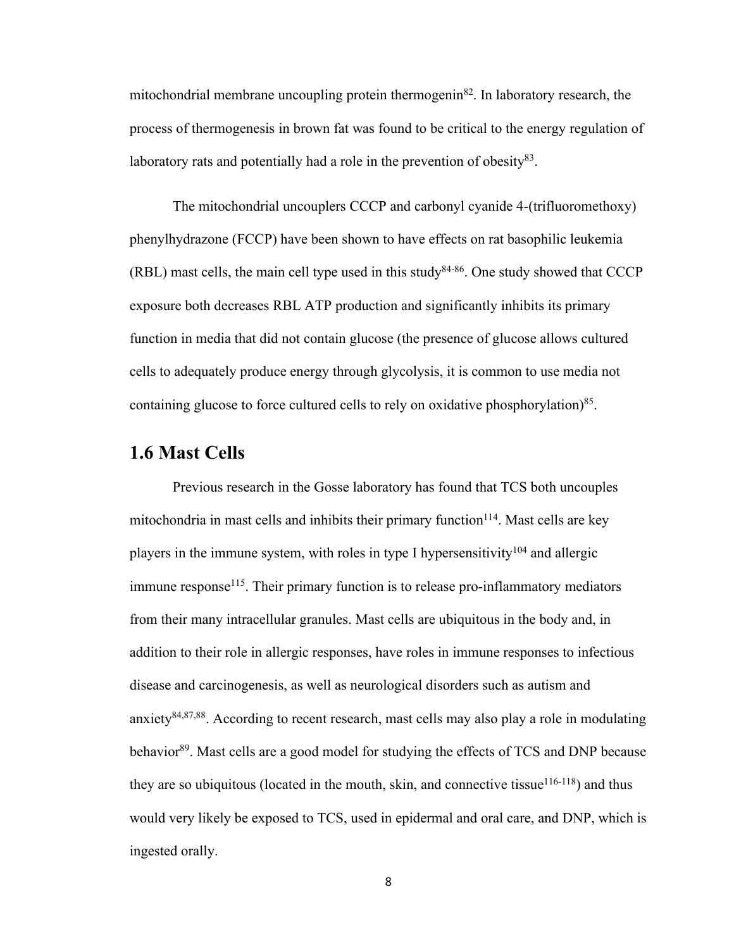mitochondrial membrane uncoupling protein thermogenin82. In laboratory research, the process of thermogenesis in brown fat was found to be critical to the energy regulation of laboratory rats and potentially had a role in the prevention of obesity $83$ .

The mitochondrial uncouplers CCCP and carbonyl cyanide 4-(trifluoromethoxy) phenylhydrazone (FCCP) have been shown to have effects on rat basophilic leukemia  $(RBL)$  mast cells, the main cell type used in this study<sup>84-86</sup>. One study showed that CCCP exposure both decreases RBL ATP production and significantly inhibits its primary function in media that did not contain glucose (the presence of glucose allows cultured cells to adequately produce energy through glycolysis, it is common to use media not containing glucose to force cultured cells to rely on oxidative phosphorylation)<sup>85</sup>.

#### **1.6 Mast Cells**

Previous research in the Gosse laboratory has found that TCS both uncouples mitochondria in mast cells and inhibits their primary function $114$ . Mast cells are key players in the immune system, with roles in type I hypersensitivity<sup>104</sup> and allergic immune response<sup>115</sup>. Their primary function is to release pro-inflammatory mediators from their many intracellular granules. Mast cells are ubiquitous in the body and, in addition to their role in allergic responses, have roles in immune responses to infectious disease and carcinogenesis, as well as neurological disorders such as autism and anxiety<sup>84,87,88</sup>. According to recent research, mast cells may also play a role in modulating behavior<sup>89</sup>. Mast cells are a good model for studying the effects of TCS and DNP because they are so ubiquitous (located in the mouth, skin, and connective tissue<sup>116-118</sup>) and thus would very likely be exposed to TCS, used in epidermal and oral care, and DNP, which is ingested orally.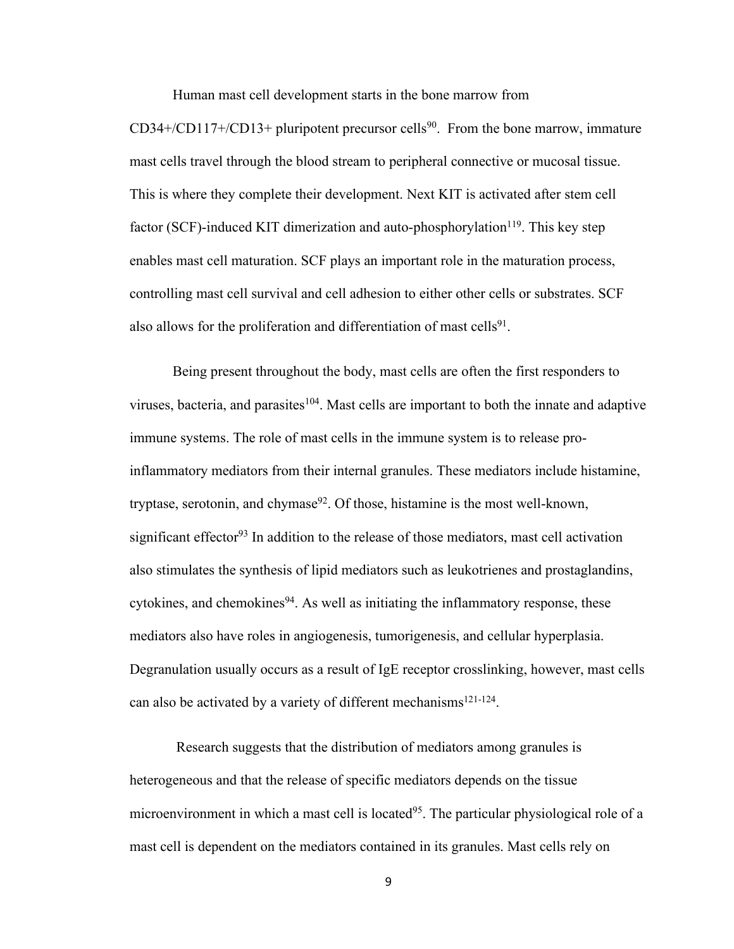Human mast cell development starts in the bone marrow from

 $CD34+/CD117+/CD13+$  pluripotent precursor cells<sup>90</sup>. From the bone marrow, immature mast cells travel through the blood stream to peripheral connective or mucosal tissue. This is where they complete their development. Next KIT is activated after stem cell factor (SCF)-induced KIT dimerization and auto-phosphorylation<sup>119</sup>. This key step enables mast cell maturation. SCF plays an important role in the maturation process, controlling mast cell survival and cell adhesion to either other cells or substrates. SCF also allows for the proliferation and differentiation of mast cells<sup>91</sup>.

Being present throughout the body, mast cells are often the first responders to viruses, bacteria, and parasites<sup>104</sup>. Mast cells are important to both the innate and adaptive immune systems. The role of mast cells in the immune system is to release proinflammatory mediators from their internal granules. These mediators include histamine, tryptase, serotonin, and chymase $92$ . Of those, histamine is the most well-known, significant effector<sup>93</sup> In addition to the release of those mediators, mast cell activation also stimulates the synthesis of lipid mediators such as leukotrienes and prostaglandins, cytokines, and chemokines<sup>94</sup>. As well as initiating the inflammatory response, these mediators also have roles in angiogenesis, tumorigenesis, and cellular hyperplasia. Degranulation usually occurs as a result of IgE receptor crosslinking, however, mast cells can also be activated by a variety of different mechanisms<sup>121-124</sup>.

Research suggests that the distribution of mediators among granules is heterogeneous and that the release of specific mediators depends on the tissue microenvironment in which a mast cell is located<sup>95</sup>. The particular physiological role of a mast cell is dependent on the mediators contained in its granules. Mast cells rely on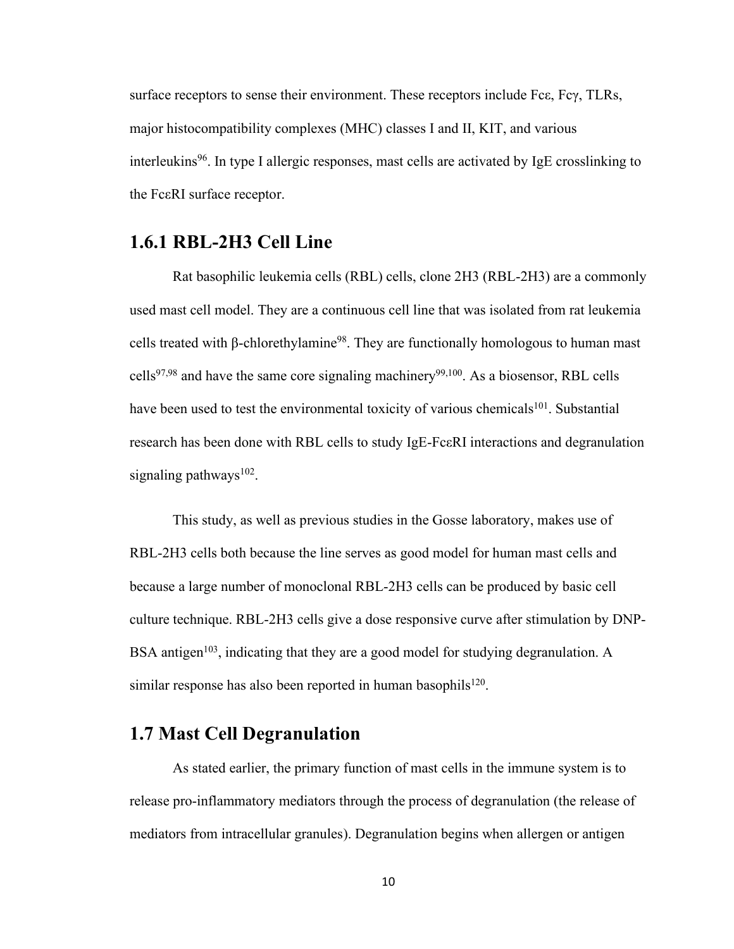surface receptors to sense their environment. These receptors include Fcε, Fcγ, TLRs, major histocompatibility complexes (MHC) classes I and II, KIT, and various interleukins<sup>96</sup>. In type I allergic responses, mast cells are activated by IgE crosslinking to the FcεRI surface receptor.

### **1.6.1 RBL-2H3 Cell Line**

Rat basophilic leukemia cells (RBL) cells, clone 2H3 (RBL-2H3) are a commonly used mast cell model. They are a continuous cell line that was isolated from rat leukemia cells treated with β-chlorethylamine<sup>98</sup>. They are functionally homologous to human mast cells<sup>97,98</sup> and have the same core signaling machinery<sup>99,100</sup>. As a biosensor, RBL cells have been used to test the environmental toxicity of various chemicals<sup>101</sup>. Substantial research has been done with RBL cells to study IgE-FcεRI interactions and degranulation signaling pathways $102$ .

This study, as well as previous studies in the Gosse laboratory, makes use of RBL-2H3 cells both because the line serves as good model for human mast cells and because a large number of monoclonal RBL-2H3 cells can be produced by basic cell culture technique. RBL-2H3 cells give a dose responsive curve after stimulation by DNP-BSA antigen<sup>103</sup>, indicating that they are a good model for studying degranulation. A similar response has also been reported in human basophils $120$ .

## **1.7 Mast Cell Degranulation**

As stated earlier, the primary function of mast cells in the immune system is to release pro-inflammatory mediators through the process of degranulation (the release of mediators from intracellular granules). Degranulation begins when allergen or antigen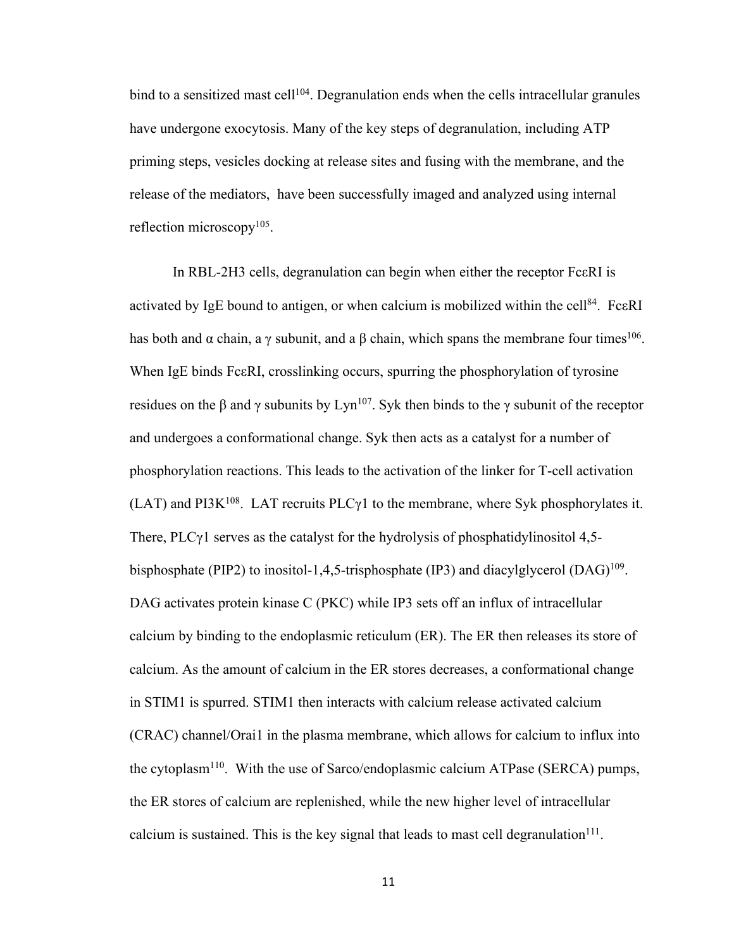bind to a sensitized mast cell<sup>104</sup>. Degranulation ends when the cells intracellular granules have undergone exocytosis. Many of the key steps of degranulation, including ATP priming steps, vesicles docking at release sites and fusing with the membrane, and the release of the mediators, have been successfully imaged and analyzed using internal reflection microscopy<sup>105</sup>.

In RBL-2H3 cells, degranulation can begin when either the receptor FcεRI is activated by IgE bound to antigen, or when calcium is mobilized within the cell<sup>84</sup>. FceRI has both and  $\alpha$  chain, a  $\gamma$  subunit, and a  $\beta$  chain, which spans the membrane four times<sup>106</sup>. When IgE binds FceRI, crosslinking occurs, spurring the phosphorylation of tyrosine residues on the β and γ subunits by Lyn<sup>107</sup>. Syk then binds to the γ subunit of the receptor and undergoes a conformational change. Syk then acts as a catalyst for a number of phosphorylation reactions. This leads to the activation of the linker for T-cell activation (LAT) and PI3K<sup>108</sup>. LAT recruits PLC $\gamma$ 1 to the membrane, where Syk phosphorylates it. There,  $PLC\gamma1$  serves as the catalyst for the hydrolysis of phosphatidylinositol 4,5bisphosphate (PIP2) to inositol-1,4,5-trisphosphate (IP3) and diacylglycerol (DAG)<sup>109</sup>. DAG activates protein kinase C (PKC) while IP3 sets off an influx of intracellular calcium by binding to the endoplasmic reticulum (ER). The ER then releases its store of calcium. As the amount of calcium in the ER stores decreases, a conformational change in STIM1 is spurred. STIM1 then interacts with calcium release activated calcium (CRAC) channel/Orai1 in the plasma membrane, which allows for calcium to influx into the cytoplasm<sup>110</sup>. With the use of Sarco/endoplasmic calcium ATPase (SERCA) pumps, the ER stores of calcium are replenished, while the new higher level of intracellular calcium is sustained. This is the key signal that leads to mast cell degranulation<sup>111</sup>.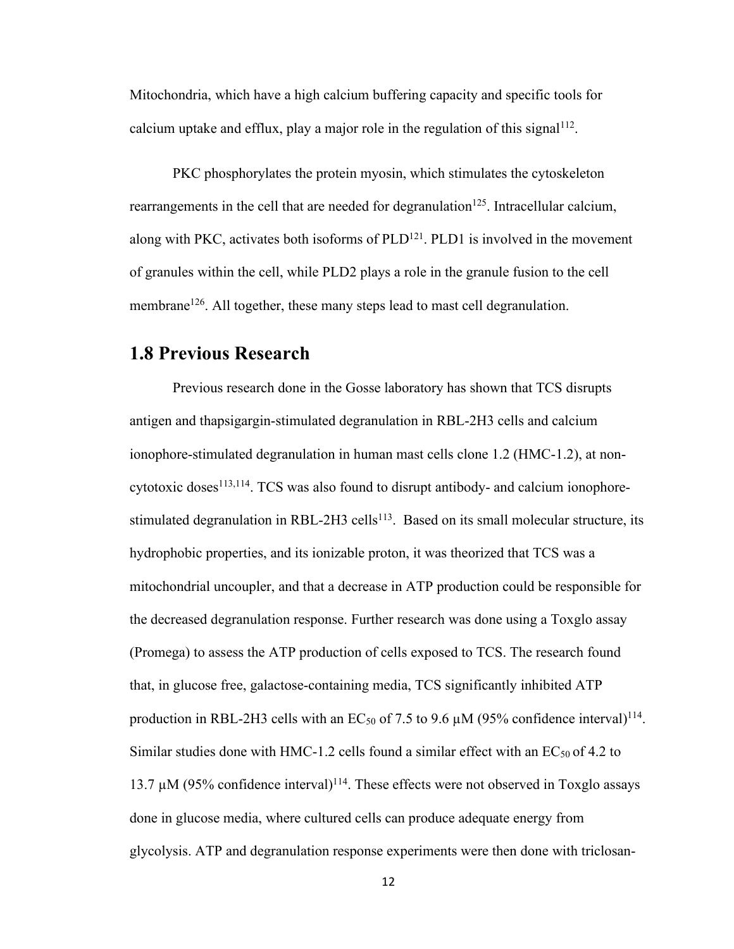Mitochondria, which have a high calcium buffering capacity and specific tools for calcium uptake and efflux, play a major role in the regulation of this signal<sup>112</sup>.

PKC phosphorylates the protein myosin, which stimulates the cytoskeleton rearrangements in the cell that are needed for degranulation<sup>125</sup>. Intracellular calcium, along with PKC, activates both isoforms of  $PLD<sup>121</sup>$ . PLD1 is involved in the movement of granules within the cell, while PLD2 plays a role in the granule fusion to the cell membrane<sup>126</sup>. All together, these many steps lead to mast cell degranulation.

#### **1.8 Previous Research**

Previous research done in the Gosse laboratory has shown that TCS disrupts antigen and thapsigargin-stimulated degranulation in RBL-2H3 cells and calcium ionophore-stimulated degranulation in human mast cells clone 1.2 (HMC-1.2), at non $cytotoxic doses<sup>113,114</sup>$ . TCS was also found to disrupt antibody- and calcium ionophorestimulated degranulation in RBL-2H3 cells<sup>113</sup>. Based on its small molecular structure, its hydrophobic properties, and its ionizable proton, it was theorized that TCS was a mitochondrial uncoupler, and that a decrease in ATP production could be responsible for the decreased degranulation response. Further research was done using a Toxglo assay (Promega) to assess the ATP production of cells exposed to TCS. The research found that, in glucose free, galactose-containing media, TCS significantly inhibited ATP production in RBL-2H3 cells with an EC<sub>50</sub> of 7.5 to 9.6  $\mu$ M (95% confidence interval)<sup>114</sup>. Similar studies done with HMC-1.2 cells found a similar effect with an  $EC_{50}$  of 4.2 to 13.7  $\mu$ M (95% confidence interval)<sup>114</sup>. These effects were not observed in Toxglo assays done in glucose media, where cultured cells can produce adequate energy from glycolysis. ATP and degranulation response experiments were then done with triclosan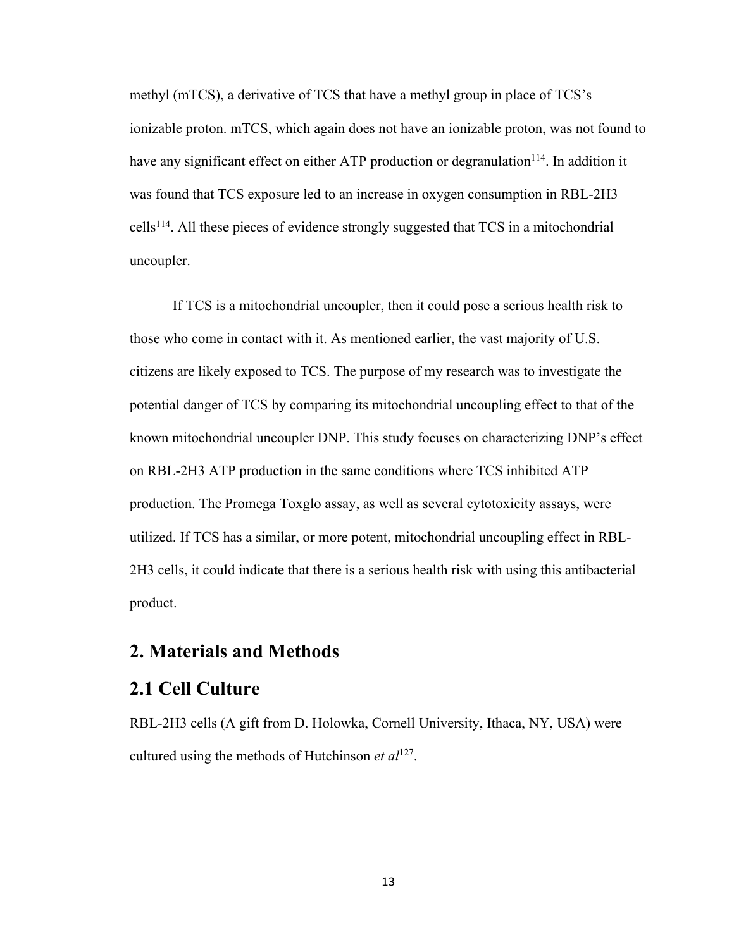methyl (mTCS), a derivative of TCS that have a methyl group in place of TCS's ionizable proton. mTCS, which again does not have an ionizable proton, was not found to have any significant effect on either ATP production or degranulation<sup>114</sup>. In addition it was found that TCS exposure led to an increase in oxygen consumption in RBL-2H3  $\text{cells}^{114}$ . All these pieces of evidence strongly suggested that TCS in a mitochondrial uncoupler.

If TCS is a mitochondrial uncoupler, then it could pose a serious health risk to those who come in contact with it. As mentioned earlier, the vast majority of U.S. citizens are likely exposed to TCS. The purpose of my research was to investigate the potential danger of TCS by comparing its mitochondrial uncoupling effect to that of the known mitochondrial uncoupler DNP. This study focuses on characterizing DNP's effect on RBL-2H3 ATP production in the same conditions where TCS inhibited ATP production. The Promega Toxglo assay, as well as several cytotoxicity assays, were utilized. If TCS has a similar, or more potent, mitochondrial uncoupling effect in RBL-2H3 cells, it could indicate that there is a serious health risk with using this antibacterial product.

## **2. Materials and Methods**

#### **2.1 Cell Culture**

RBL-2H3 cells (A gift from D. Holowka, Cornell University, Ithaca, NY, USA) were cultured using the methods of Hutchinson *et al*127.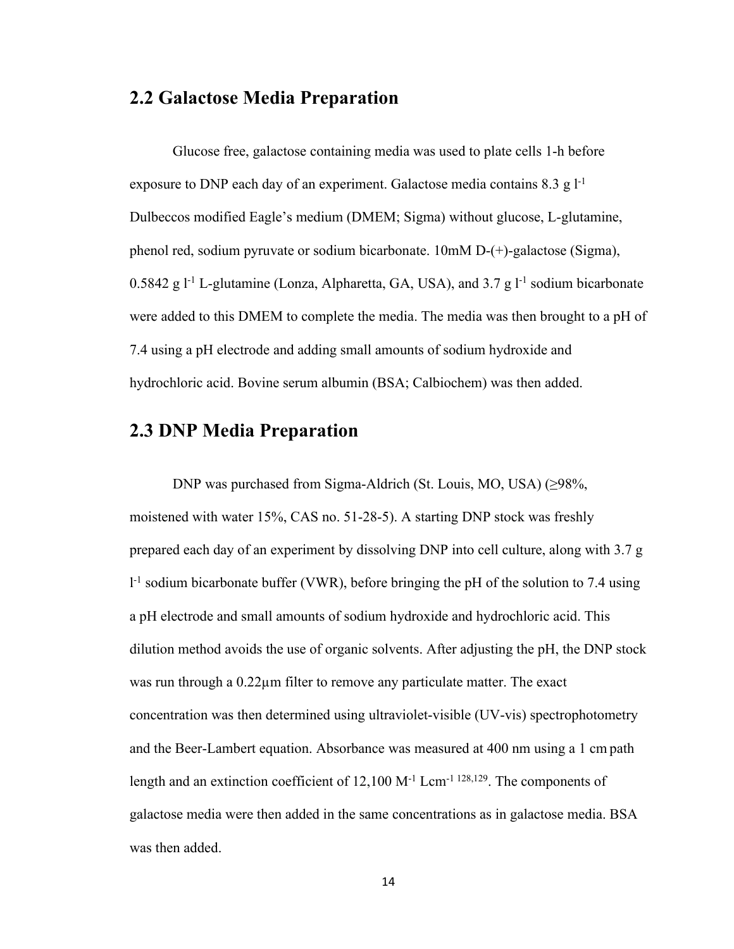#### **2.2 Galactose Media Preparation**

Glucose free, galactose containing media was used to plate cells 1-h before exposure to DNP each day of an experiment. Galactose media contains  $8.3 \text{ g}$  l<sup>-1</sup> Dulbeccos modified Eagle's medium (DMEM; Sigma) without glucose, L-glutamine, phenol red, sodium pyruvate or sodium bicarbonate. 10mM D-(+)-galactose (Sigma), 0.5842 g  $l^{-1}$  L-glutamine (Lonza, Alpharetta, GA, USA), and 3.7 g  $l^{-1}$  sodium bicarbonate were added to this DMEM to complete the media. The media was then brought to a pH of 7.4 using a pH electrode and adding small amounts of sodium hydroxide and hydrochloric acid. Bovine serum albumin (BSA; Calbiochem) was then added.

## **2.3 DNP Media Preparation**

DNP was purchased from Sigma-Aldrich (St. Louis, MO, USA) (≥98%, moistened with water 15%, CAS no. 51-28-5). A starting DNP stock was freshly prepared each day of an experiment by dissolving DNP into cell culture, along with 3.7 g <sup>1-1</sup> sodium bicarbonate buffer (VWR), before bringing the pH of the solution to 7.4 using a pH electrode and small amounts of sodium hydroxide and hydrochloric acid. This dilution method avoids the use of organic solvents. After adjusting the pH, the DNP stock was run through a 0.22µm filter to remove any particulate matter. The exact concentration was then determined using ultraviolet-visible (UV-vis) spectrophotometry and the Beer-Lambert equation. Absorbance was measured at 400 nm using a 1 cm path length and an extinction coefficient of 12,100 M<sup>-1</sup> Lcm<sup>-1 128,129</sup>. The components of galactose media were then added in the same concentrations as in galactose media. BSA was then added.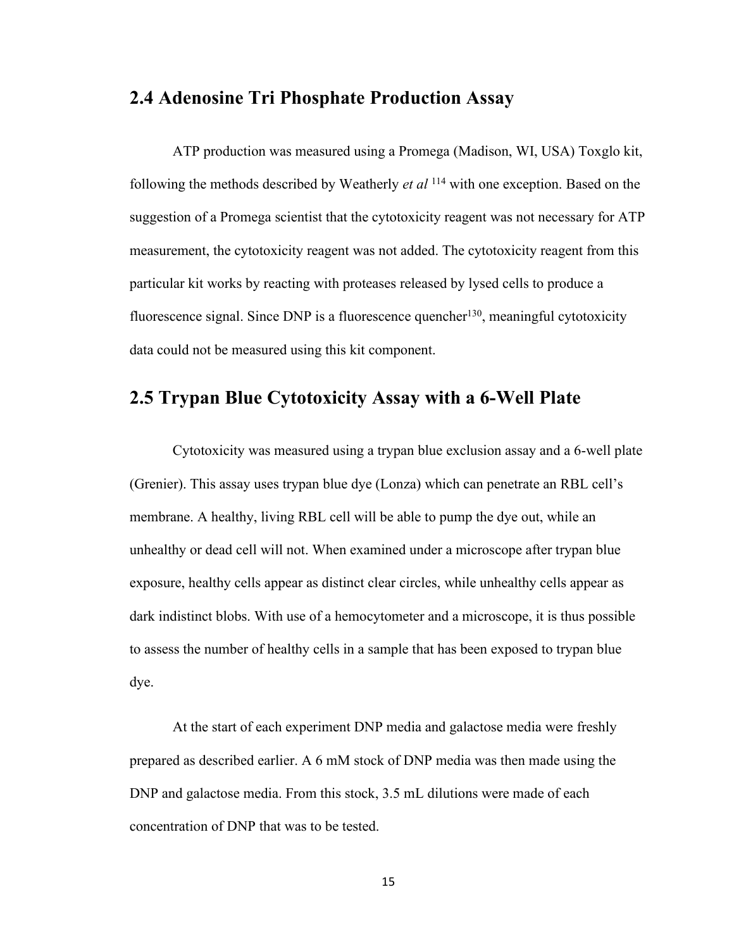#### **2.4 Adenosine Tri Phosphate Production Assay**

ATP production was measured using a Promega (Madison, WI, USA) Toxglo kit, following the methods described by Weatherly *et al* <sup>114</sup> with one exception. Based on the suggestion of a Promega scientist that the cytotoxicity reagent was not necessary for ATP measurement, the cytotoxicity reagent was not added. The cytotoxicity reagent from this particular kit works by reacting with proteases released by lysed cells to produce a fluorescence signal. Since DNP is a fluorescence quencher<sup>130</sup>, meaningful cytotoxicity data could not be measured using this kit component.

## **2.5 Trypan Blue Cytotoxicity Assay with a 6-Well Plate**

Cytotoxicity was measured using a trypan blue exclusion assay and a 6-well plate (Grenier). This assay uses trypan blue dye (Lonza) which can penetrate an RBL cell's membrane. A healthy, living RBL cell will be able to pump the dye out, while an unhealthy or dead cell will not. When examined under a microscope after trypan blue exposure, healthy cells appear as distinct clear circles, while unhealthy cells appear as dark indistinct blobs. With use of a hemocytometer and a microscope, it is thus possible to assess the number of healthy cells in a sample that has been exposed to trypan blue dye.

At the start of each experiment DNP media and galactose media were freshly prepared as described earlier. A 6 mM stock of DNP media was then made using the DNP and galactose media. From this stock, 3.5 mL dilutions were made of each concentration of DNP that was to be tested.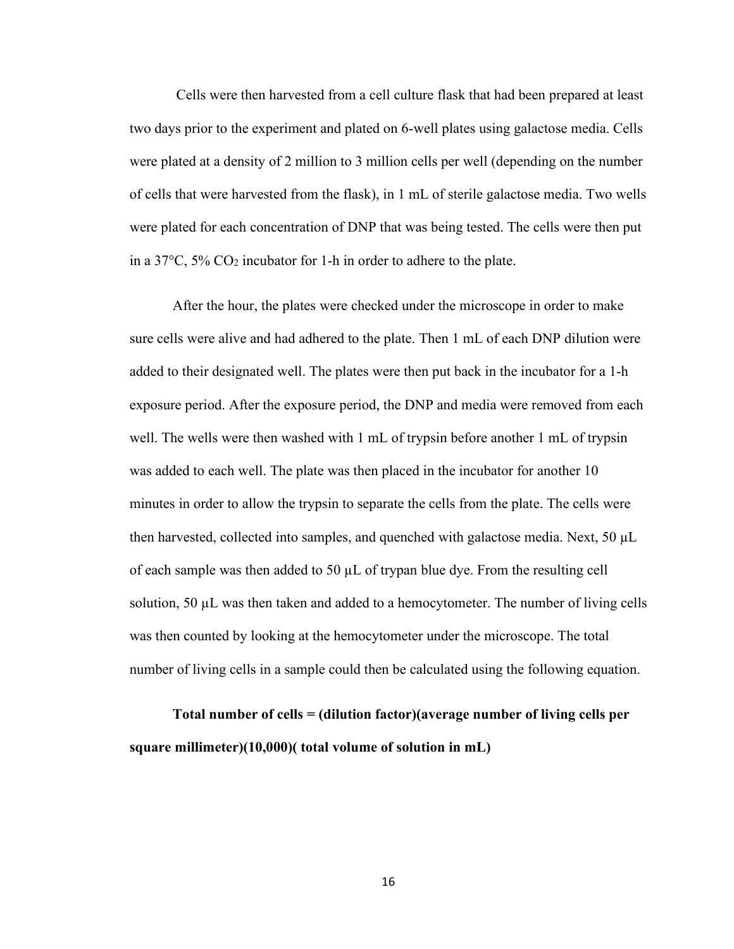Cells were then harvested from a cell culture flask that had been prepared at least two days prior to the experiment and plated on 6-well plates using galactose media. Cells were plated at a density of 2 million to 3 million cells per well (depending on the number of cells that were harvested from the flask), in 1 mL of sterile galactose media. Two wells were plated for each concentration of DNP that was being tested. The cells were then put in a  $37^{\circ}$ C,  $5\%$  CO<sub>2</sub> incubator for 1-h in order to adhere to the plate.

After the hour, the plates were checked under the microscope in order to make sure cells were alive and had adhered to the plate. Then 1 mL of each DNP dilution were added to their designated well. The plates were then put back in the incubator for a 1-h exposure period. After the exposure period, the DNP and media were removed from each well. The wells were then washed with 1 mL of trypsin before another 1 mL of trypsin was added to each well. The plate was then placed in the incubator for another 10 minutes in order to allow the trypsin to separate the cells from the plate. The cells were then harvested, collected into samples, and quenched with galactose media. Next,  $50 \mu L$ of each sample was then added to 50  $\mu$ L of trypan blue dye. From the resulting cell solution, 50 µL was then taken and added to a hemocytometer. The number of living cells was then counted by looking at the hemocytometer under the microscope. The total number of living cells in a sample could then be calculated using the following equation.

**Total number of cells = (dilution factor)(average number of living cells per square millimeter)(10,000)( total volume of solution in mL)**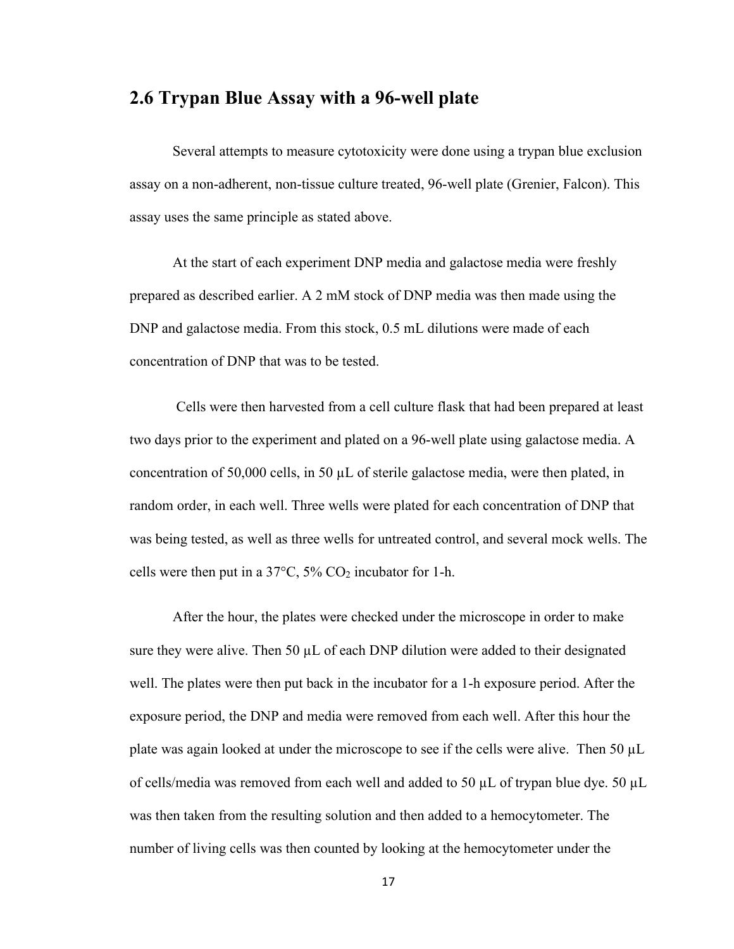#### **2.6 Trypan Blue Assay with a 96-well plate**

Several attempts to measure cytotoxicity were done using a trypan blue exclusion assay on a non-adherent, non-tissue culture treated, 96-well plate (Grenier, Falcon). This assay uses the same principle as stated above.

At the start of each experiment DNP media and galactose media were freshly prepared as described earlier. A 2 mM stock of DNP media was then made using the DNP and galactose media. From this stock, 0.5 mL dilutions were made of each concentration of DNP that was to be tested.

Cells were then harvested from a cell culture flask that had been prepared at least two days prior to the experiment and plated on a 96-well plate using galactose media. A concentration of 50,000 cells, in 50  $\mu$ L of sterile galactose media, were then plated, in random order, in each well. Three wells were plated for each concentration of DNP that was being tested, as well as three wells for untreated control, and several mock wells. The cells were then put in a  $37^{\circ}$ C,  $5\%$  CO<sub>2</sub> incubator for 1-h.

After the hour, the plates were checked under the microscope in order to make sure they were alive. Then 50  $\mu$ L of each DNP dilution were added to their designated well. The plates were then put back in the incubator for a 1-h exposure period. After the exposure period, the DNP and media were removed from each well. After this hour the plate was again looked at under the microscope to see if the cells were alive. Then 50 µL of cells/media was removed from each well and added to 50 µL of trypan blue dye. 50 µL was then taken from the resulting solution and then added to a hemocytometer. The number of living cells was then counted by looking at the hemocytometer under the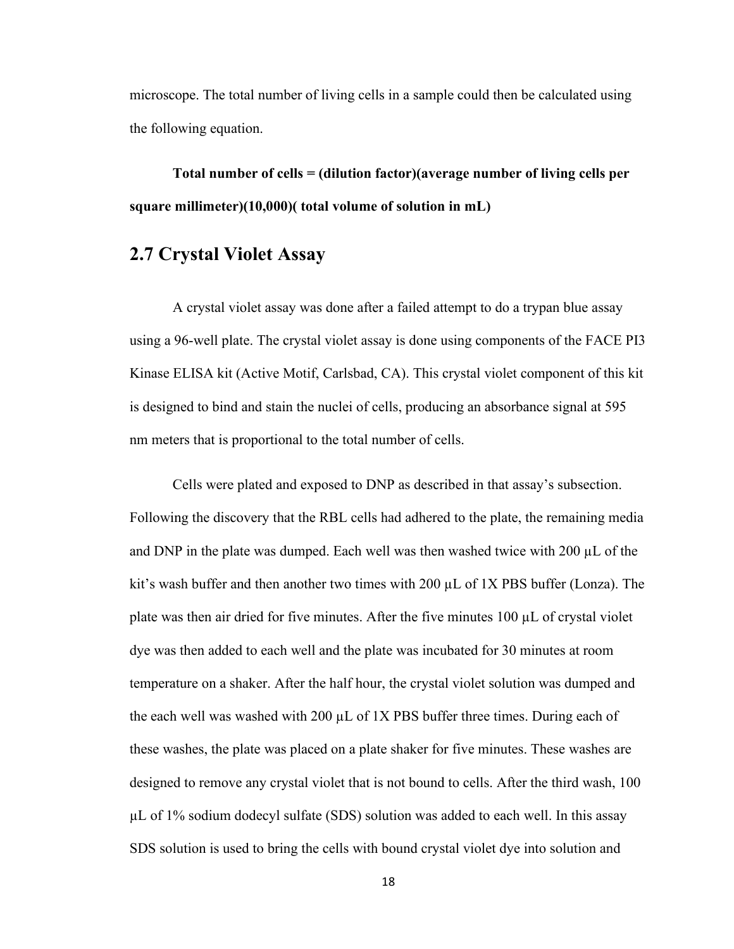microscope. The total number of living cells in a sample could then be calculated using the following equation.

**Total number of cells = (dilution factor)(average number of living cells per square millimeter)(10,000)( total volume of solution in mL)**

## **2.7 Crystal Violet Assay**

A crystal violet assay was done after a failed attempt to do a trypan blue assay using a 96-well plate. The crystal violet assay is done using components of the FACE PI3 Kinase ELISA kit (Active Motif, Carlsbad, CA). This crystal violet component of this kit is designed to bind and stain the nuclei of cells, producing an absorbance signal at 595 nm meters that is proportional to the total number of cells.

Cells were plated and exposed to DNP as described in that assay's subsection. Following the discovery that the RBL cells had adhered to the plate, the remaining media and DNP in the plate was dumped. Each well was then washed twice with 200 µL of the kit's wash buffer and then another two times with  $200 \mu L$  of 1X PBS buffer (Lonza). The plate was then air dried for five minutes. After the five minutes  $100 \mu L$  of crystal violet dye was then added to each well and the plate was incubated for 30 minutes at room temperature on a shaker. After the half hour, the crystal violet solution was dumped and the each well was washed with 200  $\mu$ L of 1X PBS buffer three times. During each of these washes, the plate was placed on a plate shaker for five minutes. These washes are designed to remove any crystal violet that is not bound to cells. After the third wash, 100 µL of 1% sodium dodecyl sulfate (SDS) solution was added to each well. In this assay SDS solution is used to bring the cells with bound crystal violet dye into solution and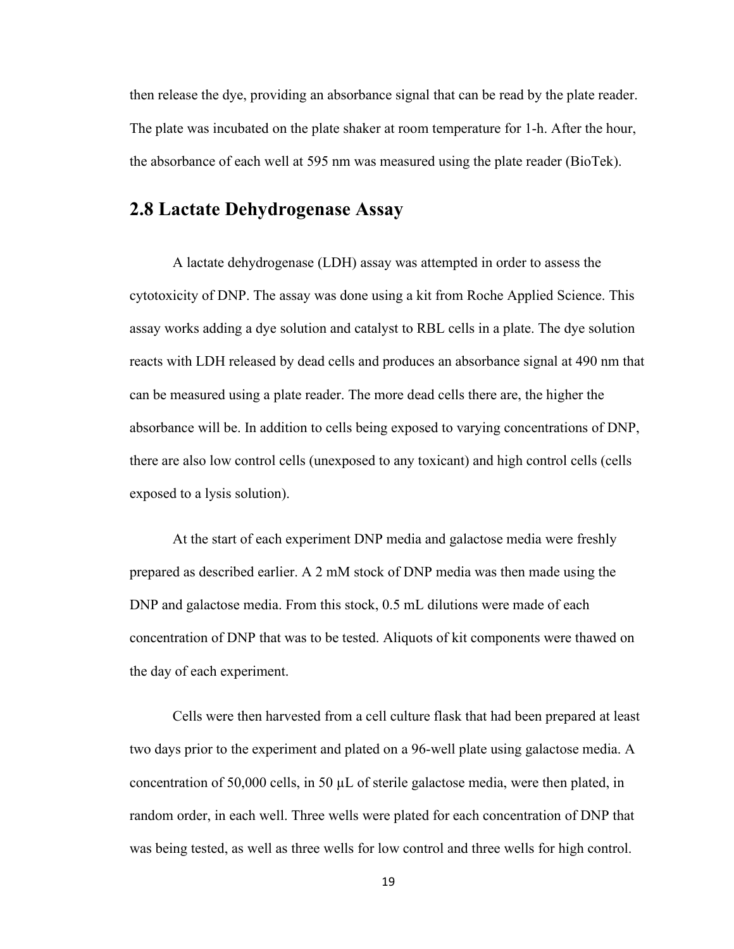then release the dye, providing an absorbance signal that can be read by the plate reader. The plate was incubated on the plate shaker at room temperature for 1-h. After the hour, the absorbance of each well at 595 nm was measured using the plate reader (BioTek).

## **2.8 Lactate Dehydrogenase Assay**

A lactate dehydrogenase (LDH) assay was attempted in order to assess the cytotoxicity of DNP. The assay was done using a kit from Roche Applied Science. This assay works adding a dye solution and catalyst to RBL cells in a plate. The dye solution reacts with LDH released by dead cells and produces an absorbance signal at 490 nm that can be measured using a plate reader. The more dead cells there are, the higher the absorbance will be. In addition to cells being exposed to varying concentrations of DNP, there are also low control cells (unexposed to any toxicant) and high control cells (cells exposed to a lysis solution).

At the start of each experiment DNP media and galactose media were freshly prepared as described earlier. A 2 mM stock of DNP media was then made using the DNP and galactose media. From this stock, 0.5 mL dilutions were made of each concentration of DNP that was to be tested. Aliquots of kit components were thawed on the day of each experiment.

Cells were then harvested from a cell culture flask that had been prepared at least two days prior to the experiment and plated on a 96-well plate using galactose media. A concentration of 50,000 cells, in 50 µL of sterile galactose media, were then plated, in random order, in each well. Three wells were plated for each concentration of DNP that was being tested, as well as three wells for low control and three wells for high control.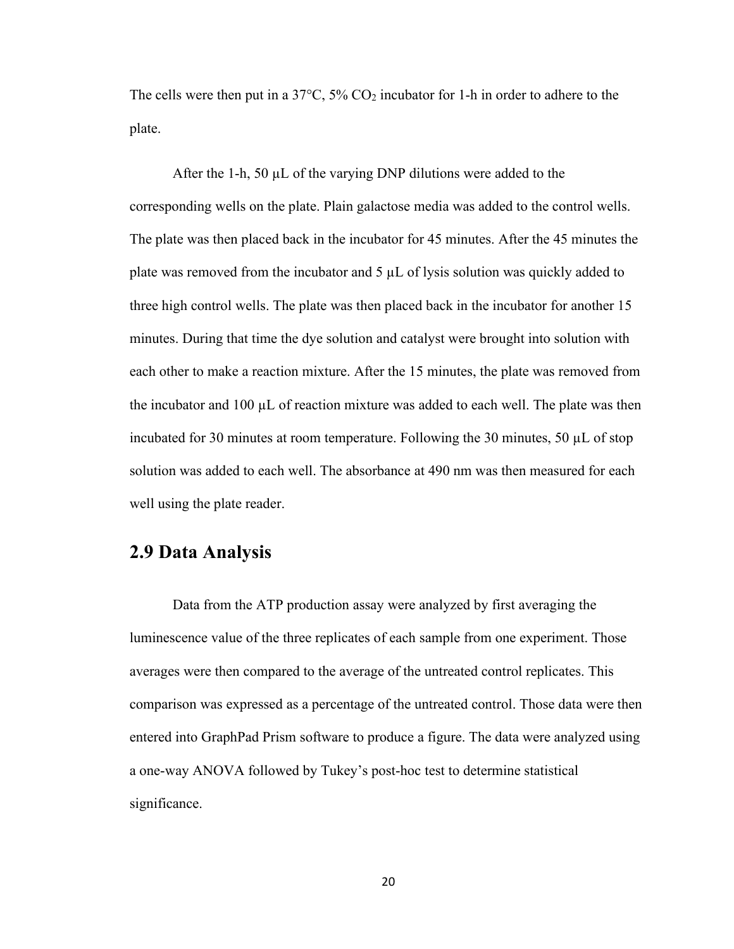The cells were then put in a  $37^{\circ}$ C,  $5\%$  CO<sub>2</sub> incubator for 1-h in order to adhere to the plate.

After the 1-h, 50  $\mu$ L of the varying DNP dilutions were added to the corresponding wells on the plate. Plain galactose media was added to the control wells. The plate was then placed back in the incubator for 45 minutes. After the 45 minutes the plate was removed from the incubator and  $5 \mu L$  of lysis solution was quickly added to three high control wells. The plate was then placed back in the incubator for another 15 minutes. During that time the dye solution and catalyst were brought into solution with each other to make a reaction mixture. After the 15 minutes, the plate was removed from the incubator and  $100 \mu L$  of reaction mixture was added to each well. The plate was then incubated for 30 minutes at room temperature. Following the 30 minutes, 50 µL of stop solution was added to each well. The absorbance at 490 nm was then measured for each well using the plate reader.

## **2.9 Data Analysis**

Data from the ATP production assay were analyzed by first averaging the luminescence value of the three replicates of each sample from one experiment. Those averages were then compared to the average of the untreated control replicates. This comparison was expressed as a percentage of the untreated control. Those data were then entered into GraphPad Prism software to produce a figure. The data were analyzed using a one-way ANOVA followed by Tukey's post-hoc test to determine statistical significance.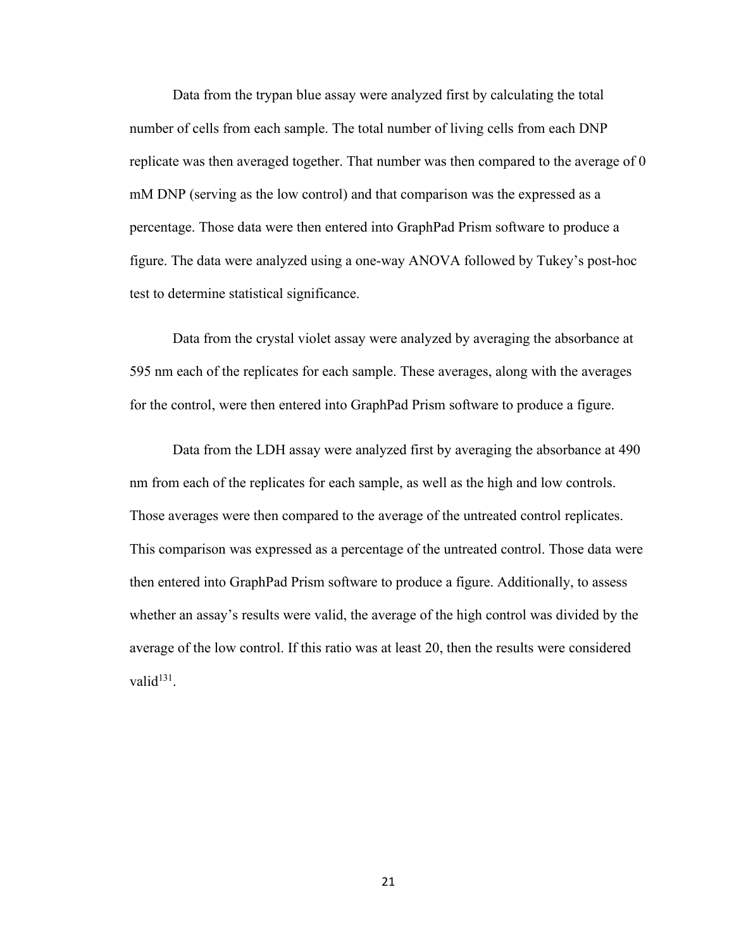Data from the trypan blue assay were analyzed first by calculating the total number of cells from each sample. The total number of living cells from each DNP replicate was then averaged together. That number was then compared to the average of 0 mM DNP (serving as the low control) and that comparison was the expressed as a percentage. Those data were then entered into GraphPad Prism software to produce a figure. The data were analyzed using a one-way ANOVA followed by Tukey's post-hoc test to determine statistical significance.

Data from the crystal violet assay were analyzed by averaging the absorbance at 595 nm each of the replicates for each sample. These averages, along with the averages for the control, were then entered into GraphPad Prism software to produce a figure.

Data from the LDH assay were analyzed first by averaging the absorbance at 490 nm from each of the replicates for each sample, as well as the high and low controls. Those averages were then compared to the average of the untreated control replicates. This comparison was expressed as a percentage of the untreated control. Those data were then entered into GraphPad Prism software to produce a figure. Additionally, to assess whether an assay's results were valid, the average of the high control was divided by the average of the low control. If this ratio was at least 20, then the results were considered valid $131$ .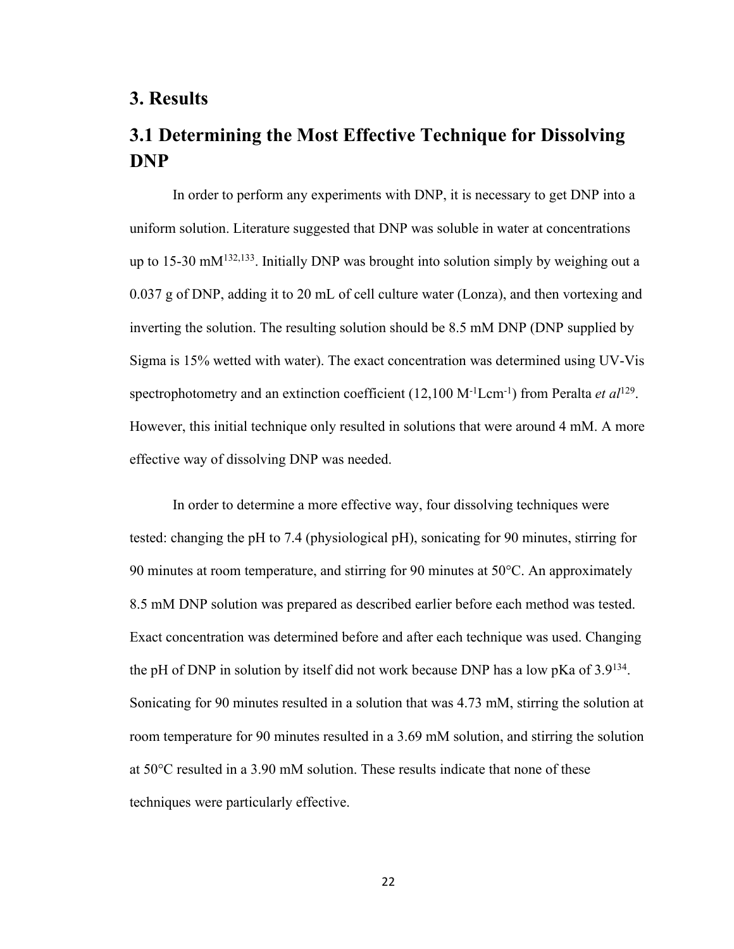### **3. Results**

# **3.1 Determining the Most Effective Technique for Dissolving DNP**

In order to perform any experiments with DNP, it is necessary to get DNP into a uniform solution. Literature suggested that DNP was soluble in water at concentrations up to 15-30 mM<sup>132,133</sup>. Initially DNP was brought into solution simply by weighing out a 0.037 g of DNP, adding it to 20 mL of cell culture water (Lonza), and then vortexing and inverting the solution. The resulting solution should be 8.5 mM DNP (DNP supplied by Sigma is 15% wetted with water). The exact concentration was determined using UV-Vis spectrophotometry and an extinction coefficient (12,100 M-1Lcm-1) from Peralta *et al*129. However, this initial technique only resulted in solutions that were around 4 mM. A more effective way of dissolving DNP was needed.

In order to determine a more effective way, four dissolving techniques were tested: changing the pH to 7.4 (physiological pH), sonicating for 90 minutes, stirring for 90 minutes at room temperature, and stirring for 90 minutes at 50°C. An approximately 8.5 mM DNP solution was prepared as described earlier before each method was tested. Exact concentration was determined before and after each technique was used. Changing the pH of DNP in solution by itself did not work because DNP has a low pKa of  $3.9^{134}$ . Sonicating for 90 minutes resulted in a solution that was 4.73 mM, stirring the solution at room temperature for 90 minutes resulted in a 3.69 mM solution, and stirring the solution at 50°C resulted in a 3.90 mM solution. These results indicate that none of these techniques were particularly effective.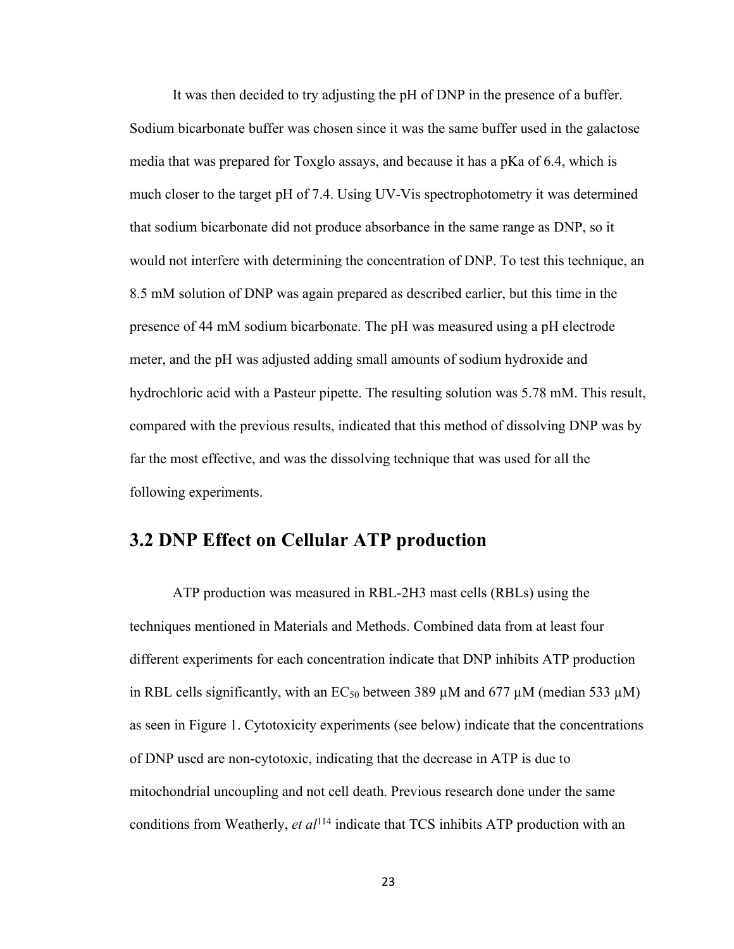It was then decided to try adjusting the pH of DNP in the presence of a buffer. Sodium bicarbonate buffer was chosen since it was the same buffer used in the galactose media that was prepared for Toxglo assays, and because it has a pKa of 6.4, which is much closer to the target pH of 7.4. Using UV-Vis spectrophotometry it was determined that sodium bicarbonate did not produce absorbance in the same range as DNP, so it would not interfere with determining the concentration of DNP. To test this technique, an 8.5 mM solution of DNP was again prepared as described earlier, but this time in the presence of 44 mM sodium bicarbonate. The pH was measured using a pH electrode meter, and the pH was adjusted adding small amounts of sodium hydroxide and hydrochloric acid with a Pasteur pipette. The resulting solution was 5.78 mM. This result, compared with the previous results, indicated that this method of dissolving DNP was by far the most effective, and was the dissolving technique that was used for all the following experiments.

## **3.2 DNP Effect on Cellular ATP production**

ATP production was measured in RBL-2H3 mast cells (RBLs) using the techniques mentioned in Materials and Methods. Combined data from at least four different experiments for each concentration indicate that DNP inhibits ATP production in RBL cells significantly, with an  $EC_{50}$  between 389  $\mu$ M and 677  $\mu$ M (median 533  $\mu$ M) as seen in Figure 1. Cytotoxicity experiments (see below) indicate that the concentrations of DNP used are non-cytotoxic, indicating that the decrease in ATP is due to mitochondrial uncoupling and not cell death. Previous research done under the same conditions from Weatherly, *et al*<sup>114</sup> indicate that TCS inhibits ATP production with an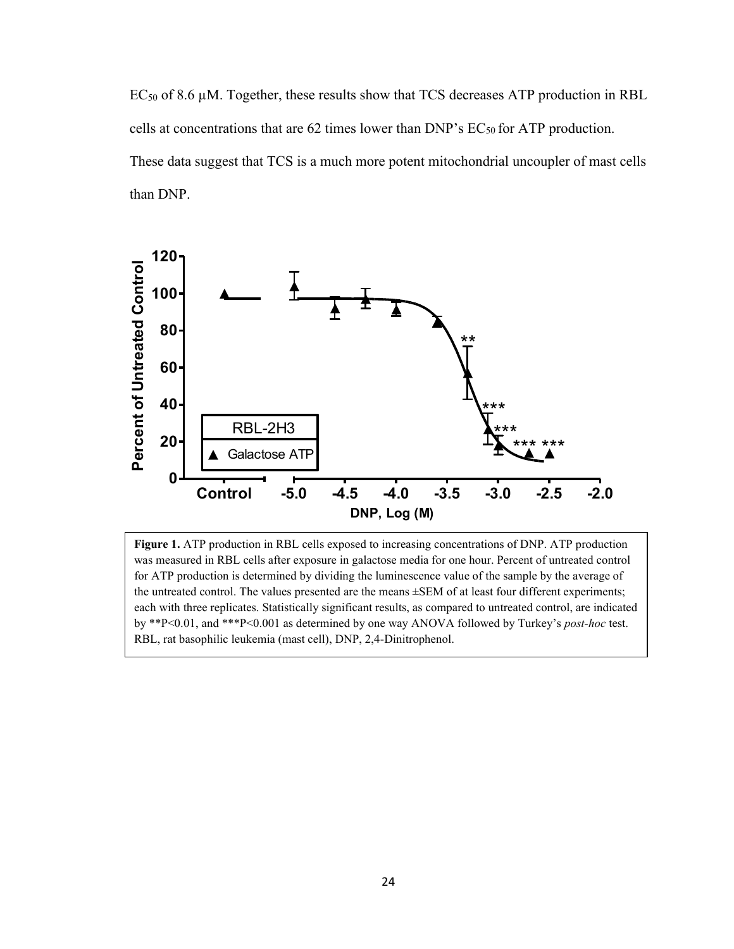$EC_{50}$  of 8.6  $\mu$ M. Together, these results show that TCS decreases ATP production in RBL cells at concentrations that are 62 times lower than DNP's EC<sub>50</sub> for ATP production. These data suggest that TCS is a much more potent mitochondrial uncoupler of mast cells than DNP.



**Figure 1.** ATP production in RBL cells exposed to increasing concentrations of DNP. ATP production was measured in RBL cells after exposure in galactose media for one hour. Percent of untreated control for ATP production is determined by dividing the luminescence value of the sample by the average of the untreated control. The values presented are the means ±SEM of at least four different experiments; each with three replicates. Statistically significant results, as compared to untreated control, are indicated by \*\*P<0.01, and \*\*\*P<0.001 as determined by one way ANOVA followed by Turkey's *post-hoc* test. RBL, rat basophilic leukemia (mast cell), DNP, 2,4-Dinitrophenol.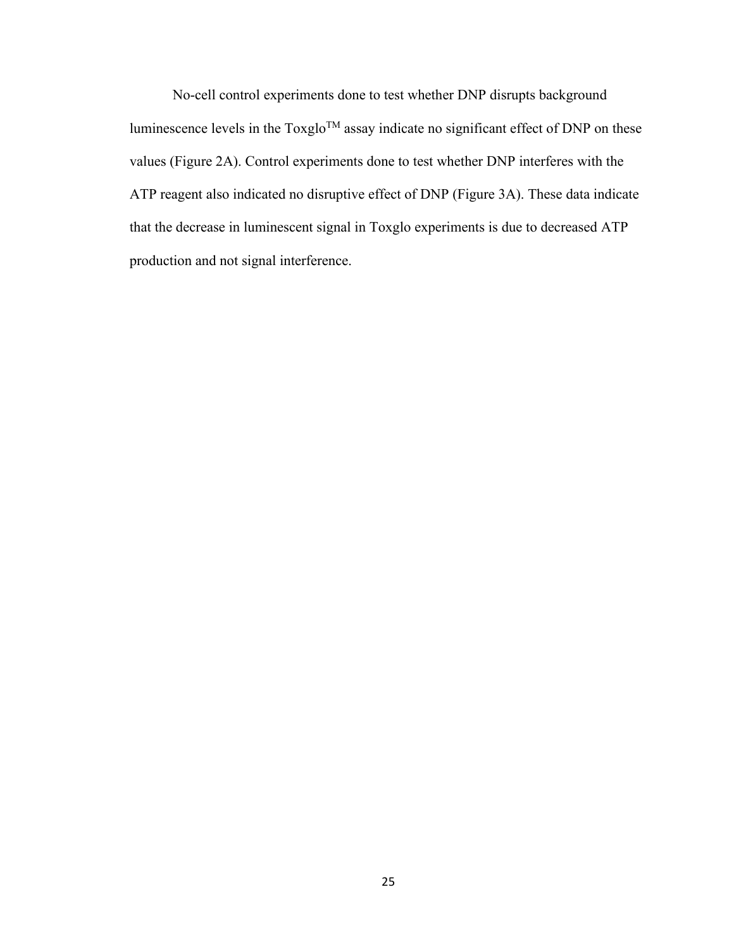No-cell control experiments done to test whether DNP disrupts background luminescence levels in the Toxglo<sup>TM</sup> assay indicate no significant effect of DNP on these values (Figure 2A). Control experiments done to test whether DNP interferes with the ATP reagent also indicated no disruptive effect of DNP (Figure 3A). These data indicate that the decrease in luminescent signal in Toxglo experiments is due to decreased ATP production and not signal interference.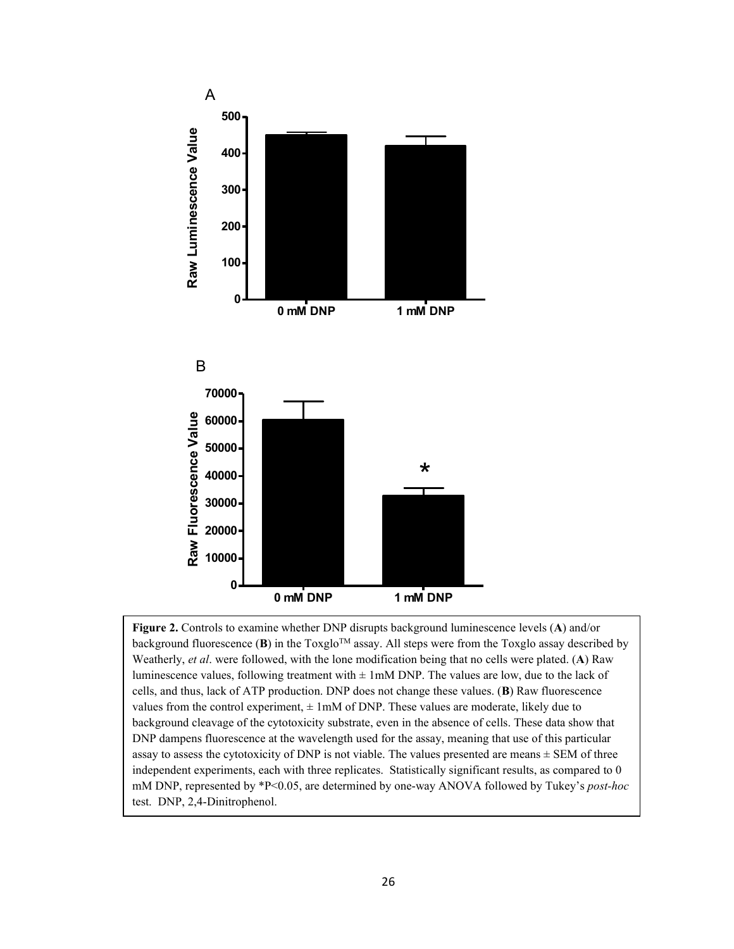

**Figure 2.** Controls to examine whether DNP disrupts background luminescence levels (**A**) and/or background fluorescence (**B**) in the Toxglo<sup>TM</sup> assay. All steps were from the Toxglo assay described by Weatherly, *et al*. were followed, with the lone modification being that no cells were plated. (**A**) Raw luminescence values, following treatment with  $\pm 1$  mM DNP. The values are low, due to the lack of cells, and thus, lack of ATP production. DNP does not change these values. (**B**) Raw fluorescence values from the control experiment,  $\pm 1$  mM of DNP. These values are moderate, likely due to background cleavage of the cytotoxicity substrate, even in the absence of cells. These data show that DNP dampens fluorescence at the wavelength used for the assay, meaning that use of this particular assay to assess the cytotoxicity of DNP is not viable. The values presented are means  $\pm$  SEM of three independent experiments, each with three replicates. Statistically significant results, as compared to 0 mM DNP, represented by \*P<0.05, are determined by one-way ANOVA followed by Tukey's *post-hoc*  test. DNP, 2,4-Dinitrophenol.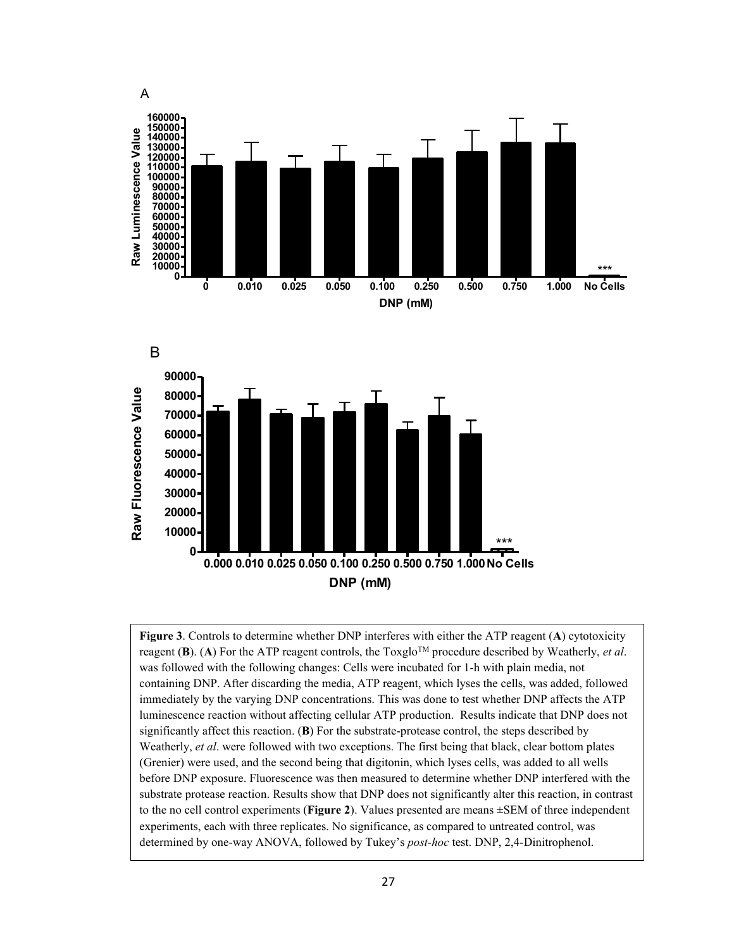



**Figure 3**. Controls to determine whether DNP interferes with either the ATP reagent (**A**) cytotoxicity reagent  $(B)$ . (A) For the ATP reagent controls, the Toxglo<sup>TM</sup> procedure described by Weatherly, *et al*. was followed with the following changes: Cells were incubated for 1-h with plain media, not containing DNP. After discarding the media, ATP reagent, which lyses the cells, was added, followed immediately by the varying DNP concentrations. This was done to test whether DNP affects the ATP luminescence reaction without affecting cellular ATP production. Results indicate that DNP does not significantly affect this reaction. (**B**) For the substrate-protease control, the steps described by Weatherly, *et al*. were followed with two exceptions. The first being that black, clear bottom plates (Grenier) were used, and the second being that digitonin, which lyses cells, was added to all wells before DNP exposure. Fluorescence was then measured to determine whether DNP interfered with the substrate protease reaction. Results show that DNP does not significantly alter this reaction, in contrast to the no cell control experiments (**Figure 2**). Values presented are means ±SEM of three independent experiments, each with three replicates. No significance, as compared to untreated control, was determined by one-way ANOVA, followed by Tukey's *post-hoc* test. DNP, 2,4-Dinitrophenol.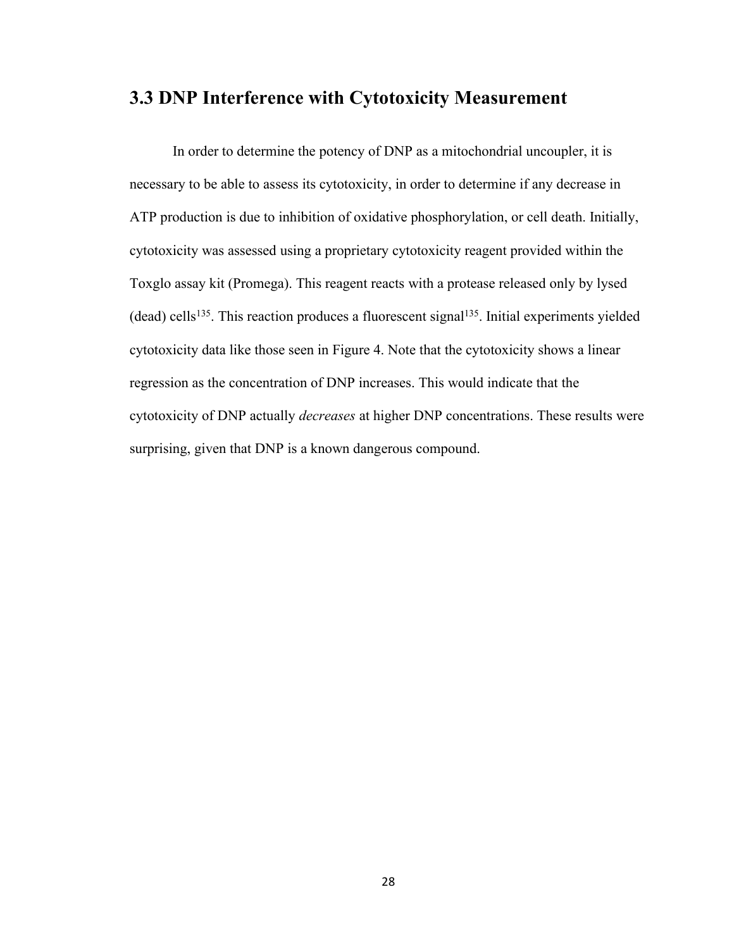## **3.3 DNP Interference with Cytotoxicity Measurement**

In order to determine the potency of DNP as a mitochondrial uncoupler, it is necessary to be able to assess its cytotoxicity, in order to determine if any decrease in ATP production is due to inhibition of oxidative phosphorylation, or cell death. Initially, cytotoxicity was assessed using a proprietary cytotoxicity reagent provided within the Toxglo assay kit (Promega). This reagent reacts with a protease released only by lysed  $(dead)$  cells<sup>135</sup>. This reaction produces a fluorescent signal<sup>135</sup>. Initial experiments yielded cytotoxicity data like those seen in Figure 4. Note that the cytotoxicity shows a linear regression as the concentration of DNP increases. This would indicate that the cytotoxicity of DNP actually *decreases* at higher DNP concentrations. These results were surprising, given that DNP is a known dangerous compound.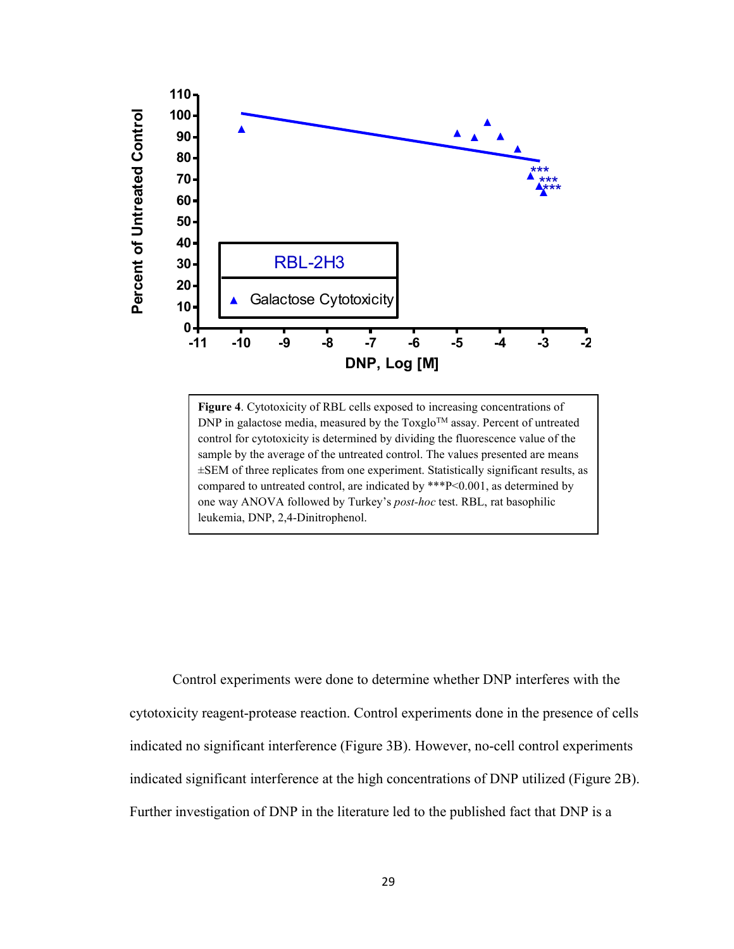

**Figure 4**. Cytotoxicity of RBL cells exposed to increasing concentrations of  $DNP$  in galactose media, measured by the Toxglo<sup>TM</sup> assay. Percent of untreated control for cytotoxicity is determined by dividing the fluorescence value of the sample by the average of the untreated control. The values presented are means ±SEM of three replicates from one experiment. Statistically significant results, as compared to untreated control, are indicated by \*\*\*P<0.001, as determined by one way ANOVA followed by Turkey's *post-hoc* test. RBL, rat basophilic leukemia, DNP, 2,4-Dinitrophenol.

Control experiments were done to determine whether DNP interferes with the cytotoxicity reagent-protease reaction. Control experiments done in the presence of cells indicated no significant interference (Figure 3B). However, no-cell control experiments indicated significant interference at the high concentrations of DNP utilized (Figure 2B). Further investigation of DNP in the literature led to the published fact that DNP is a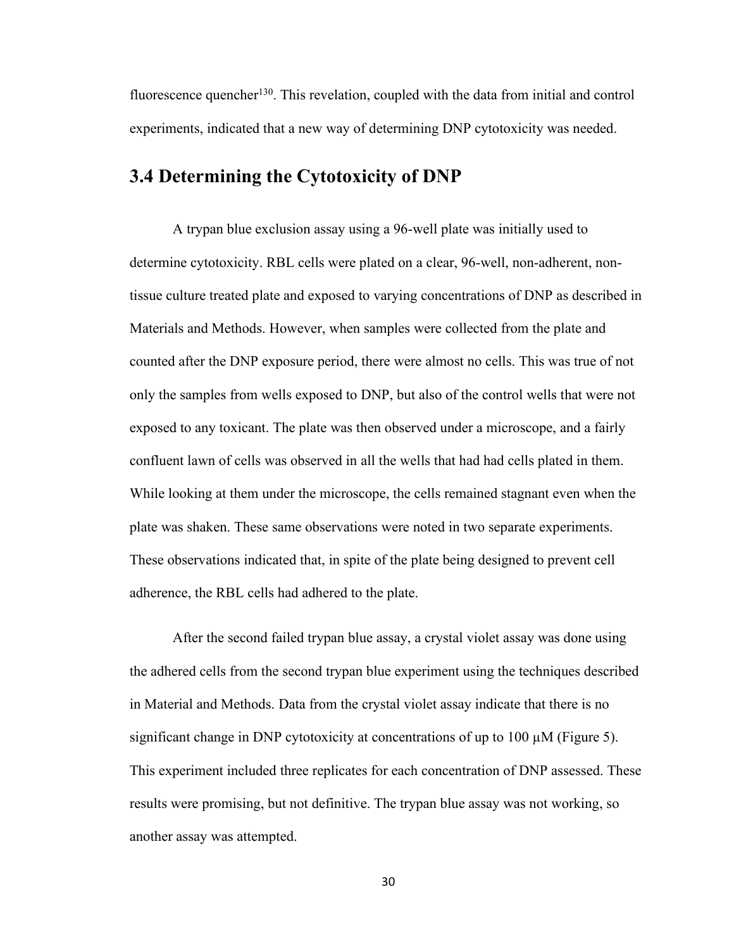fluorescence quencher<sup>130</sup>. This revelation, coupled with the data from initial and control experiments, indicated that a new way of determining DNP cytotoxicity was needed.

## **3.4 Determining the Cytotoxicity of DNP**

A trypan blue exclusion assay using a 96-well plate was initially used to determine cytotoxicity. RBL cells were plated on a clear, 96-well, non-adherent, nontissue culture treated plate and exposed to varying concentrations of DNP as described in Materials and Methods. However, when samples were collected from the plate and counted after the DNP exposure period, there were almost no cells. This was true of not only the samples from wells exposed to DNP, but also of the control wells that were not exposed to any toxicant. The plate was then observed under a microscope, and a fairly confluent lawn of cells was observed in all the wells that had had cells plated in them. While looking at them under the microscope, the cells remained stagnant even when the plate was shaken. These same observations were noted in two separate experiments. These observations indicated that, in spite of the plate being designed to prevent cell adherence, the RBL cells had adhered to the plate.

After the second failed trypan blue assay, a crystal violet assay was done using the adhered cells from the second trypan blue experiment using the techniques described in Material and Methods. Data from the crystal violet assay indicate that there is no significant change in DNP cytotoxicity at concentrations of up to 100  $\mu$ M (Figure 5). This experiment included three replicates for each concentration of DNP assessed. These results were promising, but not definitive. The trypan blue assay was not working, so another assay was attempted.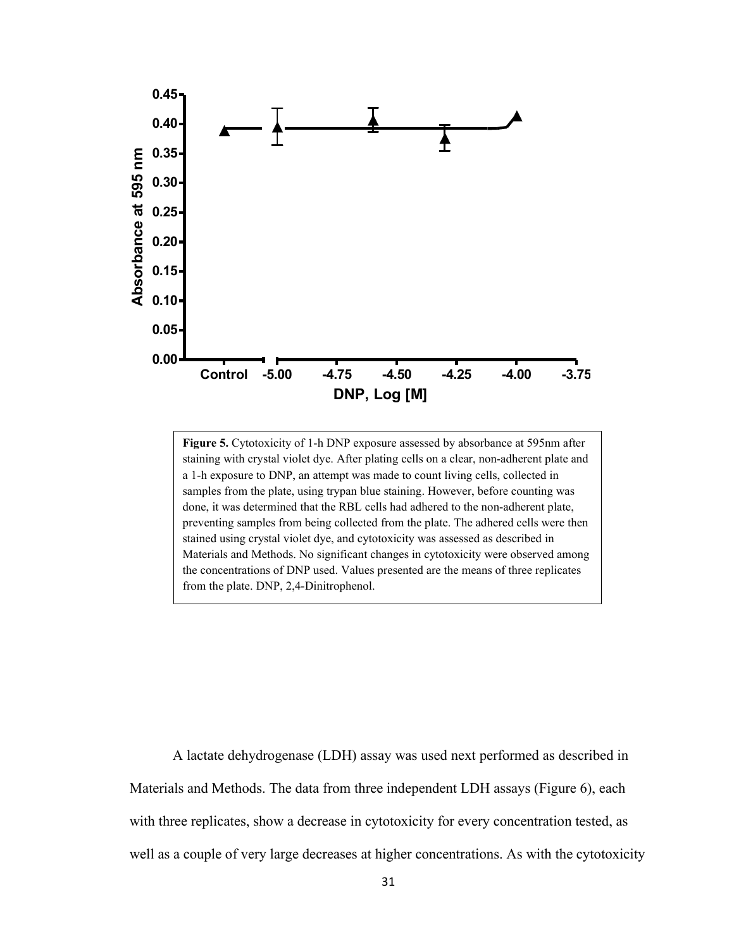

**Figure 5.** Cytotoxicity of 1-h DNP exposure assessed by absorbance at 595nm after staining with crystal violet dye. After plating cells on a clear, non-adherent plate and a 1-h exposure to DNP, an attempt was made to count living cells, collected in samples from the plate, using trypan blue staining. However, before counting was done, it was determined that the RBL cells had adhered to the non-adherent plate, preventing samples from being collected from the plate. The adhered cells were then stained using crystal violet dye, and cytotoxicity was assessed as described in Materials and Methods. No significant changes in cytotoxicity were observed among the concentrations of DNP used. Values presented are the means of three replicates from the plate. DNP, 2,4-Dinitrophenol.

A lactate dehydrogenase (LDH) assay was used next performed as described in Materials and Methods. The data from three independent LDH assays (Figure 6), each with three replicates, show a decrease in cytotoxicity for every concentration tested, as well as a couple of very large decreases at higher concentrations. As with the cytotoxicity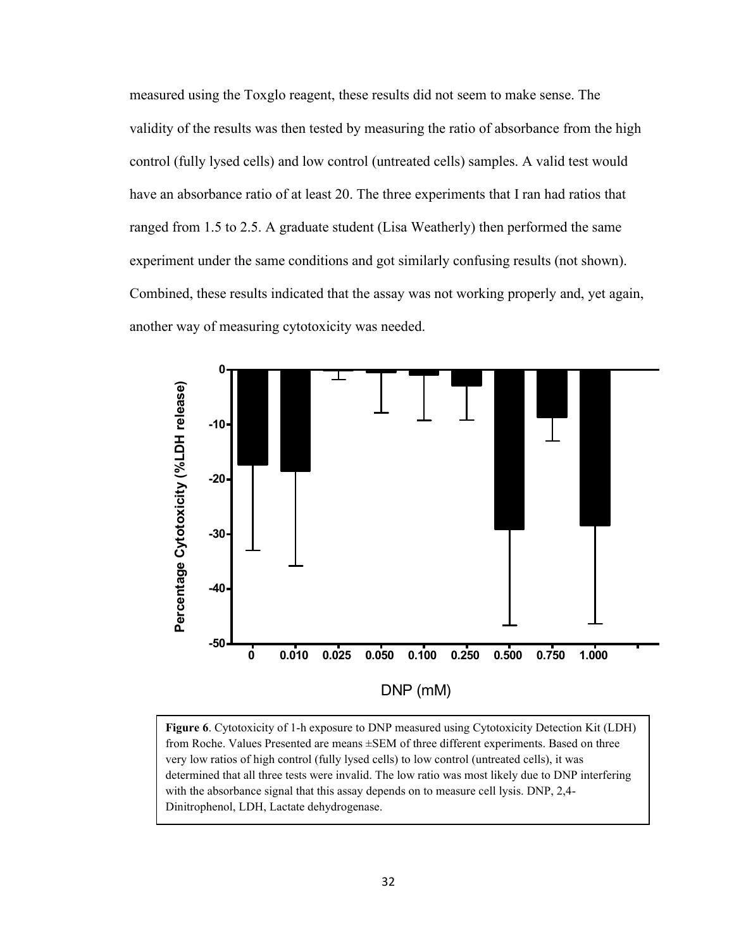measured using the Toxglo reagent, these results did not seem to make sense. The validity of the results was then tested by measuring the ratio of absorbance from the high control (fully lysed cells) and low control (untreated cells) samples. A valid test would have an absorbance ratio of at least 20. The three experiments that I ran had ratios that ranged from 1.5 to 2.5. A graduate student (Lisa Weatherly) then performed the same experiment under the same conditions and got similarly confusing results (not shown). Combined, these results indicated that the assay was not working properly and, yet again, another way of measuring cytotoxicity was needed.



**Figure 6**. Cytotoxicity of 1-h exposure to DNP measured using Cytotoxicity Detection Kit (LDH) from Roche. Values Presented are means ±SEM of three different experiments. Based on three very low ratios of high control (fully lysed cells) to low control (untreated cells), it was determined that all three tests were invalid. The low ratio was most likely due to DNP interfering with the absorbance signal that this assay depends on to measure cell lysis. DNP, 2,4-Dinitrophenol, LDH, Lactate dehydrogenase.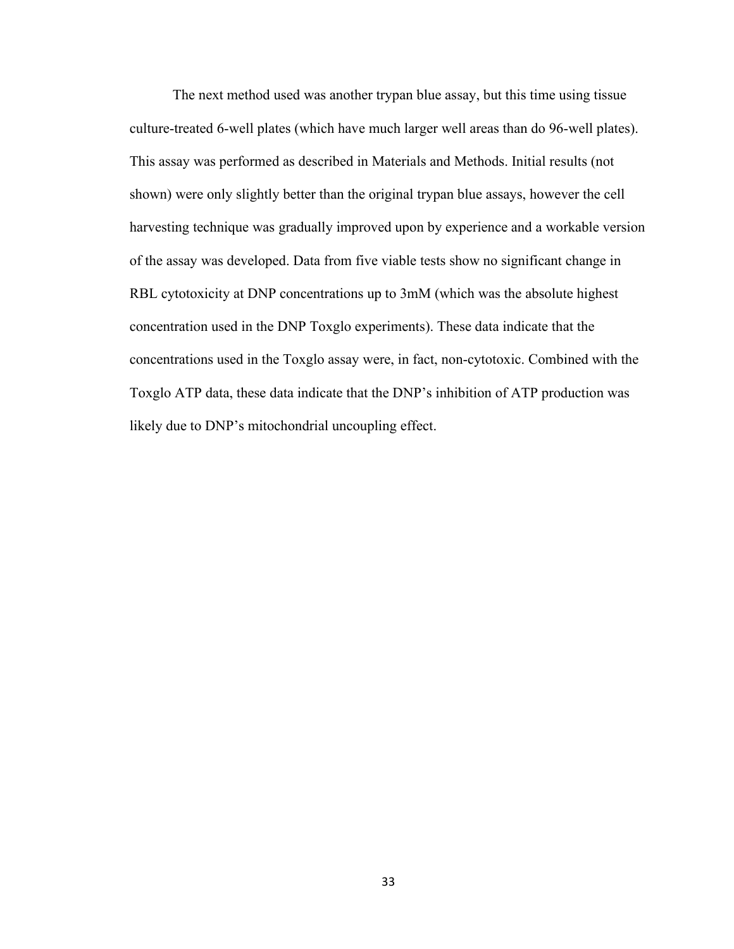The next method used was another trypan blue assay, but this time using tissue culture-treated 6-well plates (which have much larger well areas than do 96-well plates). This assay was performed as described in Materials and Methods. Initial results (not shown) were only slightly better than the original trypan blue assays, however the cell harvesting technique was gradually improved upon by experience and a workable version of the assay was developed. Data from five viable tests show no significant change in RBL cytotoxicity at DNP concentrations up to 3mM (which was the absolute highest concentration used in the DNP Toxglo experiments). These data indicate that the concentrations used in the Toxglo assay were, in fact, non-cytotoxic. Combined with the Toxglo ATP data, these data indicate that the DNP's inhibition of ATP production was likely due to DNP's mitochondrial uncoupling effect.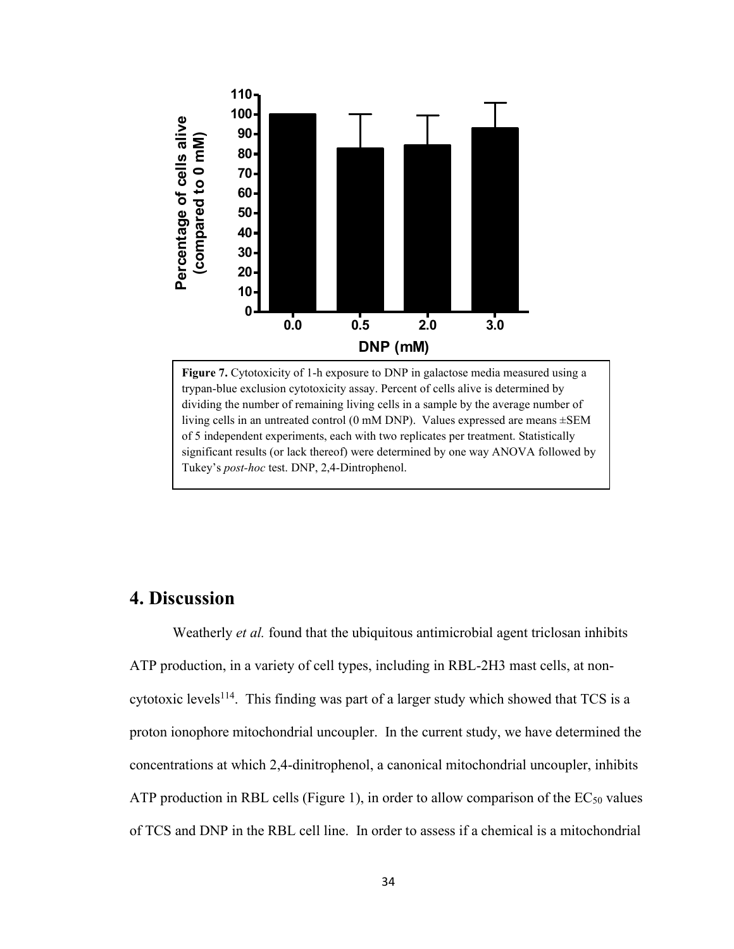

**Figure 7.** Cytotoxicity of 1-h exposure to DNP in galactose media measured using a trypan-blue exclusion cytotoxicity assay. Percent of cells alive is determined by dividing the number of remaining living cells in a sample by the average number of living cells in an untreated control (0 mM DNP). Values expressed are means ±SEM of 5 independent experiments, each with two replicates per treatment. Statistically significant results (or lack thereof) were determined by one way ANOVA followed by Tukey's *post-hoc* test. DNP, 2,4-Dintrophenol.

## **4. Discussion**

Weatherly *et al.* found that the ubiquitous antimicrobial agent triclosan inhibits ATP production, in a variety of cell types, including in RBL-2H3 mast cells, at noncytotoxic levels<sup>114</sup>. This finding was part of a larger study which showed that TCS is a proton ionophore mitochondrial uncoupler. In the current study, we have determined the concentrations at which 2,4-dinitrophenol, a canonical mitochondrial uncoupler, inhibits ATP production in RBL cells (Figure 1), in order to allow comparison of the  $EC_{50}$  values of TCS and DNP in the RBL cell line. In order to assess if a chemical is a mitochondrial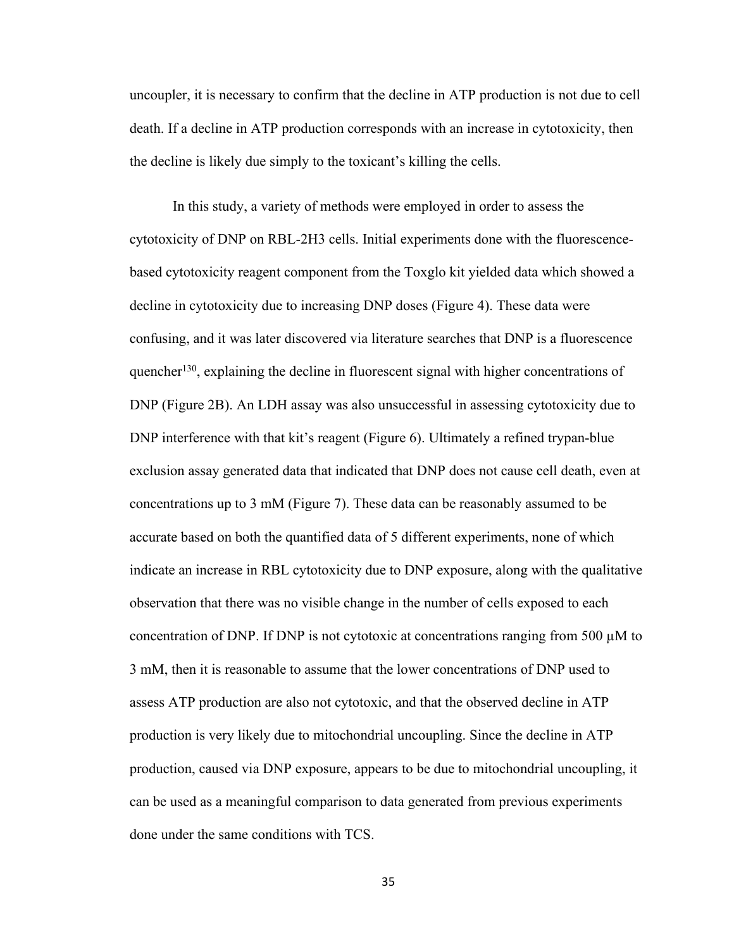uncoupler, it is necessary to confirm that the decline in ATP production is not due to cell death. If a decline in ATP production corresponds with an increase in cytotoxicity, then the decline is likely due simply to the toxicant's killing the cells.

In this study, a variety of methods were employed in order to assess the cytotoxicity of DNP on RBL-2H3 cells. Initial experiments done with the fluorescencebased cytotoxicity reagent component from the Toxglo kit yielded data which showed a decline in cytotoxicity due to increasing DNP doses (Figure 4). These data were confusing, and it was later discovered via literature searches that DNP is a fluorescence quencher<sup>130</sup>, explaining the decline in fluorescent signal with higher concentrations of DNP (Figure 2B). An LDH assay was also unsuccessful in assessing cytotoxicity due to DNP interference with that kit's reagent (Figure 6). Ultimately a refined trypan-blue exclusion assay generated data that indicated that DNP does not cause cell death, even at concentrations up to 3 mM (Figure 7). These data can be reasonably assumed to be accurate based on both the quantified data of 5 different experiments, none of which indicate an increase in RBL cytotoxicity due to DNP exposure, along with the qualitative observation that there was no visible change in the number of cells exposed to each concentration of DNP. If DNP is not cytotoxic at concentrations ranging from 500  $\mu$ M to 3 mM, then it is reasonable to assume that the lower concentrations of DNP used to assess ATP production are also not cytotoxic, and that the observed decline in ATP production is very likely due to mitochondrial uncoupling. Since the decline in ATP production, caused via DNP exposure, appears to be due to mitochondrial uncoupling, it can be used as a meaningful comparison to data generated from previous experiments done under the same conditions with TCS.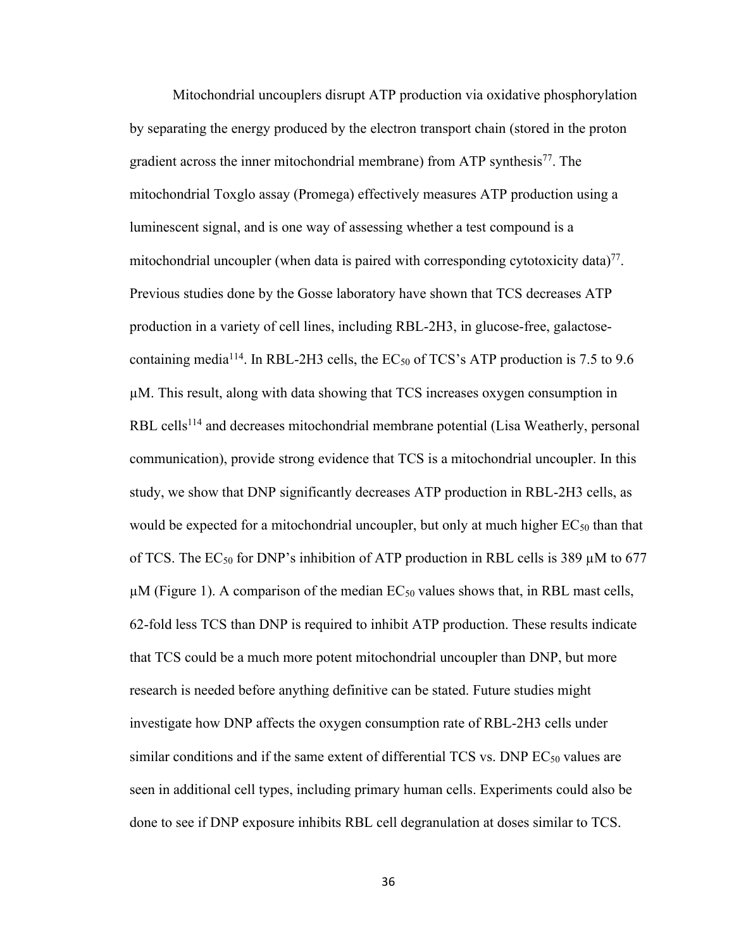Mitochondrial uncouplers disrupt ATP production via oxidative phosphorylation by separating the energy produced by the electron transport chain (stored in the proton gradient across the inner mitochondrial membrane) from ATP synthesis<sup>77</sup>. The mitochondrial Toxglo assay (Promega) effectively measures ATP production using a luminescent signal, and is one way of assessing whether a test compound is a mitochondrial uncoupler (when data is paired with corresponding cytotoxicity data)<sup>77</sup>. Previous studies done by the Gosse laboratory have shown that TCS decreases ATP production in a variety of cell lines, including RBL-2H3, in glucose-free, galactosecontaining media<sup>114</sup>. In RBL-2H3 cells, the EC<sub>50</sub> of TCS's ATP production is 7.5 to 9.6 µM. This result, along with data showing that TCS increases oxygen consumption in RBL cells<sup>114</sup> and decreases mitochondrial membrane potential (Lisa Weatherly, personal communication), provide strong evidence that TCS is a mitochondrial uncoupler. In this study, we show that DNP significantly decreases ATP production in RBL-2H3 cells, as would be expected for a mitochondrial uncoupler, but only at much higher  $EC_{50}$  than that of TCS. The  $EC_{50}$  for DNP's inhibition of ATP production in RBL cells is 389  $\mu$ M to 677  $\mu$ M (Figure 1). A comparison of the median EC<sub>50</sub> values shows that, in RBL mast cells, 62-fold less TCS than DNP is required to inhibit ATP production. These results indicate that TCS could be a much more potent mitochondrial uncoupler than DNP, but more research is needed before anything definitive can be stated. Future studies might investigate how DNP affects the oxygen consumption rate of RBL-2H3 cells under similar conditions and if the same extent of differential TCS vs. DNP  $EC_{50}$  values are seen in additional cell types, including primary human cells. Experiments could also be done to see if DNP exposure inhibits RBL cell degranulation at doses similar to TCS.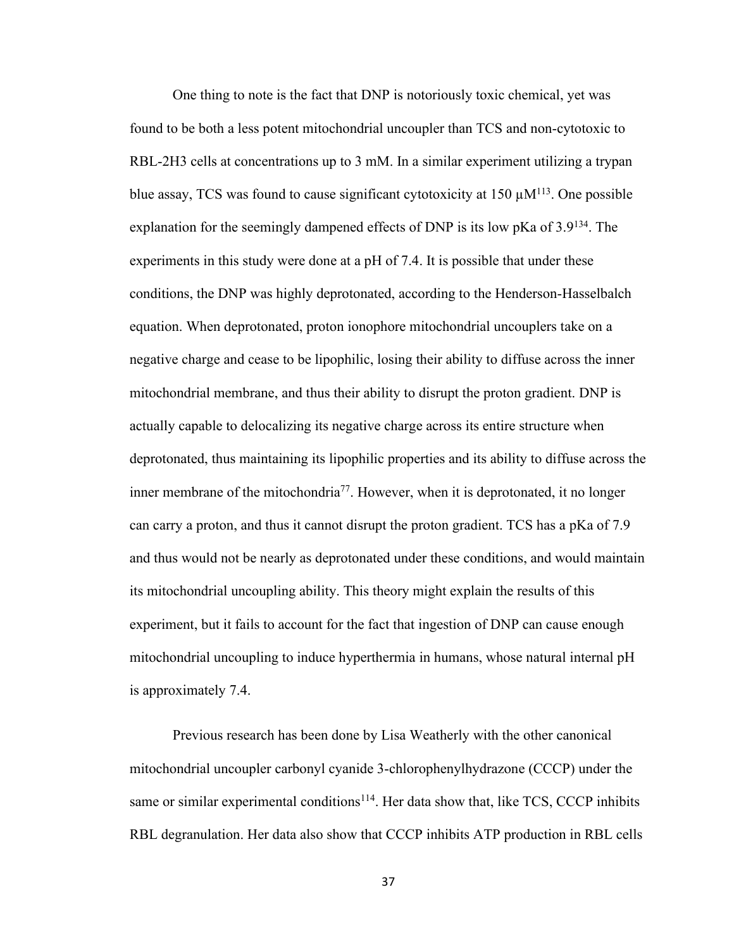One thing to note is the fact that DNP is notoriously toxic chemical, yet was found to be both a less potent mitochondrial uncoupler than TCS and non-cytotoxic to RBL-2H3 cells at concentrations up to 3 mM. In a similar experiment utilizing a trypan blue assay, TCS was found to cause significant cytotoxicity at  $150 \mu M<sup>113</sup>$ . One possible explanation for the seemingly dampened effects of DNP is its low  $pKa$  of  $3.9^{134}$ . The experiments in this study were done at a pH of 7.4. It is possible that under these conditions, the DNP was highly deprotonated, according to the Henderson-Hasselbalch equation. When deprotonated, proton ionophore mitochondrial uncouplers take on a negative charge and cease to be lipophilic, losing their ability to diffuse across the inner mitochondrial membrane, and thus their ability to disrupt the proton gradient. DNP is actually capable to delocalizing its negative charge across its entire structure when deprotonated, thus maintaining its lipophilic properties and its ability to diffuse across the inner membrane of the mitochondria<sup>77</sup>. However, when it is deprotonated, it no longer can carry a proton, and thus it cannot disrupt the proton gradient. TCS has a pKa of 7.9 and thus would not be nearly as deprotonated under these conditions, and would maintain its mitochondrial uncoupling ability. This theory might explain the results of this experiment, but it fails to account for the fact that ingestion of DNP can cause enough mitochondrial uncoupling to induce hyperthermia in humans, whose natural internal pH is approximately 7.4.

Previous research has been done by Lisa Weatherly with the other canonical mitochondrial uncoupler carbonyl cyanide 3-chlorophenylhydrazone (CCCP) under the same or similar experimental conditions<sup>114</sup>. Her data show that, like TCS, CCCP inhibits RBL degranulation. Her data also show that CCCP inhibits ATP production in RBL cells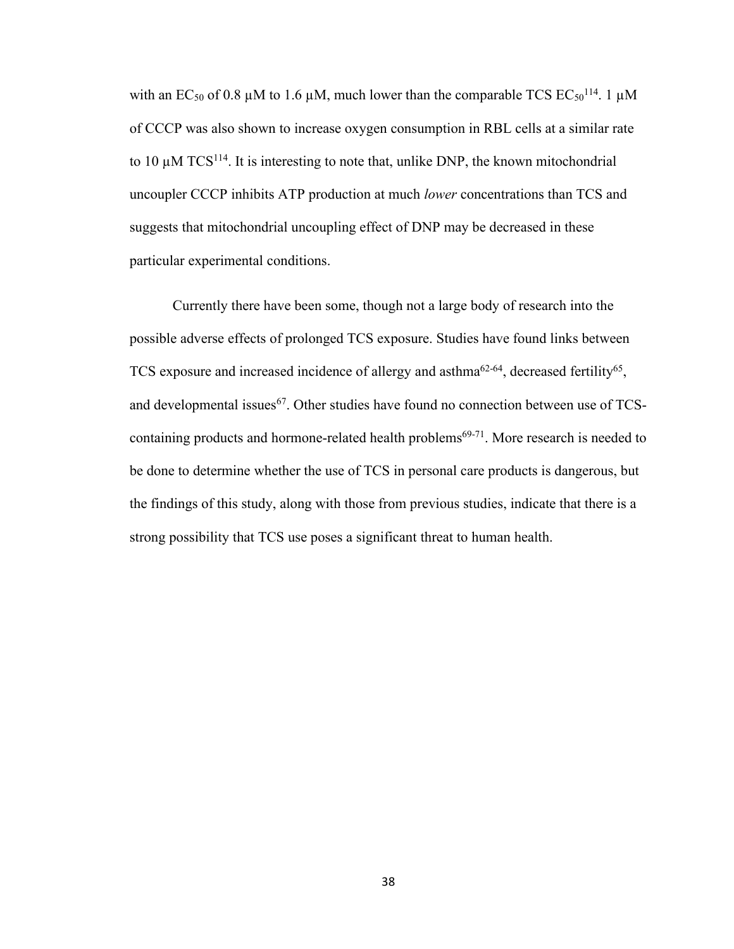with an EC<sub>50</sub> of 0.8  $\mu$ M to 1.6  $\mu$ M, much lower than the comparable TCS EC<sub>50</sub><sup>114</sup>. 1  $\mu$ M of CCCP was also shown to increase oxygen consumption in RBL cells at a similar rate to 10  $\mu$ M TCS<sup>114</sup>. It is interesting to note that, unlike DNP, the known mitochondrial uncoupler CCCP inhibits ATP production at much *lower* concentrations than TCS and suggests that mitochondrial uncoupling effect of DNP may be decreased in these particular experimental conditions.

Currently there have been some, though not a large body of research into the possible adverse effects of prolonged TCS exposure. Studies have found links between TCS exposure and increased incidence of allergy and asthma<sup>62-64</sup>, decreased fertility<sup>65</sup>, and developmental issues<sup>67</sup>. Other studies have found no connection between use of TCScontaining products and hormone-related health problems $69-71$ . More research is needed to be done to determine whether the use of TCS in personal care products is dangerous, but the findings of this study, along with those from previous studies, indicate that there is a strong possibility that TCS use poses a significant threat to human health.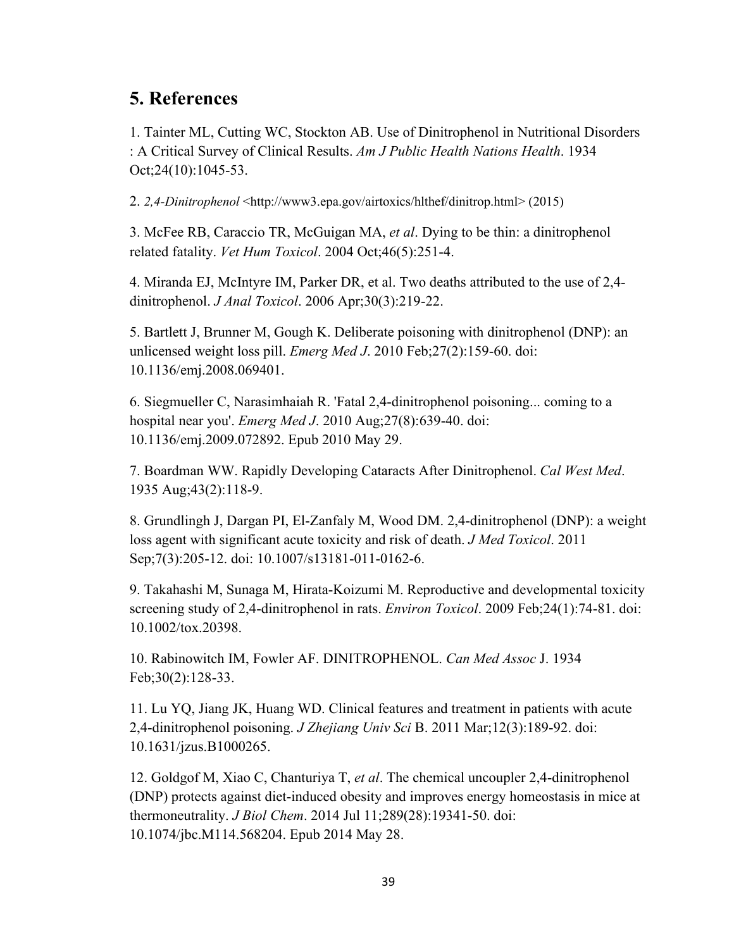## **5. References**

1. Tainter ML, Cutting WC, Stockton AB. Use of Dinitrophenol in Nutritional Disorders : A Critical Survey of Clinical Results. *Am J Public Health Nations Health*. 1934 Oct;24(10):1045-53.

2. *2,4-Dinitrophenol* <http://www3.epa.gov/airtoxics/hlthef/dinitrop.html> (2015)

3. McFee RB, Caraccio TR, McGuigan MA, *et al*. Dying to be thin: a dinitrophenol related fatality. *Vet Hum Toxicol*. 2004 Oct;46(5):251-4.

4. Miranda EJ, McIntyre IM, Parker DR, et al. Two deaths attributed to the use of 2,4 dinitrophenol. *J Anal Toxicol*. 2006 Apr;30(3):219-22.

5. Bartlett J, Brunner M, Gough K. Deliberate poisoning with dinitrophenol (DNP): an unlicensed weight loss pill. *Emerg Med J*. 2010 Feb;27(2):159-60. doi: 10.1136/emj.2008.069401.

6. Siegmueller C, Narasimhaiah R. 'Fatal 2,4-dinitrophenol poisoning... coming to a hospital near you'. *Emerg Med J*. 2010 Aug;27(8):639-40. doi: 10.1136/emj.2009.072892. Epub 2010 May 29.

7. Boardman WW. Rapidly Developing Cataracts After Dinitrophenol. *Cal West Med*. 1935 Aug;43(2):118-9.

8. Grundlingh J, Dargan PI, El-Zanfaly M, Wood DM. 2,4-dinitrophenol (DNP): a weight loss agent with significant acute toxicity and risk of death. *J Med Toxicol*. 2011 Sep;7(3):205-12. doi: 10.1007/s13181-011-0162-6.

9. Takahashi M, Sunaga M, Hirata-Koizumi M. Reproductive and developmental toxicity screening study of 2,4-dinitrophenol in rats. *Environ Toxicol*. 2009 Feb;24(1):74-81. doi: 10.1002/tox.20398.

10. Rabinowitch IM, Fowler AF. DINITROPHENOL. *Can Med Assoc* J. 1934 Feb;30(2):128-33.

11. Lu YQ, Jiang JK, Huang WD. Clinical features and treatment in patients with acute 2,4-dinitrophenol poisoning. *J Zhejiang Univ Sci* B. 2011 Mar;12(3):189-92. doi: 10.1631/jzus.B1000265.

12. Goldgof M, Xiao C, Chanturiya T, *et al*. The chemical uncoupler 2,4-dinitrophenol (DNP) protects against diet-induced obesity and improves energy homeostasis in mice at thermoneutrality. *J Biol Chem*. 2014 Jul 11;289(28):19341-50. doi: 10.1074/jbc.M114.568204. Epub 2014 May 28.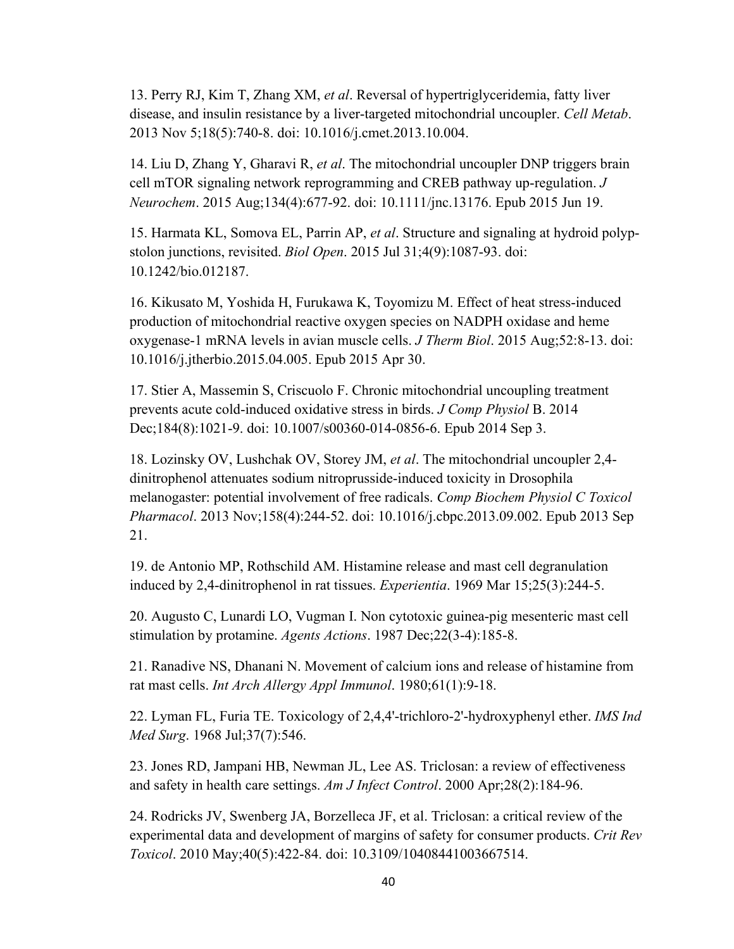13. Perry RJ, Kim T, Zhang XM, *et al*. Reversal of hypertriglyceridemia, fatty liver disease, and insulin resistance by a liver-targeted mitochondrial uncoupler. *Cell Metab*. 2013 Nov 5;18(5):740-8. doi: 10.1016/j.cmet.2013.10.004.

14. Liu D, Zhang Y, Gharavi R, *et al*. The mitochondrial uncoupler DNP triggers brain cell mTOR signaling network reprogramming and CREB pathway up-regulation. *J Neurochem*. 2015 Aug;134(4):677-92. doi: 10.1111/jnc.13176. Epub 2015 Jun 19.

15. Harmata KL, Somova EL, Parrin AP, *et al*. Structure and signaling at hydroid polypstolon junctions, revisited. *Biol Open*. 2015 Jul 31;4(9):1087-93. doi: 10.1242/bio.012187.

16. Kikusato M, Yoshida H, Furukawa K, Toyomizu M. Effect of heat stress-induced production of mitochondrial reactive oxygen species on NADPH oxidase and heme oxygenase-1 mRNA levels in avian muscle cells. *J Therm Biol*. 2015 Aug;52:8-13. doi: 10.1016/j.jtherbio.2015.04.005. Epub 2015 Apr 30.

17. Stier A, Massemin S, Criscuolo F. Chronic mitochondrial uncoupling treatment prevents acute cold-induced oxidative stress in birds. *J Comp Physiol* B. 2014 Dec;184(8):1021-9. doi: 10.1007/s00360-014-0856-6. Epub 2014 Sep 3.

18. Lozinsky OV, Lushchak OV, Storey JM, *et al*. The mitochondrial uncoupler 2,4 dinitrophenol attenuates sodium nitroprusside-induced toxicity in Drosophila melanogaster: potential involvement of free radicals. *Comp Biochem Physiol C Toxicol Pharmacol*. 2013 Nov;158(4):244-52. doi: 10.1016/j.cbpc.2013.09.002. Epub 2013 Sep 21.

19. de Antonio MP, Rothschild AM. Histamine release and mast cell degranulation induced by 2,4-dinitrophenol in rat tissues. *Experientia*. 1969 Mar 15;25(3):244-5.

20. Augusto C, Lunardi LO, Vugman I. Non cytotoxic guinea-pig mesenteric mast cell stimulation by protamine. *Agents Actions*. 1987 Dec;22(3-4):185-8.

21. Ranadive NS, Dhanani N. Movement of calcium ions and release of histamine from rat mast cells. *Int Arch Allergy Appl Immunol*. 1980;61(1):9-18.

22. Lyman FL, Furia TE. Toxicology of 2,4,4'-trichloro-2'-hydroxyphenyl ether. *IMS Ind Med Surg*. 1968 Jul;37(7):546.

23. Jones RD, Jampani HB, Newman JL, Lee AS. Triclosan: a review of effectiveness and safety in health care settings. *Am J Infect Control*. 2000 Apr;28(2):184-96.

24. Rodricks JV, Swenberg JA, Borzelleca JF, et al. Triclosan: a critical review of the experimental data and development of margins of safety for consumer products. *Crit Rev Toxicol*. 2010 May;40(5):422-84. doi: 10.3109/10408441003667514.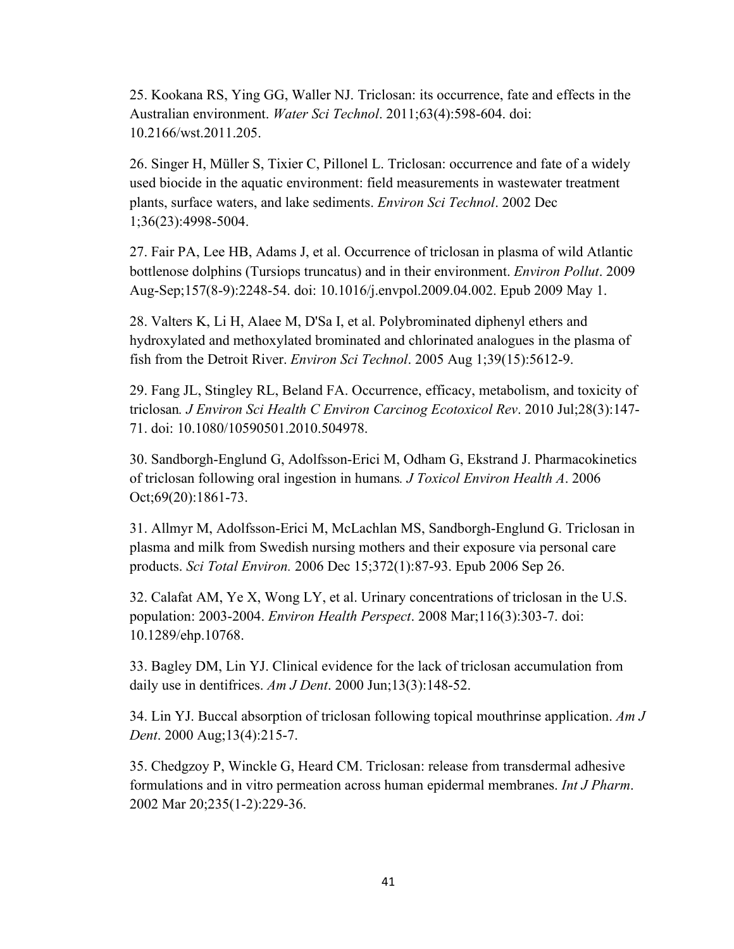25. Kookana RS, Ying GG, Waller NJ. Triclosan: its occurrence, fate and effects in the Australian environment. *Water Sci Technol*. 2011;63(4):598-604. doi: 10.2166/wst.2011.205.

26. Singer H, Müller S, Tixier C, Pillonel L. Triclosan: occurrence and fate of a widely used biocide in the aquatic environment: field measurements in wastewater treatment plants, surface waters, and lake sediments. *Environ Sci Technol*. 2002 Dec 1;36(23):4998-5004.

27. Fair PA, Lee HB, Adams J, et al. Occurrence of triclosan in plasma of wild Atlantic bottlenose dolphins (Tursiops truncatus) and in their environment. *Environ Pollut*. 2009 Aug-Sep;157(8-9):2248-54. doi: 10.1016/j.envpol.2009.04.002. Epub 2009 May 1.

28. Valters K, Li H, Alaee M, D'Sa I, et al. Polybrominated diphenyl ethers and hydroxylated and methoxylated brominated and chlorinated analogues in the plasma of fish from the Detroit River. *Environ Sci Technol*. 2005 Aug 1;39(15):5612-9.

29. Fang JL, Stingley RL, Beland FA. Occurrence, efficacy, metabolism, and toxicity of triclosan*. J Environ Sci Health C Environ Carcinog Ecotoxicol Rev*. 2010 Jul;28(3):147- 71. doi: 10.1080/10590501.2010.504978.

30. Sandborgh-Englund G, Adolfsson-Erici M, Odham G, Ekstrand J. Pharmacokinetics of triclosan following oral ingestion in humans*. J Toxicol Environ Health A*. 2006 Oct;69(20):1861-73.

31. Allmyr M, Adolfsson-Erici M, McLachlan MS, Sandborgh-Englund G. Triclosan in plasma and milk from Swedish nursing mothers and their exposure via personal care products. *Sci Total Environ.* 2006 Dec 15;372(1):87-93. Epub 2006 Sep 26.

32. Calafat AM, Ye X, Wong LY, et al. Urinary concentrations of triclosan in the U.S. population: 2003-2004. *Environ Health Perspect*. 2008 Mar;116(3):303-7. doi: 10.1289/ehp.10768.

33. Bagley DM, Lin YJ. Clinical evidence for the lack of triclosan accumulation from daily use in dentifrices. *Am J Dent*. 2000 Jun;13(3):148-52.

34. Lin YJ. Buccal absorption of triclosan following topical mouthrinse application. *Am J Dent*. 2000 Aug;13(4):215-7.

35. Chedgzoy P, Winckle G, Heard CM. Triclosan: release from transdermal adhesive formulations and in vitro permeation across human epidermal membranes. *Int J Pharm*. 2002 Mar 20;235(1-2):229-36.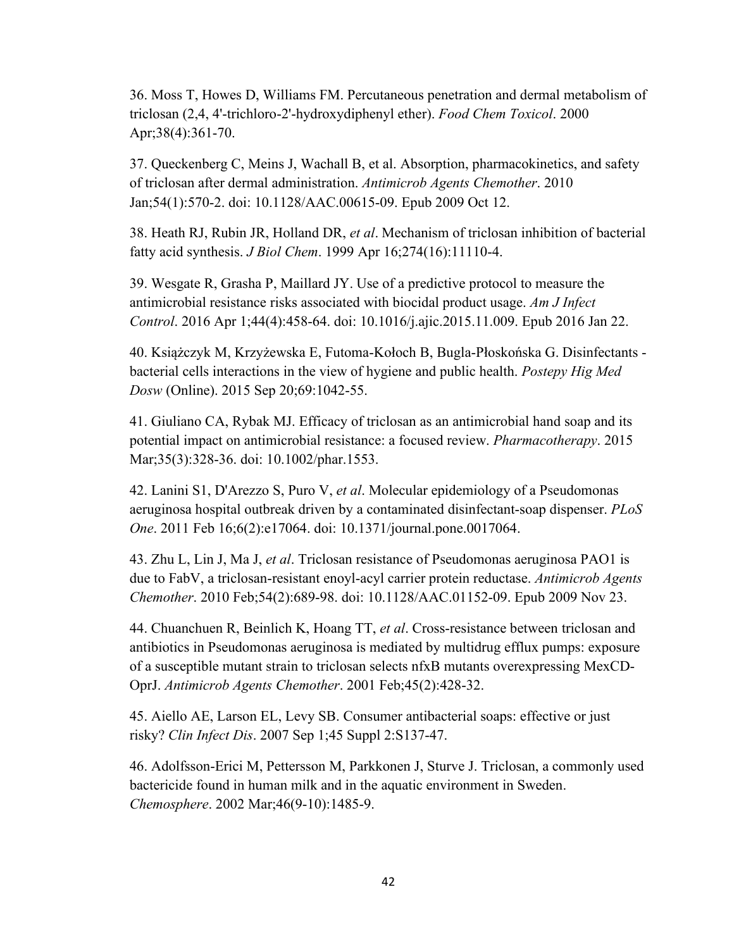36. Moss T, Howes D, Williams FM. Percutaneous penetration and dermal metabolism of triclosan (2,4, 4'-trichloro-2'-hydroxydiphenyl ether). *Food Chem Toxicol*. 2000 Apr;38(4):361-70.

37. Queckenberg C, Meins J, Wachall B, et al. Absorption, pharmacokinetics, and safety of triclosan after dermal administration. *Antimicrob Agents Chemother*. 2010 Jan;54(1):570-2. doi: 10.1128/AAC.00615-09. Epub 2009 Oct 12.

38. Heath RJ, Rubin JR, Holland DR, *et al*. Mechanism of triclosan inhibition of bacterial fatty acid synthesis. *J Biol Chem*. 1999 Apr 16;274(16):11110-4.

39. Wesgate R, Grasha P, Maillard JY. Use of a predictive protocol to measure the antimicrobial resistance risks associated with biocidal product usage. *Am J Infect Control*. 2016 Apr 1;44(4):458-64. doi: 10.1016/j.ajic.2015.11.009. Epub 2016 Jan 22.

40. Książczyk M, Krzyżewska E, Futoma-Kołoch B, Bugla-Płoskońska G. Disinfectants bacterial cells interactions in the view of hygiene and public health. *Postepy Hig Med Dosw* (Online). 2015 Sep 20;69:1042-55.

41. Giuliano CA, Rybak MJ. Efficacy of triclosan as an antimicrobial hand soap and its potential impact on antimicrobial resistance: a focused review. *Pharmacotherapy*. 2015 Mar;35(3):328-36. doi: 10.1002/phar.1553.

42. Lanini S1, D'Arezzo S, Puro V, *et al*. Molecular epidemiology of a Pseudomonas aeruginosa hospital outbreak driven by a contaminated disinfectant-soap dispenser. *PLoS One*. 2011 Feb 16;6(2):e17064. doi: 10.1371/journal.pone.0017064.

43. Zhu L, Lin J, Ma J, *et al*. Triclosan resistance of Pseudomonas aeruginosa PAO1 is due to FabV, a triclosan-resistant enoyl-acyl carrier protein reductase. *Antimicrob Agents Chemother*. 2010 Feb;54(2):689-98. doi: 10.1128/AAC.01152-09. Epub 2009 Nov 23.

44. Chuanchuen R, Beinlich K, Hoang TT, *et al*. Cross-resistance between triclosan and antibiotics in Pseudomonas aeruginosa is mediated by multidrug efflux pumps: exposure of a susceptible mutant strain to triclosan selects nfxB mutants overexpressing MexCD-OprJ. *Antimicrob Agents Chemother*. 2001 Feb;45(2):428-32.

45. Aiello AE, Larson EL, Levy SB. Consumer antibacterial soaps: effective or just risky? *Clin Infect Dis*. 2007 Sep 1;45 Suppl 2:S137-47.

46. Adolfsson-Erici M, Pettersson M, Parkkonen J, Sturve J. Triclosan, a commonly used bactericide found in human milk and in the aquatic environment in Sweden. *Chemosphere*. 2002 Mar;46(9-10):1485-9.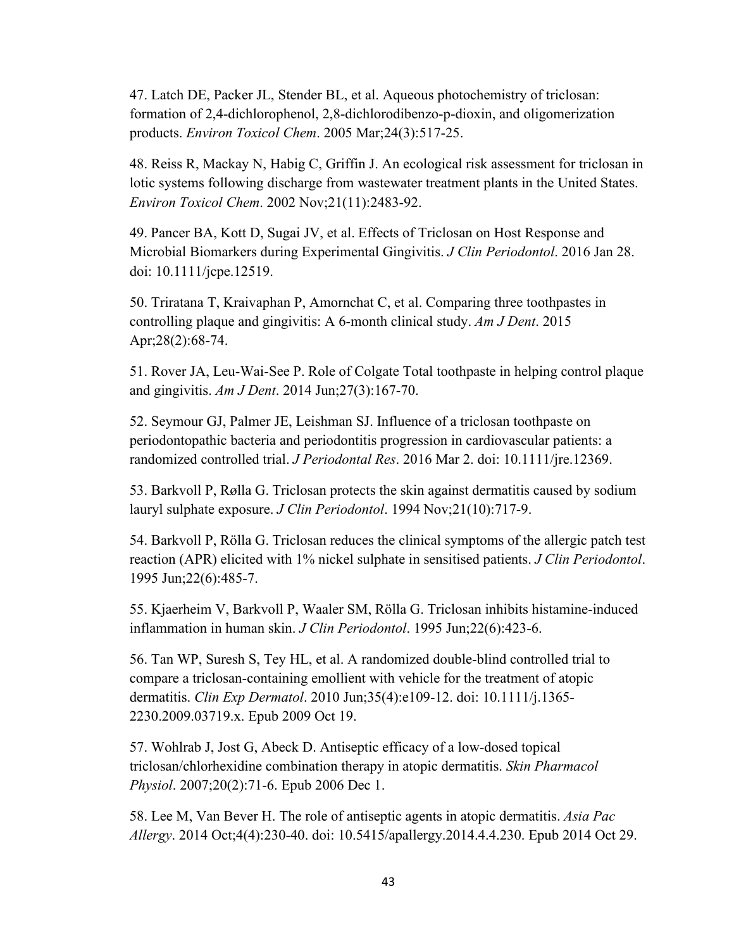47. Latch DE, Packer JL, Stender BL, et al. Aqueous photochemistry of triclosan: formation of 2,4-dichlorophenol, 2,8-dichlorodibenzo-p-dioxin, and oligomerization products. *Environ Toxicol Chem*. 2005 Mar;24(3):517-25.

48. Reiss R, Mackay N, Habig C, Griffin J. An ecological risk assessment for triclosan in lotic systems following discharge from wastewater treatment plants in the United States. *Environ Toxicol Chem*. 2002 Nov;21(11):2483-92.

49. Pancer BA, Kott D, Sugai JV, et al. Effects of Triclosan on Host Response and Microbial Biomarkers during Experimental Gingivitis. *J Clin Periodontol*. 2016 Jan 28. doi: 10.1111/jcpe.12519.

50. Triratana T, Kraivaphan P, Amornchat C, et al. Comparing three toothpastes in controlling plaque and gingivitis: A 6-month clinical study. *Am J Dent*. 2015 Apr;28(2):68-74.

51. Rover JA, Leu-Wai-See P. Role of Colgate Total toothpaste in helping control plaque and gingivitis. *Am J Dent*. 2014 Jun;27(3):167-70.

52. Seymour GJ, Palmer JE, Leishman SJ. Influence of a triclosan toothpaste on periodontopathic bacteria and periodontitis progression in cardiovascular patients: a randomized controlled trial. *J Periodontal Res*. 2016 Mar 2. doi: 10.1111/jre.12369.

53. Barkvoll P, Rølla G. Triclosan protects the skin against dermatitis caused by sodium lauryl sulphate exposure. *J Clin Periodontol*. 1994 Nov;21(10):717-9.

54. Barkvoll P, Rölla G. Triclosan reduces the clinical symptoms of the allergic patch test reaction (APR) elicited with 1% nickel sulphate in sensitised patients. *J Clin Periodontol*. 1995 Jun;22(6):485-7.

55. Kjaerheim V, Barkvoll P, Waaler SM, Rölla G. Triclosan inhibits histamine-induced inflammation in human skin. *J Clin Periodontol*. 1995 Jun;22(6):423-6.

56. Tan WP, Suresh S, Tey HL, et al. A randomized double-blind controlled trial to compare a triclosan-containing emollient with vehicle for the treatment of atopic dermatitis. *Clin Exp Dermatol*. 2010 Jun;35(4):e109-12. doi: 10.1111/j.1365- 2230.2009.03719.x. Epub 2009 Oct 19.

57. Wohlrab J, Jost G, Abeck D. Antiseptic efficacy of a low-dosed topical triclosan/chlorhexidine combination therapy in atopic dermatitis. *Skin Pharmacol Physiol*. 2007;20(2):71-6. Epub 2006 Dec 1.

58. Lee M, Van Bever H. The role of antiseptic agents in atopic dermatitis. *Asia Pac Allergy*. 2014 Oct;4(4):230-40. doi: 10.5415/apallergy.2014.4.4.230. Epub 2014 Oct 29.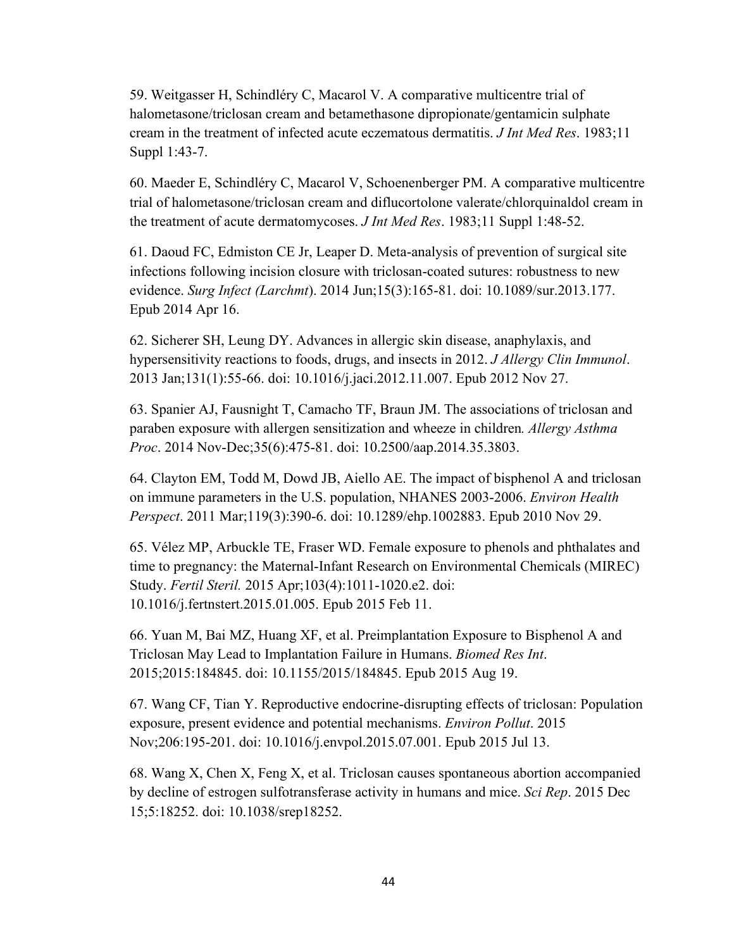59. Weitgasser H, Schindléry C, Macarol V. A comparative multicentre trial of halometasone/triclosan cream and betamethasone dipropionate/gentamicin sulphate cream in the treatment of infected acute eczematous dermatitis. *J Int Med Res*. 1983;11 Suppl 1:43-7.

60. Maeder E, Schindléry C, Macarol V, Schoenenberger PM. A comparative multicentre trial of halometasone/triclosan cream and diflucortolone valerate/chlorquinaldol cream in the treatment of acute dermatomycoses. *J Int Med Res*. 1983;11 Suppl 1:48-52.

61. Daoud FC, Edmiston CE Jr, Leaper D. Meta-analysis of prevention of surgical site infections following incision closure with triclosan-coated sutures: robustness to new evidence. *Surg Infect (Larchmt*). 2014 Jun;15(3):165-81. doi: 10.1089/sur.2013.177. Epub 2014 Apr 16.

62. Sicherer SH, Leung DY. Advances in allergic skin disease, anaphylaxis, and hypersensitivity reactions to foods, drugs, and insects in 2012. *J Allergy Clin Immunol*. 2013 Jan;131(1):55-66. doi: 10.1016/j.jaci.2012.11.007. Epub 2012 Nov 27.

63. Spanier AJ, Fausnight T, Camacho TF, Braun JM. The associations of triclosan and paraben exposure with allergen sensitization and wheeze in children*. Allergy Asthma Proc*. 2014 Nov-Dec;35(6):475-81. doi: 10.2500/aap.2014.35.3803.

64. Clayton EM, Todd M, Dowd JB, Aiello AE. The impact of bisphenol A and triclosan on immune parameters in the U.S. population, NHANES 2003-2006. *Environ Health Perspect*. 2011 Mar;119(3):390-6. doi: 10.1289/ehp.1002883. Epub 2010 Nov 29.

65. Vélez MP, Arbuckle TE, Fraser WD. Female exposure to phenols and phthalates and time to pregnancy: the Maternal-Infant Research on Environmental Chemicals (MIREC) Study. *Fertil Steril.* 2015 Apr;103(4):1011-1020.e2. doi: 10.1016/j.fertnstert.2015.01.005. Epub 2015 Feb 11.

66. Yuan M, Bai MZ, Huang XF, et al. Preimplantation Exposure to Bisphenol A and Triclosan May Lead to Implantation Failure in Humans. *Biomed Res Int*. 2015;2015:184845. doi: 10.1155/2015/184845. Epub 2015 Aug 19.

67. Wang CF, Tian Y. Reproductive endocrine-disrupting effects of triclosan: Population exposure, present evidence and potential mechanisms. *Environ Pollut*. 2015 Nov;206:195-201. doi: 10.1016/j.envpol.2015.07.001. Epub 2015 Jul 13.

68. Wang X, Chen X, Feng X, et al. Triclosan causes spontaneous abortion accompanied by decline of estrogen sulfotransferase activity in humans and mice. *Sci Rep*. 2015 Dec 15;5:18252. doi: 10.1038/srep18252.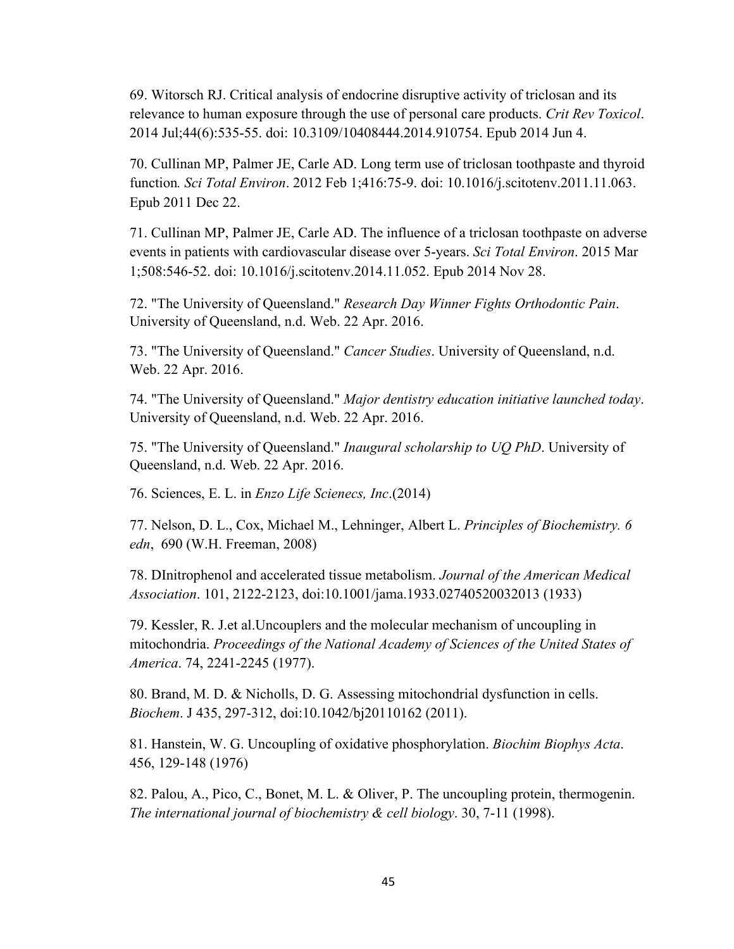69. Witorsch RJ. Critical analysis of endocrine disruptive activity of triclosan and its relevance to human exposure through the use of personal care products. *Crit Rev Toxicol*. 2014 Jul;44(6):535-55. doi: 10.3109/10408444.2014.910754. Epub 2014 Jun 4.

70. Cullinan MP, Palmer JE, Carle AD. Long term use of triclosan toothpaste and thyroid function*. Sci Total Environ*. 2012 Feb 1;416:75-9. doi: 10.1016/j.scitotenv.2011.11.063. Epub 2011 Dec 22.

71. Cullinan MP, Palmer JE, Carle AD. The influence of a triclosan toothpaste on adverse events in patients with cardiovascular disease over 5-years. *Sci Total Environ*. 2015 Mar 1;508:546-52. doi: 10.1016/j.scitotenv.2014.11.052. Epub 2014 Nov 28.

72. "The University of Queensland." *Research Day Winner Fights Orthodontic Pain*. University of Queensland, n.d. Web. 22 Apr. 2016.

73. "The University of Queensland." *Cancer Studies*. University of Queensland, n.d. Web. 22 Apr. 2016.

74. "The University of Queensland." *Major dentistry education initiative launched today*. University of Queensland, n.d. Web. 22 Apr. 2016.

75. "The University of Queensland." *Inaugural scholarship to UQ PhD*. University of Queensland, n.d. Web. 22 Apr. 2016.

76. Sciences, E. L. in *Enzo Life Scienecs, Inc*.(2014)

77. Nelson, D. L., Cox, Michael M., Lehninger, Albert L. *Principles of Biochemistry. 6 edn*, 690 (W.H. Freeman, 2008)

78. DInitrophenol and accelerated tissue metabolism. *Journal of the American Medical Association*. 101, 2122-2123, doi:10.1001/jama.1933.02740520032013 (1933)

79. Kessler, R. J.et al.Uncouplers and the molecular mechanism of uncoupling in mitochondria. *Proceedings of the National Academy of Sciences of the United States of America*. 74, 2241-2245 (1977).

80. Brand, M. D. & Nicholls, D. G. Assessing mitochondrial dysfunction in cells. *Biochem*. J 435, 297-312, doi:10.1042/bj20110162 (2011).

81. Hanstein, W. G. Uncoupling of oxidative phosphorylation. *Biochim Biophys Acta*. 456, 129-148 (1976)

82. Palou, A., Pico, C., Bonet, M. L. & Oliver, P. The uncoupling protein, thermogenin. *The international journal of biochemistry & cell biology*. 30, 7-11 (1998).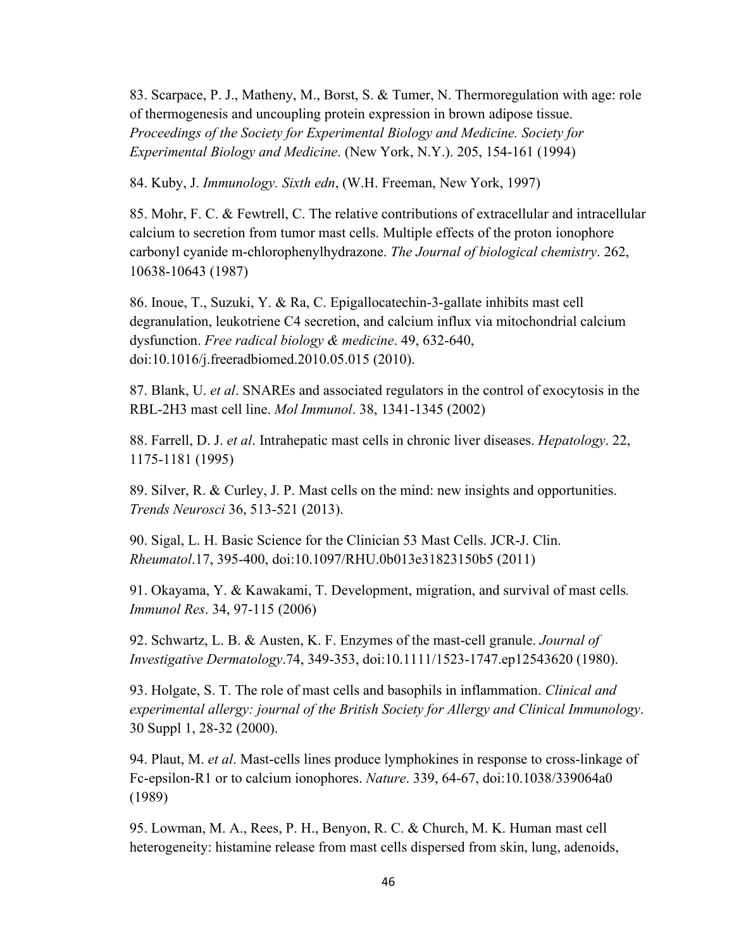83. Scarpace, P. J., Matheny, M., Borst, S. & Tumer, N. Thermoregulation with age: role of thermogenesis and uncoupling protein expression in brown adipose tissue. *Proceedings of the Society for Experimental Biology and Medicine. Society for Experimental Biology and Medicine*. (New York, N.Y.). 205, 154-161 (1994)

84. Kuby, J. *Immunology. Sixth edn*, (W.H. Freeman, New York, 1997)

85. Mohr, F. C. & Fewtrell, C. The relative contributions of extracellular and intracellular calcium to secretion from tumor mast cells. Multiple effects of the proton ionophore carbonyl cyanide m-chlorophenylhydrazone. *The Journal of biological chemistry*. 262, 10638-10643 (1987)

86. Inoue, T., Suzuki, Y. & Ra, C. Epigallocatechin-3-gallate inhibits mast cell degranulation, leukotriene C4 secretion, and calcium influx via mitochondrial calcium dysfunction. *Free radical biology & medicine*. 49, 632-640, doi:10.1016/j.freeradbiomed.2010.05.015 (2010).

87. Blank, U. *et al*. SNAREs and associated regulators in the control of exocytosis in the RBL-2H3 mast cell line. *Mol Immunol*. 38, 1341-1345 (2002)

88. Farrell, D. J. *et al*. Intrahepatic mast cells in chronic liver diseases. *Hepatology*. 22, 1175-1181 (1995)

89. Silver, R. & Curley, J. P. Mast cells on the mind: new insights and opportunities. *Trends Neurosci* 36, 513-521 (2013).

90. Sigal, L. H. Basic Science for the Clinician 53 Mast Cells. JCR-J. Clin. *Rheumatol*.17, 395-400, doi:10.1097/RHU.0b013e31823150b5 (2011)

91. Okayama, Y. & Kawakami, T. Development, migration, and survival of mast cells*. Immunol Res*. 34, 97-115 (2006)

92. Schwartz, L. B. & Austen, K. F. Enzymes of the mast-cell granule. *Journal of Investigative Dermatology*.74, 349-353, doi:10.1111/1523-1747.ep12543620 (1980).

93. Holgate, S. T. The role of mast cells and basophils in inflammation. *Clinical and experimental allergy: journal of the British Society for Allergy and Clinical Immunology*. 30 Suppl 1, 28-32 (2000).

94. Plaut, M. *et al*. Mast-cells lines produce lymphokines in response to cross-linkage of Fc-epsilon-R1 or to calcium ionophores. *Nature*. 339, 64-67, doi:10.1038/339064a0 (1989)

95. Lowman, M. A., Rees, P. H., Benyon, R. C. & Church, M. K. Human mast cell heterogeneity: histamine release from mast cells dispersed from skin, lung, adenoids,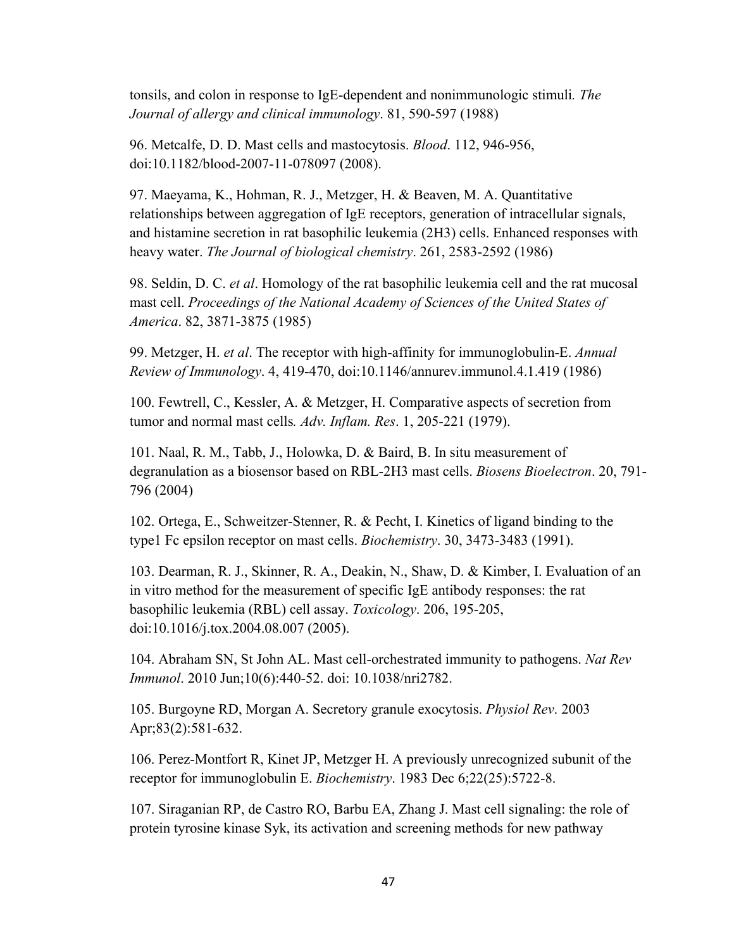tonsils, and colon in response to IgE-dependent and nonimmunologic stimuli*. The Journal of allergy and clinical immunology*. 81, 590-597 (1988)

96. Metcalfe, D. D. Mast cells and mastocytosis. *Blood*. 112, 946-956, doi:10.1182/blood-2007-11-078097 (2008).

97. Maeyama, K., Hohman, R. J., Metzger, H. & Beaven, M. A. Quantitative relationships between aggregation of IgE receptors, generation of intracellular signals, and histamine secretion in rat basophilic leukemia (2H3) cells. Enhanced responses with heavy water. *The Journal of biological chemistry*. 261, 2583-2592 (1986)

98. Seldin, D. C. *et al*. Homology of the rat basophilic leukemia cell and the rat mucosal mast cell. *Proceedings of the National Academy of Sciences of the United States of America*. 82, 3871-3875 (1985)

99. Metzger, H. *et al*. The receptor with high-affinity for immunoglobulin-E. *Annual Review of Immunology*. 4, 419-470, doi:10.1146/annurev.immunol.4.1.419 (1986)

100. Fewtrell, C., Kessler, A. & Metzger, H. Comparative aspects of secretion from tumor and normal mast cells*. Adv. Inflam. Res*. 1, 205-221 (1979).

101. Naal, R. M., Tabb, J., Holowka, D. & Baird, B. In situ measurement of degranulation as a biosensor based on RBL-2H3 mast cells. *Biosens Bioelectron*. 20, 791- 796 (2004)

102. Ortega, E., Schweitzer-Stenner, R. & Pecht, I. Kinetics of ligand binding to the type1 Fc epsilon receptor on mast cells. *Biochemistry*. 30, 3473-3483 (1991).

103. Dearman, R. J., Skinner, R. A., Deakin, N., Shaw, D. & Kimber, I. Evaluation of an in vitro method for the measurement of specific IgE antibody responses: the rat basophilic leukemia (RBL) cell assay. *Toxicology*. 206, 195-205, doi:10.1016/j.tox.2004.08.007 (2005).

104. Abraham SN, St John AL. Mast cell-orchestrated immunity to pathogens. *Nat Rev Immunol*. 2010 Jun;10(6):440-52. doi: 10.1038/nri2782.

105. Burgoyne RD, Morgan A. Secretory granule exocytosis. *Physiol Rev*. 2003 Apr;83(2):581-632.

106. Perez-Montfort R, Kinet JP, Metzger H. A previously unrecognized subunit of the receptor for immunoglobulin E. *Biochemistry*. 1983 Dec 6;22(25):5722-8.

107. Siraganian RP, de Castro RO, Barbu EA, Zhang J. Mast cell signaling: the role of protein tyrosine kinase Syk, its activation and screening methods for new pathway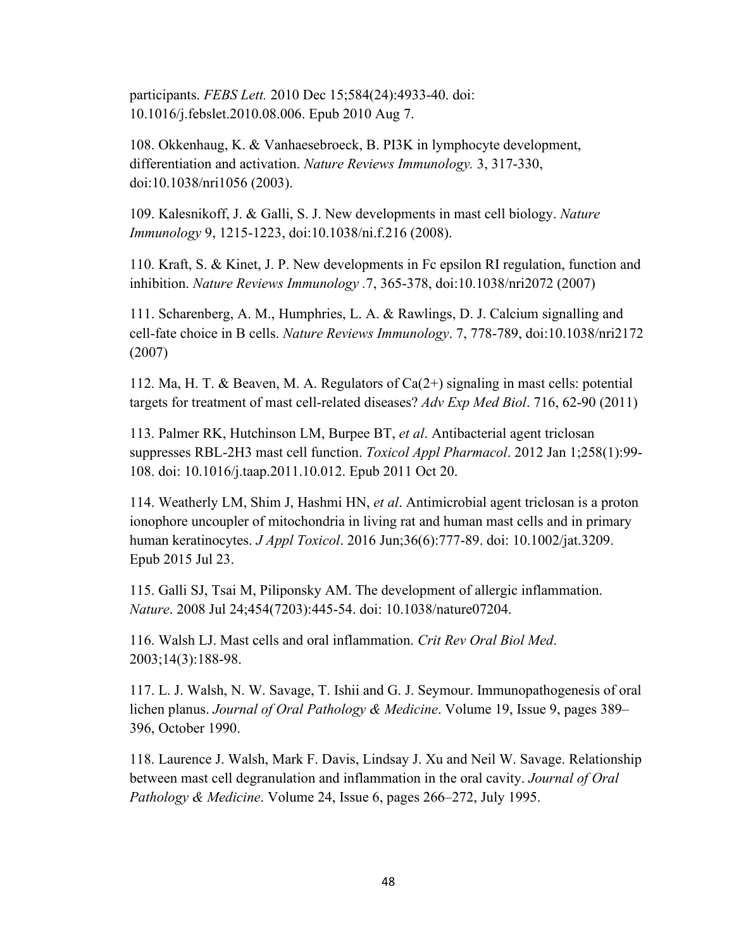participants. *FEBS Lett.* 2010 Dec 15;584(24):4933-40. doi: 10.1016/j.febslet.2010.08.006. Epub 2010 Aug 7.

108. Okkenhaug, K. & Vanhaesebroeck, B. PI3K in lymphocyte development, differentiation and activation. *Nature Reviews Immunology.* 3, 317-330, doi:10.1038/nri1056 (2003).

109. Kalesnikoff, J. & Galli, S. J. New developments in mast cell biology. *Nature Immunology* 9, 1215-1223, doi:10.1038/ni.f.216 (2008).

110. Kraft, S. & Kinet, J. P. New developments in Fc epsilon RI regulation, function and inhibition. *Nature Reviews Immunology .*7, 365-378, doi:10.1038/nri2072 (2007)

111. Scharenberg, A. M., Humphries, L. A. & Rawlings, D. J. Calcium signalling and cell-fate choice in B cells. *Nature Reviews Immunology*. 7, 778-789, doi:10.1038/nri2172 (2007)

112. Ma, H. T. & Beaven, M. A. Regulators of Ca(2+) signaling in mast cells: potential targets for treatment of mast cell-related diseases? *Adv Exp Med Biol*. 716, 62-90 (2011)

113. Palmer RK, Hutchinson LM, Burpee BT, *et al*. Antibacterial agent triclosan suppresses RBL-2H3 mast cell function. *Toxicol Appl Pharmacol*. 2012 Jan 1;258(1):99- 108. doi: 10.1016/j.taap.2011.10.012. Epub 2011 Oct 20.

114. Weatherly LM, Shim J, Hashmi HN, *et al*. Antimicrobial agent triclosan is a proton ionophore uncoupler of mitochondria in living rat and human mast cells and in primary human keratinocytes. *J Appl Toxicol*. 2016 Jun;36(6):777-89. doi: 10.1002/jat.3209. Epub 2015 Jul 23.

115. Galli SJ, Tsai M, Piliponsky AM. The development of allergic inflammation. *Nature*. 2008 Jul 24;454(7203):445-54. doi: 10.1038/nature07204.

116. Walsh LJ. Mast cells and oral inflammation. *Crit Rev Oral Biol Med*. 2003;14(3):188-98.

117. L. J. Walsh, N. W. Savage, T. Ishii and G. J. Seymour. Immunopathogenesis of oral lichen planus. *Journal of Oral Pathology & Medicine*. Volume 19, Issue 9, pages 389– 396, October 1990.

118. Laurence J. Walsh, Mark F. Davis, Lindsay J. Xu and Neil W. Savage. Relationship between mast cell degranulation and inflammation in the oral cavity. *Journal of Oral Pathology & Medicine*. Volume 24, Issue 6, pages 266–272, July 1995.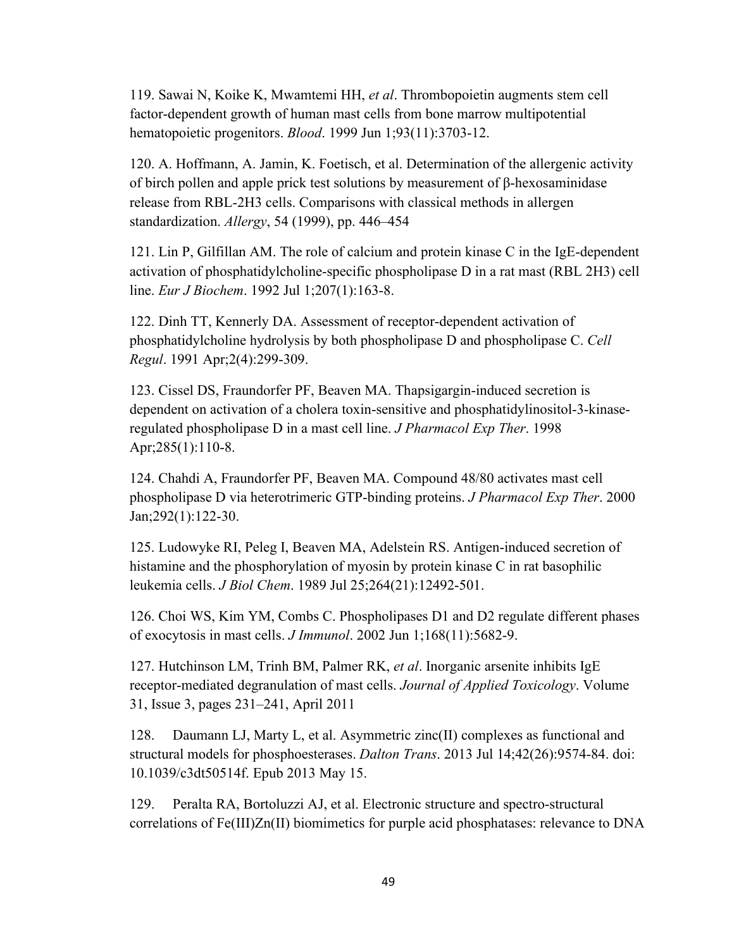119. Sawai N, Koike K, Mwamtemi HH, *et al*. Thrombopoietin augments stem cell factor-dependent growth of human mast cells from bone marrow multipotential hematopoietic progenitors. *Blood*. 1999 Jun 1;93(11):3703-12.

120. A. Hoffmann, A. Jamin, K. Foetisch, et al. Determination of the allergenic activity of birch pollen and apple prick test solutions by measurement of β-hexosaminidase release from RBL-2H3 cells. Comparisons with classical methods in allergen standardization. *Allergy*, 54 (1999), pp. 446–454

121. Lin P, Gilfillan AM. The role of calcium and protein kinase C in the IgE-dependent activation of phosphatidylcholine-specific phospholipase D in a rat mast (RBL 2H3) cell line. *Eur J Biochem*. 1992 Jul 1;207(1):163-8.

122. Dinh TT, Kennerly DA. Assessment of receptor-dependent activation of phosphatidylcholine hydrolysis by both phospholipase D and phospholipase C. *Cell Regul*. 1991 Apr;2(4):299-309.

123. Cissel DS, Fraundorfer PF, Beaven MA. Thapsigargin-induced secretion is dependent on activation of a cholera toxin-sensitive and phosphatidylinositol-3-kinaseregulated phospholipase D in a mast cell line. *J Pharmacol Exp Ther*. 1998 Apr; 285(1): 110-8.

124. Chahdi A, Fraundorfer PF, Beaven MA. Compound 48/80 activates mast cell phospholipase D via heterotrimeric GTP-binding proteins. *J Pharmacol Exp Ther*. 2000 Jan;292(1):122-30.

125. Ludowyke RI, Peleg I, Beaven MA, Adelstein RS. Antigen-induced secretion of histamine and the phosphorylation of myosin by protein kinase C in rat basophilic leukemia cells. *J Biol Chem*. 1989 Jul 25;264(21):12492-501.

126. Choi WS, Kim YM, Combs C. Phospholipases D1 and D2 regulate different phases of exocytosis in mast cells. *J Immunol*. 2002 Jun 1;168(11):5682-9.

127. Hutchinson LM, Trinh BM, Palmer RK, *et al*. Inorganic arsenite inhibits IgE receptor-mediated degranulation of mast cells. *Journal of Applied Toxicology*. Volume 31, Issue 3, pages 231–241, April 2011

128. Daumann LJ, Marty L, et al. Asymmetric zinc(II) complexes as functional and structural models for phosphoesterases. *Dalton Trans*. 2013 Jul 14;42(26):9574-84. doi: 10.1039/c3dt50514f. Epub 2013 May 15.

129. Peralta RA, Bortoluzzi AJ, et al. Electronic structure and spectro-structural correlations of Fe(III)Zn(II) biomimetics for purple acid phosphatases: relevance to DNA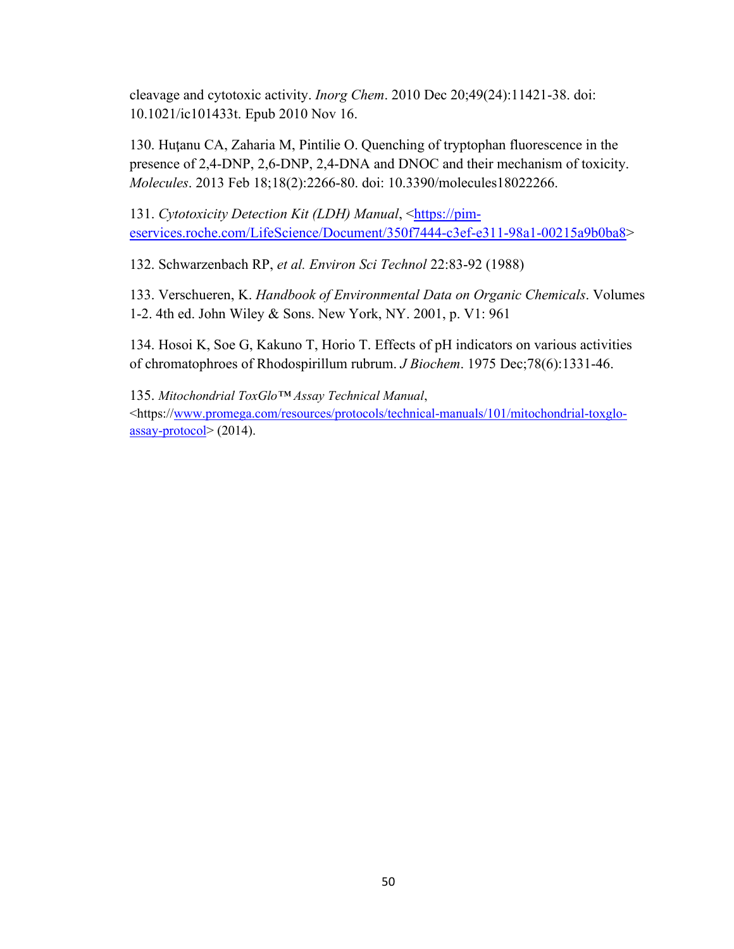cleavage and cytotoxic activity. *Inorg Chem*. 2010 Dec 20;49(24):11421-38. doi: 10.1021/ic101433t. Epub 2010 Nov 16.

130. Huţanu CA, Zaharia M, Pintilie O. Quenching of tryptophan fluorescence in the presence of 2,4-DNP, 2,6-DNP, 2,4-DNA and DNOC and their mechanism of toxicity. *Molecules*. 2013 Feb 18;18(2):2266-80. doi: 10.3390/molecules18022266.

131. Cytotoxicity Detection Kit (LDH) Manual, <https://pimeservices.roche.com/LifeScience/Document/350f7444-c3ef-e311-98a1-00215a9b0ba8>

132. Schwarzenbach RP, *et al. Environ Sci Technol* 22:83-92 (1988)

133. Verschueren, K. *Handbook of Environmental Data on Organic Chemicals*. Volumes 1-2. 4th ed. John Wiley & Sons. New York, NY. 2001, p. V1: 961

134. Hosoi K, Soe G, Kakuno T, Horio T. Effects of pH indicators on various activities of chromatophroes of Rhodospirillum rubrum. *J Biochem*. 1975 Dec;78(6):1331-46.

135. *Mitochondrial ToxGlo™ Assay Technical Manual*, <https://www.promega.com/resources/protocols/technical-manuals/101/mitochondrial-toxgloassay-protocol> (2014).